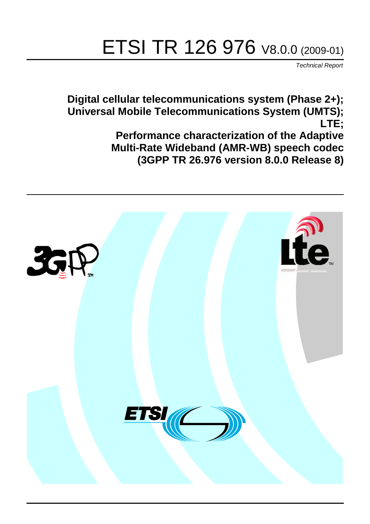# ETSI TR 126 976 V8.0.0 (2009-01)

*Technical Report*

**Digital cellular telecommunications system (Phase 2+); Universal Mobile Telecommunications System (UMTS); LTE; Performance characterization of the Adaptive Multi-Rate Wideband (AMR-WB) speech codec (3GPP TR 26.976 version 8.0.0 Release 8)**

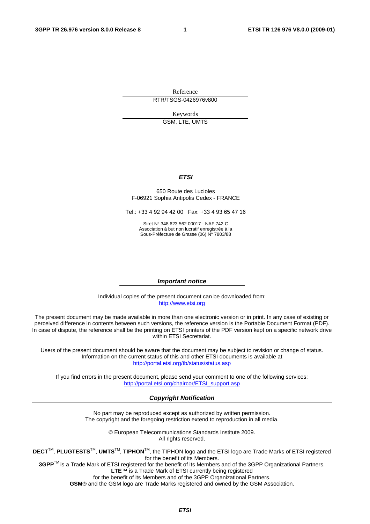Reference RTR/TSGS-0426976v800

> Keywords GSM, LTE, UMTS

> > *ETSI*

#### 650 Route des Lucioles F-06921 Sophia Antipolis Cedex - FRANCE

Tel.: +33 4 92 94 42 00 Fax: +33 4 93 65 47 16

Siret N° 348 623 562 00017 - NAF 742 C Association à but non lucratif enregistrée à la Sous-Préfecture de Grasse (06) N° 7803/88

#### *Important notice*

Individual copies of the present document can be downloaded from: [http://www.etsi.org](http://www.etsi.org/)

The present document may be made available in more than one electronic version or in print. In any case of existing or perceived difference in contents between such versions, the reference version is the Portable Document Format (PDF). In case of dispute, the reference shall be the printing on ETSI printers of the PDF version kept on a specific network drive within ETSI Secretariat.

Users of the present document should be aware that the document may be subject to revision or change of status. Information on the current status of this and other ETSI documents is available at <http://portal.etsi.org/tb/status/status.asp>

If you find errors in the present document, please send your comment to one of the following services: [http://portal.etsi.org/chaircor/ETSI\\_support.asp](http://portal.etsi.org/chaircor/ETSI_support.asp)

#### *Copyright Notification*

No part may be reproduced except as authorized by written permission. The copyright and the foregoing restriction extend to reproduction in all media.

> © European Telecommunications Standards Institute 2009. All rights reserved.

**DECT**TM, **PLUGTESTS**TM, **UMTS**TM, **TIPHON**TM, the TIPHON logo and the ETSI logo are Trade Marks of ETSI registered for the benefit of its Members.

**3GPP**TM is a Trade Mark of ETSI registered for the benefit of its Members and of the 3GPP Organizational Partners. **LTE**™ is a Trade Mark of ETSI currently being registered

for the benefit of its Members and of the 3GPP Organizational Partners.

**GSM**® and the GSM logo are Trade Marks registered and owned by the GSM Association.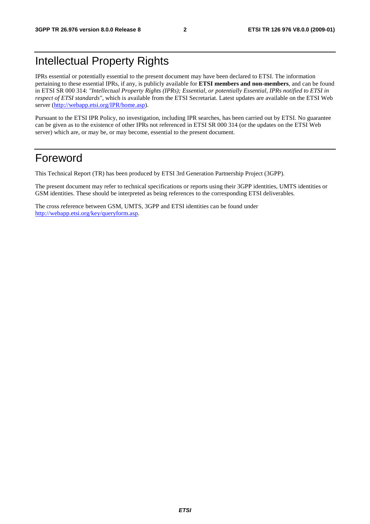### Intellectual Property Rights

IPRs essential or potentially essential to the present document may have been declared to ETSI. The information pertaining to these essential IPRs, if any, is publicly available for **ETSI members and non-members**, and can be found in ETSI SR 000 314: *"Intellectual Property Rights (IPRs); Essential, or potentially Essential, IPRs notified to ETSI in respect of ETSI standards"*, which is available from the ETSI Secretariat. Latest updates are available on the ETSI Web server ([http://webapp.etsi.org/IPR/home.asp\)](http://webapp.etsi.org/IPR/home.asp).

Pursuant to the ETSI IPR Policy, no investigation, including IPR searches, has been carried out by ETSI. No guarantee can be given as to the existence of other IPRs not referenced in ETSI SR 000 314 (or the updates on the ETSI Web server) which are, or may be, or may become, essential to the present document.

#### Foreword

This Technical Report (TR) has been produced by ETSI 3rd Generation Partnership Project (3GPP).

The present document may refer to technical specifications or reports using their 3GPP identities, UMTS identities or GSM identities. These should be interpreted as being references to the corresponding ETSI deliverables.

The cross reference between GSM, UMTS, 3GPP and ETSI identities can be found under [http://webapp.etsi.org/key/queryform.asp.](http://webapp.etsi.org/key/queryform.asp)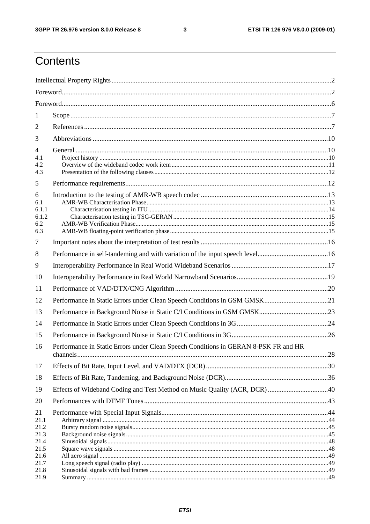$\mathbf{3}$ 

## Contents

| 1                                          |                                                                                     |  |
|--------------------------------------------|-------------------------------------------------------------------------------------|--|
| $\overline{2}$                             |                                                                                     |  |
| 3                                          |                                                                                     |  |
| $\overline{4}$<br>4.1<br>4.2<br>4.3        |                                                                                     |  |
| 5                                          |                                                                                     |  |
| 6<br>6.1<br>6.1.1<br>6.1.2<br>6.2<br>6.3   |                                                                                     |  |
| 7                                          |                                                                                     |  |
| 8                                          |                                                                                     |  |
| 9                                          |                                                                                     |  |
| 10                                         |                                                                                     |  |
| 11                                         |                                                                                     |  |
| 12                                         |                                                                                     |  |
| 13                                         |                                                                                     |  |
| 14                                         |                                                                                     |  |
| 15                                         |                                                                                     |  |
| 16                                         | Performance in Static Errors under Clean Speech Conditions in GERAN 8-PSK FR and HR |  |
| 17                                         |                                                                                     |  |
| 18                                         |                                                                                     |  |
| 19                                         |                                                                                     |  |
| 20                                         |                                                                                     |  |
| 21<br>21.1<br>21.2<br>21.3<br>21.4<br>21.5 |                                                                                     |  |
| 21.6                                       |                                                                                     |  |
| 21.7<br>21.8<br>21.9                       |                                                                                     |  |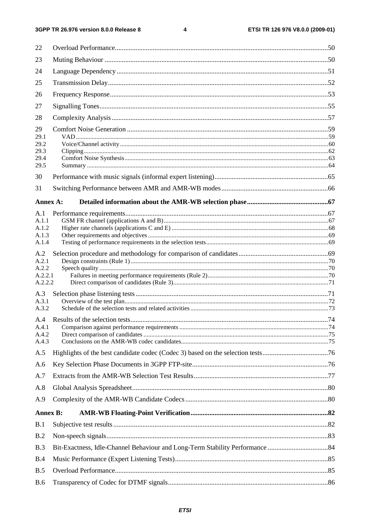#### $\overline{\mathbf{4}}$

| 22              |  |
|-----------------|--|
| 23              |  |
| 24              |  |
| 25              |  |
| 26              |  |
| 27              |  |
| 28              |  |
| 29              |  |
| 29.1<br>29.2    |  |
| 29.3            |  |
| 29.4            |  |
| 29.5            |  |
| 30              |  |
| 31              |  |
| Annex A:        |  |
| A.1             |  |
| A.1.1           |  |
| A.1.2           |  |
| A.1.3<br>A.1.4  |  |
|                 |  |
| A.2             |  |
| A.2.1<br>A.2.2  |  |
| A.2.2.1         |  |
| A.2.2.2         |  |
| A.3             |  |
| A.3.1           |  |
| A.3.2           |  |
|                 |  |
| A.4.1<br>A.4.2  |  |
| A.4.3           |  |
| A.5             |  |
| A.6             |  |
| A.7             |  |
| A.8             |  |
| A.9             |  |
| <b>Annex B:</b> |  |
| B.1             |  |
| B.2             |  |
| B.3             |  |
| B.4             |  |
| B.5             |  |
| <b>B.6</b>      |  |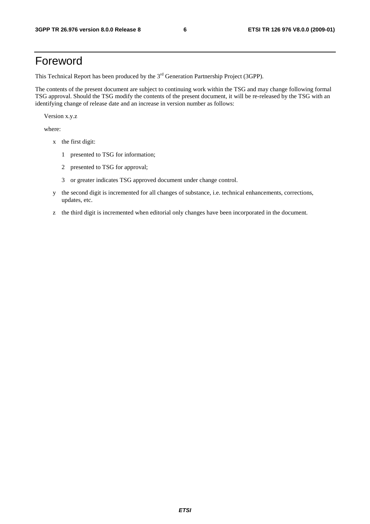### Foreword

This Technical Report has been produced by the  $3<sup>rd</sup>$  Generation Partnership Project (3GPP).

The contents of the present document are subject to continuing work within the TSG and may change following formal TSG approval. Should the TSG modify the contents of the present document, it will be re-released by the TSG with an identifying change of release date and an increase in version number as follows:

Version x.y.z

where:

- x the first digit:
	- 1 presented to TSG for information;
	- 2 presented to TSG for approval;
	- 3 or greater indicates TSG approved document under change control.
- y the second digit is incremented for all changes of substance, i.e. technical enhancements, corrections, updates, etc.
- z the third digit is incremented when editorial only changes have been incorporated in the document.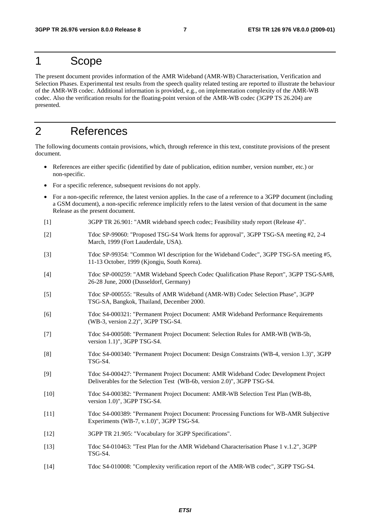#### 1 Scope

The present document provides information of the AMR Wideband (AMR-WB) Characterisation, Verification and Selection Phases. Experimental test results from the speech quality related testing are reported to illustrate the behaviour of the AMR-WB codec. Additional information is provided, e.g., on implementation complexity of the AMR-WB codec. Also the verification results for the floating-point version of the AMR-WB codec (3GPP TS 26.204) are presented.

### 2 References

The following documents contain provisions, which, through reference in this text, constitute provisions of the present document.

- References are either specific (identified by date of publication, edition number, version number, etc.) or non-specific.
- For a specific reference, subsequent revisions do not apply.
- For a non-specific reference, the latest version applies. In the case of a reference to a 3GPP document (including a GSM document), a non-specific reference implicitly refers to the latest version of that document in the same Release as the present document.
- [1] 3GPP TR 26.901: "AMR wideband speech codec; Feasibility study report (Release 4)".
- [2] Tdoc SP-99060: "Proposed TSG-S4 Work Items for approval", 3GPP TSG-SA meeting #2, 2-4 March, 1999 (Fort Lauderdale, USA).
- [3] Tdoc SP-99354: "Common WI description for the Wideband Codec", 3GPP TSG-SA meeting #5, 11-13 October, 1999 (Kjongju, South Korea).
- [4] Tdoc SP-000259: "AMR Wideband Speech Codec Qualification Phase Report", 3GPP TSG-SA#8, 26-28 June, 2000 (Dusseldorf, Germany)
- [5] Tdoc SP-000555: "Results of AMR Wideband (AMR-WB) Codec Selection Phase", 3GPP TSG-SA, Bangkok, Thailand, December 2000.
- [6] Tdoc S4-000321: "Permanent Project Document: AMR Wideband Performance Requirements (WB-3, version 2.2)", 3GPP TSG-S4.
- [7] Tdoc S4-000508: "Permanent Project Document: Selection Rules for AMR-WB (WB-5b, version 1.1)", 3GPP TSG-S4.
- [8] Tdoc S4-000340: "Permanent Project Document: Design Constraints (WB-4, version 1.3)", 3GPP TSG-S4.
- [9] Tdoc S4-000427: "Permanent Project Document: AMR Wideband Codec Development Project Deliverables for the Selection Test (WB-6b, version 2.0)", 3GPP TSG-S4.
- [10] Tdoc S4-000382: "Permanent Project Document: AMR-WB Selection Test Plan (WB-8b, version 1.0)", 3GPP TSG-S4.
- [11] Tdoc S4-000389: "Permanent Project Document: Processing Functions for WB-AMR Subjective Experiments (WB-7, v.1.0)", 3GPP TSG-S4.
- [12] 3GPP TR 21.905: "Vocabulary for 3GPP Specifications".
- [13] Tdoc S4-010463: "Test Plan for the AMR Wideband Characterisation Phase 1 v.1.2", 3GPP TSG-S4.
- [14] Tdoc S4-010008: "Complexity verification report of the AMR-WB codec", 3GPP TSG-S4.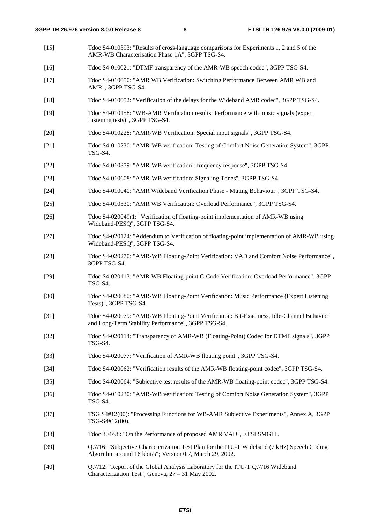- [15] Tdoc S4-010393: "Results of cross-language comparisons for Experiments 1, 2 and 5 of the AMR-WB Characterisation Phase 1A", 3GPP TSG-S4.
- [16] Tdoc S4-010021: "DTMF transparency of the AMR-WB speech codec", 3GPP TSG-S4.
- [17] Tdoc S4-010050: "AMR WB Verification: Switching Performance Between AMR WB and AMR", 3GPP TSG-S4.
- [18] Tdoc S4-010052: "Verification of the delays for the Wideband AMR codec", 3GPP TSG-S4.
- [19] Tdoc S4-010158: "WB-AMR Verification results: Performance with music signals (expert Listening tests)", 3GPP TSG-S4.
- [20] Tdoc S4-010228: "AMR-WB Verification: Special input signals", 3GPP TSG-S4.
- [21] Tdoc S4-010230: "AMR-WB verification: Testing of Comfort Noise Generation System", 3GPP TSG-S4.
- [22] Tdoc S4-010379: "AMR-WB verification : frequency response", 3GPP TSG-S4.
- [23] Tdoc S4-010608: "AMR-WB verification: Signaling Tones", 3GPP TSG-S4.
- [24] Tdoc S4-010040: "AMR Wideband Verification Phase Muting Behaviour", 3GPP TSG-S4.
- [25] Tdoc S4-010330: "AMR WB Verification: Overload Performance", 3GPP TSG-S4.
- [26] Tdoc S4-020049r1: "Verification of floating-point implementation of AMR-WB using Wideband-PESQ", 3GPP TSG-S4.
- [27] Tdoc S4-020124: "Addendum to Verification of floating-point implementation of AMR-WB using Wideband-PESQ", 3GPP TSG-S4.
- [28] Tdoc S4-020270: "AMR-WB Floating-Point Verification: VAD and Comfort Noise Performance", 3GPP TSG-S4.
- [29] Tdoc S4-020113: "AMR WB Floating-point C-Code Verification: Overload Performance", 3GPP TSG-S4.
- [30] Tdoc S4-020080: "AMR-WB Floating-Point Verification: Music Performance (Expert Listening Tests)", 3GPP TSG-S4.
- [31] Tdoc S4-020079: "AMR-WB Floating-Point Verification: Bit-Exactness, Idle-Channel Behavior and Long-Term Stability Performance", 3GPP TSG-S4.
- [32] Tdoc S4-020114: "Transparency of AMR-WB (Floating-Point) Codec for DTMF signals", 3GPP TSG-S4.
- [33] Tdoc S4-020077: "Verification of AMR-WB floating point", 3GPP TSG-S4.
- [34] Tdoc S4-020062: "Verification results of the AMR-WB floating-point codec", 3GPP TSG-S4.
- [35] Tdoc S4-020064: "Subjective test results of the AMR-WB floating-point codec", 3GPP TSG-S4.
- [36] Tdoc S4-010230: "AMR-WB verification: Testing of Comfort Noise Generation System", 3GPP TSG-S4.
- [37] TSG S4#12(00): "Processing Functions for WB-AMR Subjective Experiments", Annex A, 3GPP TSG-S4#12(00).
- [38] Tdoc 304/98: "On the Performance of proposed AMR VAD", ETSI SMG11.
- [39] Q.7/16: "Subjective Characterization Test Plan for the ITU-T Wideband (7 kHz) Speech Coding Algorithm around 16 kbit/s"; Version 0.7, March 29, 2002.
- [40] Q.7/12: "Report of the Global Analysis Laboratory for the ITU-T Q.7/16 Wideband Characterization Test", Geneva, 27 – 31 May 2002.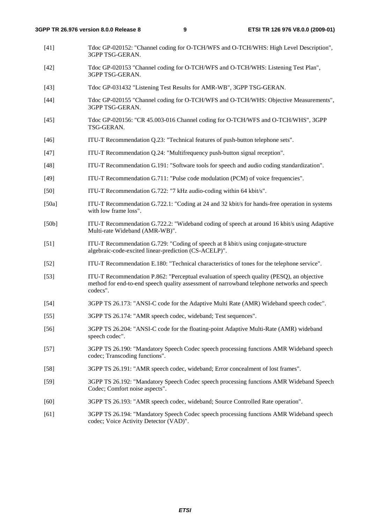- [41] Tdoc GP-020152: "Channel coding for O-TCH/WFS and O-TCH/WHS: High Level Description", 3GPP TSG-GERAN.
- [42] Tdoc GP-020153 "Channel coding for O-TCH/WFS and O-TCH/WHS: Listening Test Plan", 3GPP TSG-GERAN.
- [43] Tdoc GP-031432 "Listening Test Results for AMR-WB", 3GPP TSG-GERAN.
- [44] Tdoc GP-020155 "Channel coding for O-TCH/WFS and O-TCH/WHS: Objective Measurements", 3GPP TSG-GERAN.
- [45] Tdoc GP-020156: "CR 45.003-016 Channel coding for O-TCH/WFS and O-TCH/WHS", 3GPP TSG-GERAN.
- [46] ITU-T Recommendation Q.23: "Technical features of push-button telephone sets".
- [47] ITU-T Recommendation Q.24: "Multifrequency push-button signal reception".
- [48] ITU-T Recommendation G.191: "Software tools for speech and audio coding standardization".
- [49] ITU-T Recommendation G.711: "Pulse code modulation (PCM) of voice frequencies".
- [50] ITU-T Recommendation G.722: "7 kHz audio-coding within 64 kbit/s".
- [50a] ITU-T Recommendation G.722.1: "Coding at 24 and 32 kbit/s for hands-free operation in systems with low frame loss".
- [50b] ITU-T Recommendation G.722.2: "Wideband coding of speech at around 16 kbit/s using Adaptive Multi-rate Wideband (AMR-WB)".
- [51] ITU-T Recommendation G.729: "Coding of speech at 8 kbit/s using conjugate-structure algebraic-code-excited linear-prediction (CS-ACELP)".
- [52] ITU-T Recommendation E.180: "Technical characteristics of tones for the telephone service".
- [53] ITU-T Recommendation P.862: "Perceptual evaluation of speech quality (PESQ), an objective method for end-to-end speech quality assessment of narrowband telephone networks and speech codecs".
- [54] 3GPP TS 26.173: "ANSI-C code for the Adaptive Multi Rate (AMR) Wideband speech codec".
- [55] 3GPP TS 26.174: "AMR speech codec, wideband; Test sequences".
- [56] 3GPP TS 26.204: "ANSI-C code for the floating-point Adaptive Multi-Rate (AMR) wideband speech codec".
- [57] 3GPP TS 26.190: "Mandatory Speech Codec speech processing functions AMR Wideband speech codec; Transcoding functions".
- [58] 3GPP TS 26.191: "AMR speech codec, wideband; Error concealment of lost frames".
- [59] 3GPP TS 26.192: "Mandatory Speech Codec speech processing functions AMR Wideband Speech Codec; Comfort noise aspects".
- [60] 3GPP TS 26.193: "AMR speech codec, wideband; Source Controlled Rate operation".
- [61] 3GPP TS 26.194: "Mandatory Speech Codec speech processing functions AMR Wideband speech codec; Voice Activity Detector (VAD)".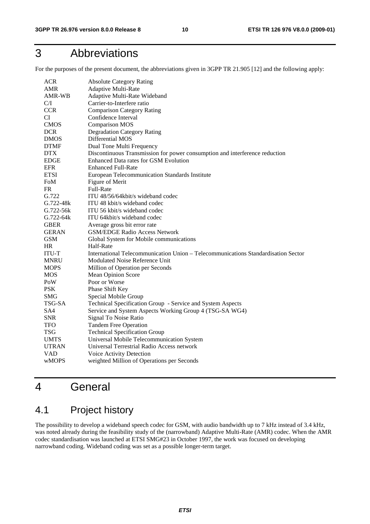## 3 Abbreviations

For the purposes of the present document, the abbreviations given in 3GPP TR 21.905 [12] and the following apply:

| <b>ACR</b>    | <b>Absolute Category Rating</b>                                                   |
|---------------|-----------------------------------------------------------------------------------|
| AMR           | Adaptive Multi-Rate                                                               |
| AMR-WB        | Adaptive Multi-Rate Wideband                                                      |
| C/I           | Carrier-to-Interfere ratio                                                        |
| <b>CCR</b>    | <b>Comparison Category Rating</b>                                                 |
| <b>CI</b>     | Confidence Interval                                                               |
| <b>CMOS</b>   | <b>Comparison MOS</b>                                                             |
| <b>DCR</b>    | <b>Degradation Category Rating</b>                                                |
| <b>DMOS</b>   | Differential MOS                                                                  |
| <b>DTMF</b>   | Dual Tone Multi Frequency                                                         |
| <b>DTX</b>    | Discontinuous Transmission for power consumption and interference reduction       |
| <b>EDGE</b>   | Enhanced Data rates for GSM Evolution                                             |
| <b>EFR</b>    | <b>Enhanced Full-Rate</b>                                                         |
| <b>ETSI</b>   | European Telecommunication Standards Institute                                    |
| FoM           | Figure of Merit                                                                   |
| <b>FR</b>     | Full-Rate                                                                         |
| G.722         | ITU 48/56/64kbit/s wideband codec                                                 |
| $G.722 - 48k$ | ITU 48 kbit/s wideband codec                                                      |
| $G.722 - 56k$ | ITU 56 kbit/s wideband codec                                                      |
| $G.722 - 64k$ | ITU 64kbit/s wideband codec                                                       |
| <b>GBER</b>   | Average gross bit error rate                                                      |
| <b>GERAN</b>  | <b>GSM/EDGE Radio Access Network</b>                                              |
| <b>GSM</b>    | Global System for Mobile communications                                           |
| <b>HR</b>     | Half-Rate                                                                         |
| <b>ITU-T</b>  | International Telecommunication Union – Telecommunications Standardisation Sector |
| MNRU          | Modulated Noise Reference Unit                                                    |
| <b>MOPS</b>   | Million of Operation per Seconds                                                  |
| <b>MOS</b>    | <b>Mean Opinion Score</b>                                                         |
| PoW           | Poor or Worse                                                                     |
| <b>PSK</b>    | Phase Shift Key                                                                   |
| <b>SMG</b>    | Special Mobile Group                                                              |
| TSG-SA        | Technical Specification Group - Service and System Aspects                        |
| SA4           | Service and System Aspects Working Group 4 (TSG-SA WG4)                           |
| <b>SNR</b>    | Signal To Noise Ratio                                                             |
| <b>TFO</b>    | <b>Tandem Free Operation</b>                                                      |
| <b>TSG</b>    | <b>Technical Specification Group</b>                                              |
| <b>UMTS</b>   | Universal Mobile Telecommunication System                                         |
| <b>UTRAN</b>  | Universal Terrestrial Radio Access network                                        |
| <b>VAD</b>    | Voice Activity Detection                                                          |
| wMOPS         | weighted Million of Operations per Seconds                                        |

## 4 General

### 4.1 Project history

The possibility to develop a wideband speech codec for GSM, with audio bandwidth up to 7 kHz instead of 3.4 kHz, was noted already during the feasibility study of the (narrowband) Adaptive Multi-Rate (AMR) codec. When the AMR codec standardisation was launched at ETSI SMG#23 in October 1997, the work was focused on developing narrowband coding. Wideband coding was set as a possible longer-term target.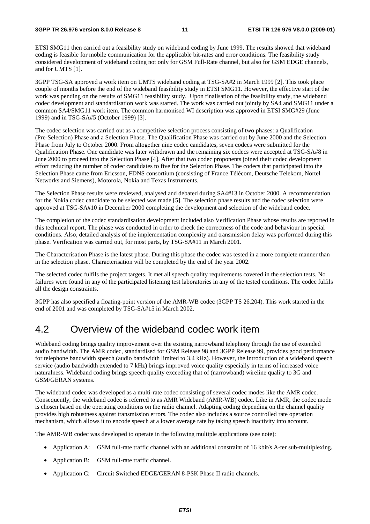ETSI SMG11 then carried out a feasibility study on wideband coding by June 1999. The results showed that wideband coding is feasible for mobile communication for the applicable bit-rates and error conditions. The feasibility study considered development of wideband coding not only for GSM Full-Rate channel, but also for GSM EDGE channels, and for UMTS [1].

3GPP TSG-SA approved a work item on UMTS wideband coding at TSG-SA#2 in March 1999 [2]. This took place couple of months before the end of the wideband feasibility study in ETSI SMG11. However, the effective start of the work was pending on the results of SMG11 feasibility study. Upon finalisation of the feasibility study, the wideband codec development and standardisation work was started. The work was carried out jointly by SA4 and SMG11 under a common SA4/SMG11 work item. The common harmonised WI description was approved in ETSI SMG#29 (June 1999) and in TSG-SA#5 (October 1999) [3].

The codec selection was carried out as a competitive selection process consisting of two phases: a Qualification (Pre-Selection) Phase and a Selection Phase. The Qualification Phase was carried out by June 2000 and the Selection Phase from July to October 2000. From altogether nine codec candidates, seven codecs were submitted for the Qualification Phase. One candidate was later withdrawn and the remaining six codecs were accepted at TSG-SA#8 in June 2000 to proceed into the Selection Phase [4]. After that two codec proponents joined their codec development effort reducing the number of codec candidates to five for the Selection Phase. The codecs that participated into the Selection Phase came from Ericsson, FDNS consortium (consisting of France Télécom, Deutsche Telekom, Nortel Networks and Siemens), Motorola, Nokia and Texas Instruments.

The Selection Phase results were reviewed, analysed and debated during SA4#13 in October 2000. A recommendation for the Nokia codec candidate to be selected was made [5]. The selection phase results and the codec selection were approved at TSG-SA#10 in December 2000 completing the development and selection of the wideband codec.

The completion of the codec standardisation development included also Verification Phase whose results are reported in this technical report. The phase was conducted in order to check the correctness of the code and behaviour in special conditions. Also, detailed analysis of the implementation complexity and transmission delay was performed during this phase. Verification was carried out, for most parts, by TSG-SA#11 in March 2001.

The Characterisation Phase is the latest phase. During this phase the codec was tested in a more complete manner than in the selection phase. Characterisation will be completed by the end of the year 2002.

The selected codec fulfils the project targets. It met all speech quality requirements covered in the selection tests. No failures were found in any of the participated listening test laboratories in any of the tested conditions. The codec fulfils all the design constraints.

3GPP has also specified a floating-point version of the AMR-WB codec (3GPP TS 26.204). This work started in the end of 2001 and was completed by TSG-SA#15 in March 2002.

#### 4.2 Overview of the wideband codec work item

Wideband coding brings quality improvement over the existing narrowband telephony through the use of extended audio bandwidth. The AMR codec, standardised for GSM Release 98 and 3GPP Release 99, provides good performance for telephone bandwidth speech (audio bandwidth limited to 3.4 kHz). However, the introduction of a wideband speech service (audio bandwidth extended to 7 kHz) brings improved voice quality especially in terms of increased voice naturalness. Wideband coding brings speech quality exceeding that of (narrowband) wireline quality to 3G and GSM/GERAN systems.

The wideband codec was developed as a multi-rate codec consisting of several codec modes like the AMR codec. Consequently, the wideband codec is referred to as AMR Wideband (AMR-WB) codec. Like in AMR, the codec mode is chosen based on the operating conditions on the radio channel. Adapting coding depending on the channel quality provides high robustness against transmission errors. The codec also includes a source controlled rate operation mechanism, which allows it to encode speech at a lower average rate by taking speech inactivity into account.

The AMR-WB codec was developed to operate in the following multiple applications (see note):

- Application A: GSM full-rate traffic channel with an additional constraint of 16 kbit/s A-ter sub-multiplexing.
- Application B: GSM full-rate traffic channel.
- Application C: Circuit Switched EDGE/GERAN 8-PSK Phase II radio channels.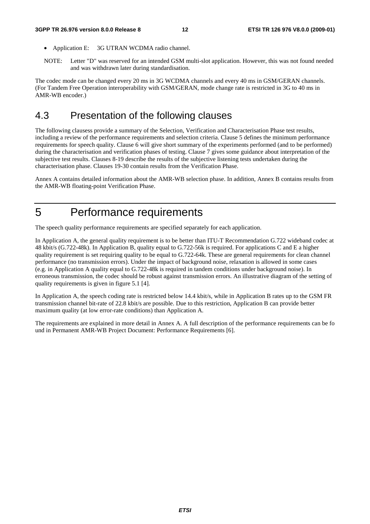#### **3GPP TR 26.976 version 8.0.0 Release 8 12 ETSI TR 126 976 V8.0.0 (2009-01)**

- Application E: 3G UTRAN WCDMA radio channel.
- NOTE: Letter "D" was reserved for an intended GSM multi-slot application. However, this was not found needed and was withdrawn later during standardisation.

The codec mode can be changed every 20 ms in 3G WCDMA channels and every 40 ms in GSM/GERAN channels. (For Tandem Free Operation interoperability with GSM/GERAN, mode change rate is restricted in 3G to 40 ms in AMR-WB encoder.)

#### 4.3 Presentation of the following clauses

The following clausess provide a summary of the Selection, Verification and Characterisation Phase test results, including a review of the performance requirements and selection criteria. Clause 5 defines the minimum performance requirements for speech quality. Clause 6 will give short summary of the experiments performed (and to be performed) during the characterisation and verification phases of testing. Clause 7 gives some guidance about interpretation of the subjective test results. Clauses 8-19 describe the results of the subjective listening tests undertaken during the characterisation phase. Clauses 19-30 contain results from the Verification Phase.

Annex A contains detailed information about the AMR-WB selection phase. In addition, Annex B contains results from the AMR-WB floating-point Verification Phase.

## 5 Performance requirements

The speech quality performance requirements are specified separately for each application.

In Application A, the general quality requirement is to be better than ITU-T Recommendation G.722 wideband codec at 48 kbit/s (G.722-48k). In Application B, quality equal to G.722-56k is required. For applications C and E a higher quality requirement is set requiring quality to be equal to G.722-64k. These are general requirements for clean channel performance (no transmission errors). Under the impact of background noise, relaxation is allowed in some cases (e.g. in Application A quality equal to G.722-48k is required in tandem conditions under background noise). In erroneous transmission, the codec should be robust against transmission errors. An illustrative diagram of the setting of quality requirements is given in figure 5.1 [4].

In Application A, the speech coding rate is restricted below 14.4 kbit/s, while in Application B rates up to the GSM FR transmission channel bit-rate of 22.8 kbit/s are possible. Due to this restriction, Application B can provide better maximum quality (at low error-rate conditions) than Application A.

The requirements are explained in more detail in Annex A. A full description of the performance requirements can be fo und in Permanent AMR-WB Project Document: Performance Requirements [6].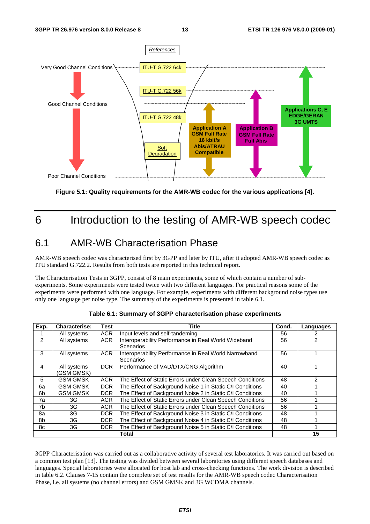

**Figure 5.1: Quality requirements for the AMR-WB codec for the various applications [4].** 

## 6 Introduction to the testing of AMR-WB speech codec

#### 6.1 AMR-WB Characterisation Phase

AMR-WB speech codec was characterised first by 3GPP and later by ITU, after it adopted AMR-WB speech codec as ITU standard G.722.2. Results from both tests are reported in this technical report.

The Characterisation Tests in 3GPP, consist of 8 main experiments, some of which contain a number of subexperiments. Some experiments were tested twice with two different languages. For practical reasons some of the experiments were performed with one language. For example, experiments with different background noise types use only one language per noise type. The summary of the experiments is presented in table 6.1.

| Exp.          | <b>Characterise:</b>      | <b>Test</b> | <b>Title</b>                                                       | Cond. | Languages |
|---------------|---------------------------|-------------|--------------------------------------------------------------------|-------|-----------|
|               | All systems               | <b>ACR</b>  | Input levels and self-tandeming                                    | 56    |           |
| $\mathcal{P}$ | All systems               | <b>ACR</b>  | Interoperability Performance in Real World Wideband<br>Scenarios   | 56    | 2         |
| 3             | All systems               | ACR.        | Interoperability Performance in Real World Narrowband<br>Scenarios | 56    |           |
| 4             | All systems<br>(GSM GMSK) | <b>DCR</b>  | Performance of VAD/DTX/CNG Algorithm                               |       |           |
| 5             | <b>GSM GMSK</b>           | <b>ACR</b>  | The Effect of Static Errors under Clean Speech Conditions          | 48    | 2         |
| 6а            | <b>GSM GMSK</b>           | <b>DCR</b>  | The Effect of Background Noise 1 in Static C/I Conditions          | 40    |           |
| 6b            | <b>GSM GMSK</b>           | DCR.        | The Effect of Background Noise 2 in Static C/I Conditions          | 40    |           |
| 7a            | 3G                        | <b>ACR</b>  | The Effect of Static Errors under Clean Speech Conditions          | 56    |           |
| 7b            | 3G                        | ACR.        | The Effect of Static Errors under Clean Speech Conditions          | 56    |           |
| 8a            | 3G                        | <b>DCR</b>  | The Effect of Background Noise 3 in Static C/I Conditions          | 48    |           |
| 8b            | 3G                        | <b>DCR</b>  | The Effect of Background Noise 4 in Static C/I Conditions          | 48    |           |
| 8с            | 3G                        | <b>DCR</b>  | The Effect of Background Noise 5 in Static C/I Conditions          |       |           |
|               |                           |             | Total                                                              |       | 15        |

**Table 6.1: Summary of 3GPP characterisation phase experiments** 

3GPP Characterisation was carried out as a collaborative activity of several test laboratories. It was carried out based on a common test plan [13]. The testing was divided between several laboratories using different speech databases and languages. Special laboratories were allocated for host lab and cross-checking functions. The work division is described in table 6.2. Clauses 7-15 contain the complete set of test results for the AMR-WB speech codec Characterisation Phase, i.e. all systems (no channel errors) and GSM GMSK and 3G WCDMA channels.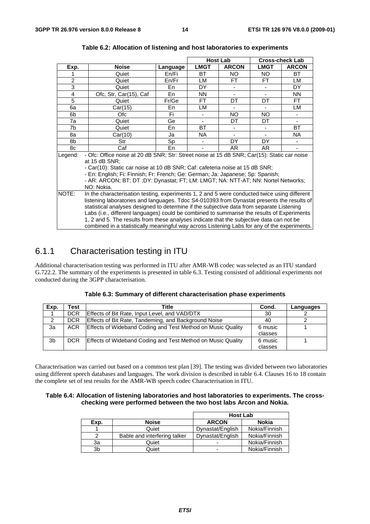|                |                                                                                                                                                                                                                                                                                                                                                                                                                                                                                                                                                                                   | <b>Host Lab</b> |             |              |           | <b>Cross-check Lab</b> |  |
|----------------|-----------------------------------------------------------------------------------------------------------------------------------------------------------------------------------------------------------------------------------------------------------------------------------------------------------------------------------------------------------------------------------------------------------------------------------------------------------------------------------------------------------------------------------------------------------------------------------|-----------------|-------------|--------------|-----------|------------------------|--|
| Exp.           | <b>Noise</b>                                                                                                                                                                                                                                                                                                                                                                                                                                                                                                                                                                      | Language        | <b>LMGT</b> | <b>ARCON</b> | LMGT      | <b>ARCON</b>           |  |
|                | Quiet                                                                                                                                                                                                                                                                                                                                                                                                                                                                                                                                                                             | En/Fi           | <b>BT</b>   | NO.          | NO.       | <b>BT</b>              |  |
| $\overline{c}$ | Quiet                                                                                                                                                                                                                                                                                                                                                                                                                                                                                                                                                                             | En/Fr           | LM          | FT.          | FT.       | LM                     |  |
| $\overline{3}$ | Quiet                                                                                                                                                                                                                                                                                                                                                                                                                                                                                                                                                                             | En              | <b>DY</b>   |              |           | DY.                    |  |
| 4              | Ofc, Str, Car(15), Caf                                                                                                                                                                                                                                                                                                                                                                                                                                                                                                                                                            | En              | <b>NN</b>   |              |           | <b>NN</b>              |  |
| 5              | Quiet                                                                                                                                                                                                                                                                                                                                                                                                                                                                                                                                                                             | Fr/Ge           | FT.         | DT.          | <b>DT</b> | FT.                    |  |
| 6a             | Car(15)                                                                                                                                                                                                                                                                                                                                                                                                                                                                                                                                                                           | En              | LM          |              |           | LM                     |  |
| 6b             | Ofc.                                                                                                                                                                                                                                                                                                                                                                                                                                                                                                                                                                              | Fi.             |             | <b>NO</b>    | NO.       |                        |  |
| 7a             | Quiet                                                                                                                                                                                                                                                                                                                                                                                                                                                                                                                                                                             | Ge              |             | DT           | DT        |                        |  |
| 7b             | Quiet                                                                                                                                                                                                                                                                                                                                                                                                                                                                                                                                                                             | En              | ВT          |              |           | BT.                    |  |
| 8а             | Car(10)                                                                                                                                                                                                                                                                                                                                                                                                                                                                                                                                                                           | Ja              | NA.         |              |           | NA.                    |  |
| 8b             | Str                                                                                                                                                                                                                                                                                                                                                                                                                                                                                                                                                                               | Sp              |             | DY.          | DY.       |                        |  |
| 8c             | Caf                                                                                                                                                                                                                                                                                                                                                                                                                                                                                                                                                                               | En              |             | AR.          | AR.       |                        |  |
| Legend:        | - Ofc: Office noise at 20 dB SNR; Str: Street noise at 15 dB SNR; Car(15): Static car noise<br>at 15 dB SNR;<br>- Car(10): Static car noise at 10 dB SNR; Caf: cafeteria noise at 15 dB SNR;<br>- En: English; Fi: Finnish; Fr: French; Ge: German; Ja: Japanese; Sp: Spanish;<br>- AR: ARCON; BT; DT; DY: Dynastat; FT; LM: LMGT; NA: NTT-AT; NN: Nortel Networks;<br>NO: Nokia.                                                                                                                                                                                                 |                 |             |              |           |                        |  |
| NOTE:          | In the characterisation testing, experiments 1, 2 and 5 were conducted twice using different<br>listening laboratories and languages. Tdoc S4-010393 from Dynastat presents the results of<br>statistical analyses designed to determine if the subjective data from separate Listening<br>Labs (i.e., different languages) could be combined to summarise the results of Experiments<br>1, 2 and 5. The results from these analyses indicate that the subjective data can not be<br>combined in a statistically meaningful way across Listening Labs for any of the experiments. |                 |             |              |           |                        |  |

#### **Table 6.2: Allocation of listening and host laboratories to experiments**

#### 6.1.1 Characterisation testing in ITU

Additional characterisation testing was performed in ITU after AMR-WB codec was selected as an ITU standard G.722.2. The summary of the experiments is presented in table 6.3. Testing consisted of additional experiments not conducted during the 3GPP characterisation.

| Exp. | 「est       | Title                                                       | Cond.   | Languages |
|------|------------|-------------------------------------------------------------|---------|-----------|
|      | <b>DCR</b> | <b>Effects of Bit Rate, Input Level, and VAD/DTX</b>        | 30      |           |
|      | <b>DCR</b> | Effects of Bit Rate, Tandeming, and Background Noise        | 40      |           |
| Зa   | <b>ACR</b> | Effects of Wideband Coding and Test Method on Music Quality | 6 music |           |
|      |            |                                                             | classes |           |
| 3b   | <b>DCR</b> | Effects of Wideband Coding and Test Method on Music Quality | 6 music |           |
|      |            |                                                             | classes |           |

|  | Table 6.3: Summary of different characterisation phase experiments |  |
|--|--------------------------------------------------------------------|--|
|--|--------------------------------------------------------------------|--|

Characterisation was carried out based on a common test plan [39]. The testing was divided between two laboratories using different speech databases and languages. The work division is described in table 6.4. Clauses 16 to 18 contain the complete set of test results for the AMR-WB speech codec Characterisation in ITU.

#### **Table 6.4: Allocation of listening laboratories and host laboratories to experiments. The crosschecking were performed between the two host labs Arcon and Nokia.**

|      |                              | <b>Host Lab</b>  |               |  |
|------|------------------------------|------------------|---------------|--|
| Exp. | <b>Noise</b>                 | <b>ARCON</b>     | Nokia         |  |
|      | Quiet                        | Dynastat/English | Nokia/Finnish |  |
|      | Bable and interfering talker | Dynastat/English | Nokia/Finnish |  |
| За   | Quiet                        |                  | Nokia/Finnish |  |
| 3b   | Quiet                        | -                | Nokia/Finnish |  |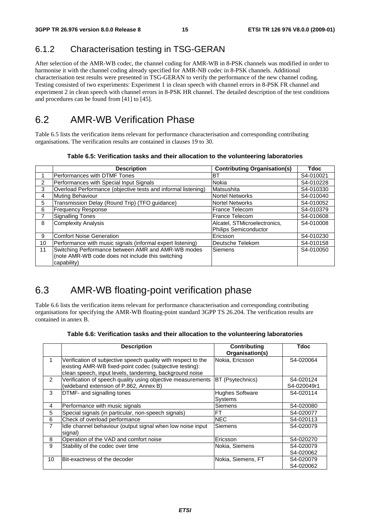#### 6.1.2 Characterisation testing in TSG-GERAN

After selection of the AMR-WB codec, the channel coding for AMR-WB in 8-PSK channels was modified in order to harmonise it with the channel coding already specified for AMR-NB codec in 8-PSK channels. Additional characterisation test results were presented in TSG-GERAN to verify the performance of the new channel coding. Testing consisted of two experiments: Experiment 1 in clean speech with channel errors in 8-PSK FR channel and experiment 2 in clean speech with channel errors in 8-PSK HR channel. The detailed description of the test conditions and procedures can be found from [41] to [45].

#### 6.2 AMR-WB Verification Phase

Table 6.5 lists the verification items relevant for performance characterisation and corresponding contributing organisations. The verification results are contained in clauses 19 to 30.

| Table 6.5: Verification tasks and their allocation to the volunteering laboratories |  |  |  |  |
|-------------------------------------------------------------------------------------|--|--|--|--|
|-------------------------------------------------------------------------------------|--|--|--|--|

|    | <b>Description</b>                                            | <b>Contributing Organisation(s)</b> | Tdoc      |
|----|---------------------------------------------------------------|-------------------------------------|-----------|
|    | Performances with DTMF Tones                                  | IBT                                 | S4-010021 |
| 2  | Performances with Special Input Signals                       | <b>Nokia</b>                        | S4-010228 |
| 3  | Overload Performance (objective tests and informal listening) | Matsushita                          | S4-010330 |
| 4  | Muting Behaviour                                              | Nortel Networks                     | S4-010040 |
| 5  | Transmission Delay (Round Trip) (TFO guidance)                | Nortel Networks                     | S4-010052 |
| 6  | <b>Frequency Response</b>                                     | lFrance Telecom                     | S4-010379 |
|    | <b>Signalling Tones</b>                                       | lFrance Telecom                     | S4-010608 |
| 8  | Complexity Analysis                                           | Alcatel, STMicroelectronics,        | S4-010008 |
|    |                                                               | Philips Semiconductor               |           |
| 9  | Comfort Noise Generation                                      | Ericsson                            | S4-010230 |
| 10 | Performance with music signals (informal expert listening)    | Deutsche Telekom                    | S4-010158 |
| 11 | Switching Performance between AMR and AMR-WB modes            | Siemens                             | S4-010050 |
|    | (note AMR-WB code does not include this switching             |                                     |           |
|    | capability)                                                   |                                     |           |

#### 6.3 AMR-WB floating-point verification phase

Table 6.6 lists the verification items relevant for performance characterisation and corresponding contributing organisations for specifying the AMR-WB floating-point standard 3GPP TS 26.204. The verification results are contained in annex B.

|  |  |  |  | Table 6.6: Verification tasks and their allocation to the volunteering laboratories |  |
|--|--|--|--|-------------------------------------------------------------------------------------|--|
|--|--|--|--|-------------------------------------------------------------------------------------|--|

|                | <b>Description</b>                                            | <b>Contributing</b>    | Tdoc        |
|----------------|---------------------------------------------------------------|------------------------|-------------|
|                |                                                               | Organisation(s)        |             |
|                | Verification of subjective speech quality with respect to the | Nokia, Ericsson        | S4-020064   |
|                | existing AMR-WB fixed-point codec (subjective testing):       |                        |             |
|                | clean speech, input levels, tandeming, background noise       |                        |             |
| $\mathcal{P}$  | Verification of speech quality using objective measurements   | BT (Psytechnics)       | S4-020124   |
|                | (wideband extension of P.862, Annex B)                        |                        | S4-020049r1 |
| 3              | DTMF- and signalling tones                                    | <b>Hughes Software</b> | S4-020114   |
|                |                                                               | <b>Systems</b>         |             |
| 4              | Performance with music signals                                | Siemens                | S4-020080   |
| 5              | Special signals (in particular, non-speech signals)           | FT                     | S4-020077   |
| 6              | Check of overload performance                                 | <b>NEC</b>             | S4-020113   |
| $\overline{7}$ | Idle channel behaviour (output signal when low noise input    | Siemens                | S4-020079   |
|                | signal)                                                       |                        |             |
| 8              | Operation of the VAD and comfort noise                        | Ericsson               | S4-020270   |
| 9              | Stability of the codec over time                              | Nokia, Siemens         | S4-020079   |
|                |                                                               |                        | S4-020062   |
| 10             | Bit-exactness of the decoder                                  | Nokia, Siemens, FT     | S4-020079   |
|                |                                                               |                        | S4-020062   |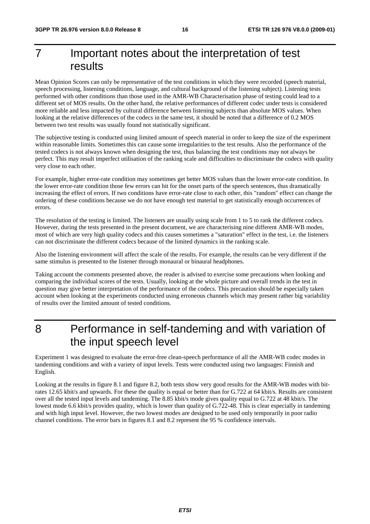## 7 Important notes about the interpretation of test results

Mean Opinion Scores can only be representative of the test conditions in which they were recorded (speech material, speech processing, listening conditions, language, and cultural background of the listening subject). Listening tests performed with other conditions than those used in the AMR-WB Characterisation phase of testing could lead to a different set of MOS results. On the other hand, the relative performances of different codec under tests is considered more reliable and less impacted by cultural difference between listening subjects than absolute MOS values. When looking at the relative differences of the codecs in the same test, it should be noted that a difference of 0.2 MOS between two test results was usually found not statistically significant.

The subjective testing is conducted using limited amount of speech material in order to keep the size of the experiment within reasonable limits. Sometimes this can cause some irregularities to the test results. Also the performance of the tested codecs is not always known when designing the test, thus balancing the test conditions may not always be perfect. This may result imperfect utilisation of the ranking scale and difficulties to discriminate the codecs with quality very close to each other.

For example, higher error-rate condition may sometimes get better MOS values than the lower error-rate condition. In the lower error-rate condition those few errors can hit for the onset parts of the speech sentences, thus dramatically increasing the effect of errors. If two conditions have error-rate close to each other, this "random" effect can change the ordering of these conditions because we do not have enough test material to get statistically enough occurrences of errors.

The resolution of the testing is limited. The listeners are usually using scale from 1 to 5 to rank the different codecs. However, during the tests presented in the present document, we are characterising nine different AMR-WB modes, most of which are very high quality codecs and this causes sometimes a "saturation" effect in the test, i.e. the listeners can not discriminate the different codecs because of the limited dynamics in the ranking scale.

Also the listening environment will affect the scale of the results. For example, the results can be very different if the same stimulus is presented to the listener through monaural or binaural headphones.

Taking account the comments presented above, the reader is advised to exercise some precautions when looking and comparing the individual scores of the tests. Usually, looking at the whole picture and overall trends in the test in question may give better interpretation of the performance of the codecs. This precaution should be especially taken account when looking at the experiments conducted using erroneous channels which may present rather big variability of results over the limited amount of tested conditions.

### 8 Performance in self-tandeming and with variation of the input speech level

Experiment 1 was designed to evaluate the error-free clean-speech performance of all the AMR-WB codec modes in tandeming conditions and with a variety of input levels. Tests were conducted using two languages: Finnish and English.

Looking at the results in figure 8.1 and figure 8.2, both tests show very good results for the AMR-WB modes with bitrates 12.65 kbit/s and upwards. For these the quality is equal or better than for G.722 at 64 kbit/s. Results are consistent over all the tested input levels and tandeming. The 8.85 kbit/s mode gives quality equal to G.722 at 48 kbit/s. The lowest mode 6.6 kbit/s provides quality, which is lower than quality of G.722-48. This is clear especially in tandeming and with high input level. However, the two lowest modes are designed to be used only temporarily in poor radio channel conditions. The error bars in figures 8.1 and 8.2 represent the 95 % confidence intervals.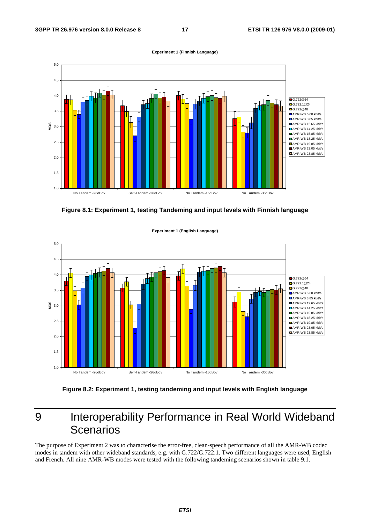

**Figure 8.1: Experiment 1, testing Tandeming and input levels with Finnish language** 



**Experiment 1 (English Language)**

**Figure 8.2: Experiment 1, testing tandeming and input levels with English language** 

## 9 Interoperability Performance in Real World Wideband **Scenarios**

The purpose of Experiment 2 was to characterise the error-free, clean-speech performance of all the AMR-WB codec modes in tandem with other wideband standards, e.g. with G.722/G.722.1. Two different languages were used, English and French. All nine AMR-WB modes were tested with the following tandeming scenarios shown in table 9.1.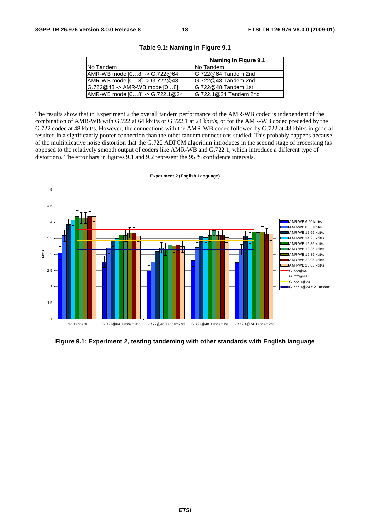|                                      | Naming in Figure 9.1  |
|--------------------------------------|-----------------------|
| No Tandem                            | <b>No Tandem</b>      |
| $ AMR-WB$ mode $[08]$ -> $G.722@64$  | IG.722@64 Tandem 2nd  |
| $AMR-WB$ mode $[08]$ -> G.722 $@48$  | G.722@48 Tandem 2nd   |
| $[G.722@48 -> AMR-WB mode [08]$      | G.722@48 Tandem 1st   |
| $ AMR-WB$ mode $[08]$ -> G.722.1 @24 | G.722.1@24 Tandem 2nd |

**Table 9.1: Naming in Figure 9.1** 

The results show that in Experiment 2 the overall tandem performance of the AMR-WB codec is independent of the combination of AMR-WB with G.722 at 64 kbit/s or G.722.1 at 24 kbit/s, or for the AMR-WB codec preceded by the G.722 codec at 48 kbit/s. However, the connections with the AMR-WB codec followed by G.722 at 48 kbit/s in general resulted in a significantly poorer connection than the other tandem connections studied. This probably happens because of the multiplicative noise distortion that the G.722 ADPCM algorithm introduces in the second stage of processing (as opposed to the relatively smooth output of coders like AMR-WB and G.722.1, which introduce a different type of distortion). The error bars in figures 9.1 and 9.2 represent the 95 % confidence intervals.



**Experiment 2 (English Language)**

**Figure 9.1: Experiment 2, testing tandeming with other standards with English language**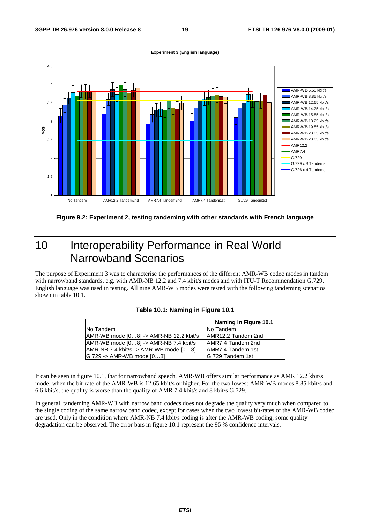

#### **Experiment 3 (English language)**



## 10 Interoperability Performance in Real World Narrowband Scenarios

The purpose of Experiment 3 was to characterise the performances of the different AMR-WB codec modes in tandem with narrowband standards, e.g. with AMR-NB 12.2 and 7.4 kbit/s modes and with ITU-T Recommendation G.729. English language was used in testing. All nine AMR-WB modes were tested with the following tandeming scenarios shown in table 10.1.

|                                            | Naming in Figure 10.1     |
|--------------------------------------------|---------------------------|
| No Tandem                                  | <b>No Tandem</b>          |
| AMR-WB mode [08] -> AMR-NB 12.2 kbit/s     | AMR12.2 Tandem 2nd        |
| $ AMR-WB$ mode $[08]$ -> AMR-NB 7.4 kbit/s | <b>JAMR7.4 Tandem 2nd</b> |
| $AMR-NB$ 7.4 kbit/s -> AMR-WB mode $[08]$  | AMR7.4 Tandem 1st         |
| G.729 -> AMR-WB mode [08]                  | IG.729 Tandem 1st         |

#### **Table 10.1: Naming in Figure 10.1**

It can be seen in figure 10.1, that for narrowband speech, AMR-WB offers similar performance as AMR 12.2 kbit/s mode, when the bit-rate of the AMR-WB is 12.65 kbit/s or higher. For the two lowest AMR-WB modes 8.85 kbit/s and 6.6 kbit/s, the quality is worse than the quality of AMR 7.4 kbit/s and 8 kbit/s G.729.

In general, tandeming AMR-WB with narrow band codecs does not degrade the quality very much when compared to the single coding of the same narrow band codec, except for cases when the two lowest bit-rates of the AMR-WB codec are used. Only in the condition where AMR-NB 7.4 kbit/s coding is after the AMR-WB coding, some quality degradation can be observed. The error bars in figure 10.1 represent the 95 % confidence intervals.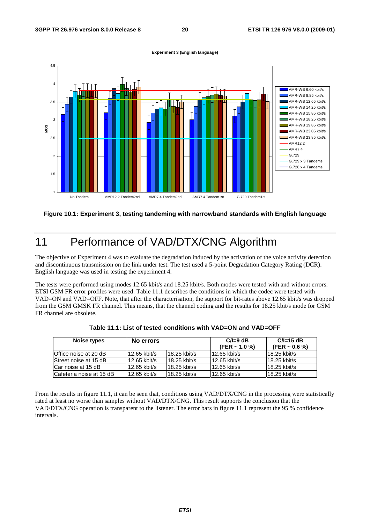

**Experiment 3 (English language)**

#### **Figure 10.1: Experiment 3, testing tandeming with narrowband standards with English language**

## 11 Performance of VAD/DTX/CNG Algorithm

The objective of Experiment 4 was to evaluate the degradation induced by the activation of the voice activity detection and discontinuous transmission on the link under test. The test used a 5-point Degradation Category Rating (DCR). English language was used in testing the experiment 4.

The tests were performed using modes 12.65 kbit/s and 18.25 kbit/s. Both modes were tested with and without errors. ETSI GSM FR error profiles were used. Table 11.1 describes the conditions in which the codec were tested with VAD=ON and VAD=OFF. Note, that after the characterisation, the support for bit-rates above 12.65 kbit/s was dropped from the GSM GMSK FR channel. This means, that the channel coding and the results for 18.25 kbit/s mode for GSM FR channel are obsolete.

| Noise types              | No errors    |                | $C/I=9$ dB<br>(FER $\sim$ 1.0 %) | $C/I=15$ dB<br>(FER $\sim$ 0.6 %) |
|--------------------------|--------------|----------------|----------------------------------|-----------------------------------|
| Office noise at 20 dB    | 12.65 kbit/s | 18.25 kbit/s   | $12.65$ kbit/s                   | 18.25 kbit/s                      |
| Street noise at 15 dB    | 12.65 kbit/s | $18.25$ kbit/s | 12.65 kbit/s                     | 18.25 kbit/s                      |
| Car noise at 15 dB       | 12.65 kbit/s | 18.25 kbit/s   | $12.65$ kbit/s                   | 18.25 kbit/s                      |
| Cafeteria noise at 15 dB | 12.65 kbit/s | 18.25 kbit/s   | 12.65 kbit/s                     | 18.25 kbit/s                      |

|  |  | Table 11.1: List of tested conditions with VAD=ON and VAD=OFF_ |
|--|--|----------------------------------------------------------------|
|--|--|----------------------------------------------------------------|

From the results in figure 11.1, it can be seen that, conditions using VAD/DTX/CNG in the processing were statistically rated at least no worse than samples without VAD/DTX/CNG. This result supports the conclusion that the VAD/DTX/CNG operation is transparent to the listener. The error bars in figure 11.1 represent the 95 % confidence intervals.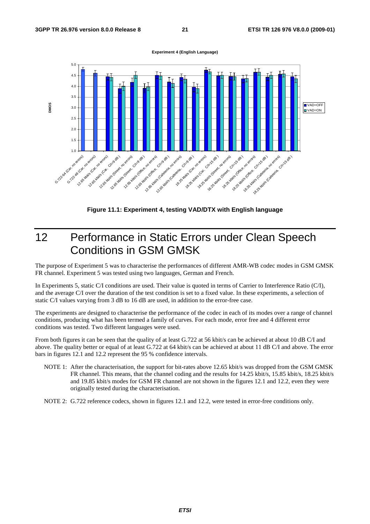



**Figure 11.1: Experiment 4, testing VAD/DTX with English language** 

## 12 Performance in Static Errors under Clean Speech Conditions in GSM GMSK

The purpose of Experiment 5 was to characterise the performances of different AMR-WB codec modes in GSM GMSK FR channel. Experiment 5 was tested using two languages, German and French.

In Experiments 5, static C/I conditions are used. Their value is quoted in terms of Carrier to Interference Ratio (C/I), and the average C/I over the duration of the test condition is set to a fixed value. In these experiments, a selection of static C/I values varying from 3 dB to 16 dB are used, in addition to the error-free case.

The experiments are designed to characterise the performance of the codec in each of its modes over a range of channel conditions, producing what has been termed a family of curves. For each mode, error free and 4 different error conditions was tested. Two different languages were used.

From both figures it can be seen that the quality of at least G.722 at 56 kbit/s can be achieved at about 10 dB C/I and above. The quality better or equal of at least G.722 at 64 kbit/s can be achieved at about 11 dB C/I and above. The error bars in figures 12.1 and 12.2 represent the 95 % confidence intervals.

NOTE 1: After the characterisation, the support for bit-rates above 12.65 kbit/s was dropped from the GSM GMSK FR channel. This means, that the channel coding and the results for 14.25 kbit/s, 15.85 kbit/s, 18.25 kbit/s and 19.85 kbit/s modes for GSM FR channel are not shown in the figures 12.1 and 12.2, even they were originally tested during the characterisation.

NOTE 2: G.722 reference codecs, shown in figures 12.1 and 12.2, were tested in error-free conditions only.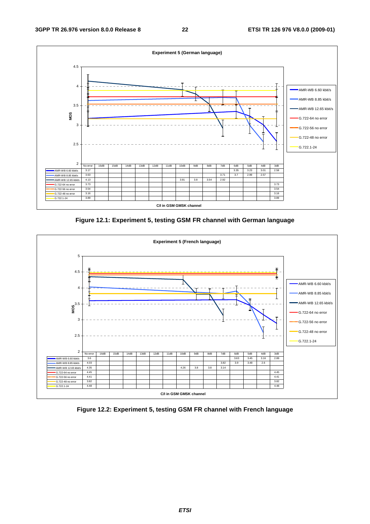

**Figure 12.1: Experiment 5, testing GSM FR channel with German language** 



**Figure 12.2: Experiment 5, testing GSM FR channel with French language**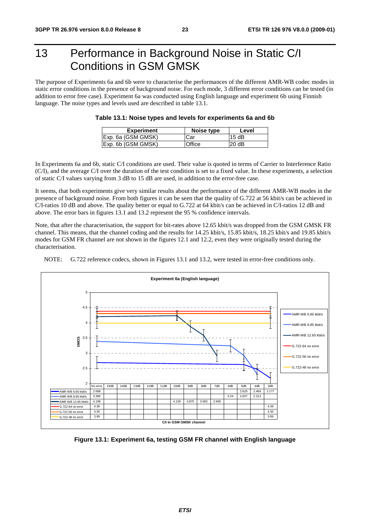## 13 Performance in Background Noise in Static C/I Conditions in GSM GMSK

The purpose of Experiments 6a and 6b were to characterise the performances of the different AMR-WB codec modes in static error conditions in the presence of background noise. For each mode, 3 different error conditions can be tested (in addition to error free case). Experiment 6a was conducted using English language and experiment 6b using Finnish language. The noise types and levels used are described in table 13.1.

| Experiment                 | Noise type | Level |
|----------------------------|------------|-------|
| Exp. 6a (GSM GMSK)         | Car        | 15 dB |
| <b>IExp. 6b (GSM GMSK)</b> | Office     | 20dB  |

| Table 13.1: Noise types and levels for experiments 6a and 6b |  |  |  |
|--------------------------------------------------------------|--|--|--|
|--------------------------------------------------------------|--|--|--|

In Experiments 6a and 6b, static C/I conditions are used. Their value is quoted in terms of Carrier to Interference Ratio (C/I), and the average C/I over the duration of the test condition is set to a fixed value. In these experiments, a selection of static C/I values varying from 3 dB to 15 dB are used, in addition to the error-free case.

It seems, that both experiments give very similar results about the performance of the different AMR-WB modes in the presence of background noise. From both figures it can be seen that the quality of G.722 at 56 kbit/s can be achieved in C/I-ratios 10 dB and above. The quality better or equal to G.722 at 64 kbit/s can be achieved in C/I-ratios 12 dB and above. The error bars in figures 13.1 and 13.2 represent the 95 % confidence intervals.

Note, that after the characterisation, the support for bit-rates above 12.65 kbit/s was dropped from the GSM GMSK FR channel. This means, that the channel coding and the results for 14.25 kbit/s, 15.85 kbit/s, 18.25 kbit/s and 19.85 kbit/s modes for GSM FR channel are not shown in the figures 12.1 and 12.2, even they were originally tested during the characterisation.

NOTE: G.722 reference codecs, shown in Figures 13.1 and 13.2, were tested in error-free conditions only.



**Figure 13.1: Experiment 6a, testing GSM FR channel with English language**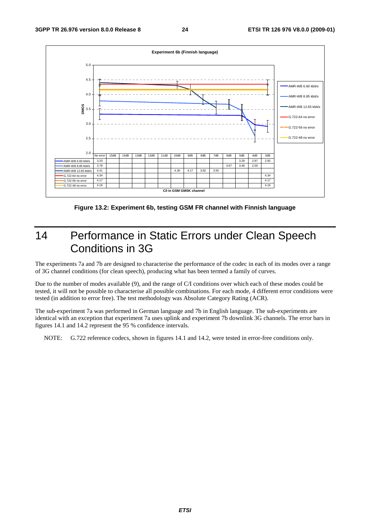

**Figure 13.2: Experiment 6b, testing GSM FR channel with Finnish language** 

### 14 Performance in Static Errors under Clean Speech Conditions in 3G

The experiments 7a and 7b are designed to characterise the performance of the codec in each of its modes over a range of 3G channel conditions (for clean speech), producing what has been termed a family of curves.

Due to the number of modes available (9), and the range of C/I conditions over which each of these modes could be tested, it will not be possible to characterise all possible combinations. For each mode, 4 different error conditions were tested (in addition to error free). The test methodology was Absolute Category Rating (ACR).

The sub-experiment 7a was performed in German language and 7b in English language. The sub-experiments are identical with an exception that experiment 7a uses uplink and experiment 7b downlink 3G channels. The error bars in figures 14.1 and 14.2 represent the 95 % confidence intervals.

NOTE: G.722 reference codecs, shown in figures 14.1 and 14.2, were tested in error-free conditions only.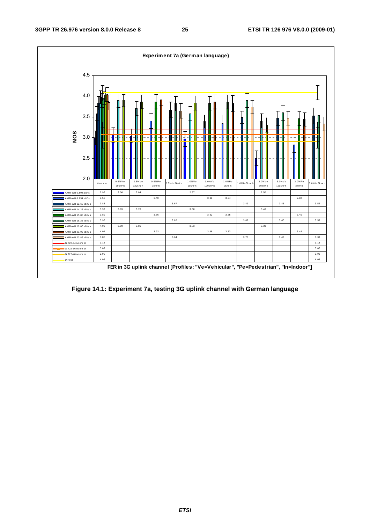

**Figure 14.1: Experiment 7a, testing 3G uplink channel with German language**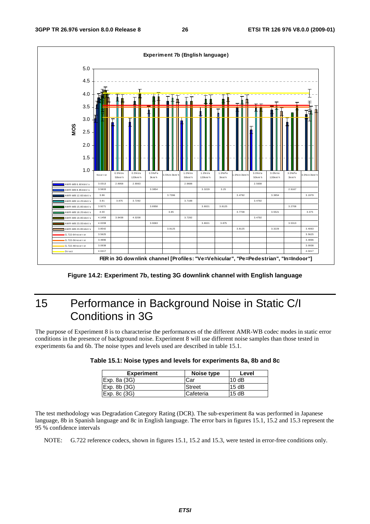

**Figure 14.2: Experiment 7b, testing 3G downlink channel with English language** 

## 15 Performance in Background Noise in Static C/I Conditions in 3G

The purpose of Experiment 8 is to characterise the performances of the different AMR-WB codec modes in static error conditions in the presence of background noise. Experiment 8 will use different noise samples than those tested in experiments 6a and 6b. The noise types and levels used are described in table 15.1.

| <b>Experiment</b>        | Noise type | Level |
|--------------------------|------------|-------|
| Exp. 8a (3G)             | Car        | 10dB  |
| Exp.8b(3G)               | Street     | 15dB  |
| $\mathsf{Exp}$ . 8c (3G) | Cafeteria  | 15dB  |

| Table 15.1: Noise types and levels for experiments 8a, 8b and 8c |  |
|------------------------------------------------------------------|--|
|------------------------------------------------------------------|--|

The test methodology was Degradation Category Rating (DCR). The sub-experiment 8a was performed in Japanese language, 8b in Spanish language and 8c in English language. The error bars in figures 15.1, 15.2 and 15.3 represent the 95 % confidence intervals

NOTE: G.722 reference codecs, shown in figures 15.1, 15.2 and 15.3, were tested in error-free conditions only.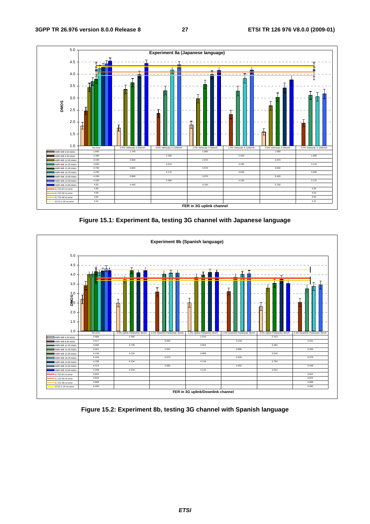

**Figure 15.1: Experiment 8a, testing 3G channel with Japanese language** 



**Figure 15.2: Experiment 8b, testing 3G channel with Spanish language**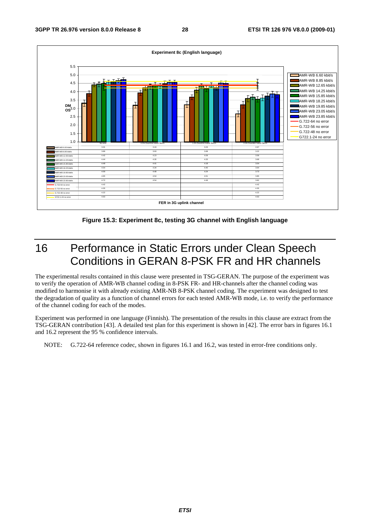

**Figure 15.3: Experiment 8c, testing 3G channel with English language** 

## 16 Performance in Static Errors under Clean Speech Conditions in GERAN 8-PSK FR and HR channels

The experimental results contained in this clause were presented in TSG-GERAN. The purpose of the experiment was to verify the operation of AMR-WB channel coding in 8-PSK FR- and HR-channels after the channel coding was modified to harmonise it with already existing AMR-NB 8-PSK channel coding. The experiment was designed to test the degradation of quality as a function of channel errors for each tested AMR-WB mode, i.e. to verify the performance of the channel coding for each of the modes.

Experiment was performed in one language (Finnish). The presentation of the results in this clause are extract from the TSG-GERAN contribution [43]. A detailed test plan for this experiment is shown in [42]. The error bars in figures 16.1 and 16.2 represent the 95 % confidence intervals.

NOTE: G.722-64 reference codec, shown in figures 16.1 and 16.2, was tested in error-free conditions only.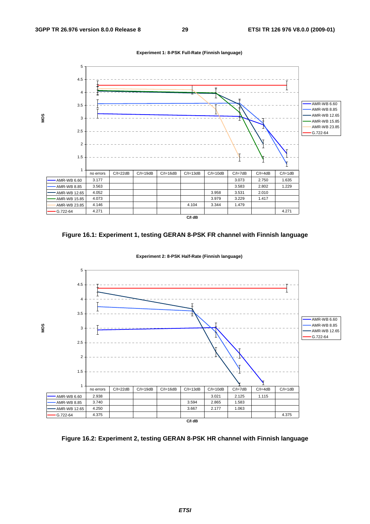







**Experiment 2: 8-PSK Half-Rate (Finnish language)**

**Figure 16.2: Experiment 2, testing GERAN 8-PSK HR channel with Finnish language**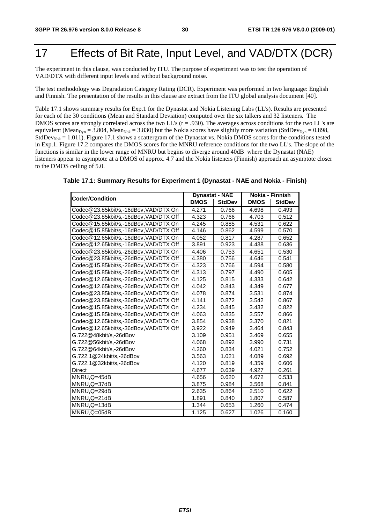## 17 Effects of Bit Rate, Input Level, and VAD/DTX (DCR)

The experiment in this clause, was conducted by ITU. The purpose of experiment was to test the operation of VAD/DTX with different input levels and without background noise.

The test methodology was Degradation Category Rating (DCR). Experiment was performed in two language: English and Finnish. The presentation of the results in this clause are extract from the ITU global analysis document [40].

Table 17.1 shows summary results for Exp.1 for the Dynastat and Nokia Listening Labs (LL's). Results are presented for each of the 30 conditions (Mean and Standard Deviation) computed over the six talkers and 32 listeners. The DMOS scores are strongly correlated across the two LL's (r = .930). The averages across conditions for the two LL's are equivalent (Mean<sub>Dyn</sub> = 3.804, Mean<sub>Nok</sub> = 3.830) but the Nokia scores have slightly more variation (StdDev<sub>Dyn</sub> = 0.898, StdDev<sub>Nok</sub> = 1.011). Figure 17.1 shows a scattergram of the Dynastat vs. Nokia DMOS scores for the conditions tested in Exp.1. Figure 17.2 compares the DMOS scores for the MNRU reference conditions for the two LL's. The slope of the functions is similar in the lower range of MNRU but begins to diverge around 40dB where the Dynastat (NAE) listeners appear to asymptote at a DMOS of approx. 4.7 and the Nokia listeners (Finnish) approach an asymptote closer to the DMOS ceiling of 5.0.

| Table 17.1: Summary Results for Experiment 1 (Dynastat - NAE and Nokia - Finish) |  |
|----------------------------------------------------------------------------------|--|
|----------------------------------------------------------------------------------|--|

| <b>Coder/Condition</b>                | <b>DMOS</b> | <b>Dynastat - NAE</b><br><b>StdDev</b> | Nokia - Finnish<br><b>DMOS</b> | <b>StdDev</b> |
|---------------------------------------|-------------|----------------------------------------|--------------------------------|---------------|
| Codec@23.85kbit/s,-16dBov,VAD/DTX On  | 4.271       | 0.766                                  | 4.698                          | 0.493         |
| Codec@23.85kbit/s,-16dBov,VAD/DTX Off | 4.323       | 0.766                                  | 4.703                          | 0.512         |
| Codec@15.85kbit/s,-16dBov,VAD/DTX On  | 4.245       | 0.885                                  | 4.531                          | 0.622         |
| Codec@15.85kbit/s,-16dBov,VAD/DTX Off | 4.146       | 0.862                                  | 4.599                          | 0.570         |
| Codec@12.65kbit/s,-16dBov,VAD/DTX On  | 4.052       | 0.817                                  | 4.287                          | 0.652         |
| Codec@12.65kbit/s,-16dBov,VAD/DTX Off | 3.891       | 0.923                                  | 4.438                          | 0.636         |
| Codec@23.85kbit/s,-26dBov,VAD/DTX On  | 4.406       | 0.753                                  | 4.651                          | 0.530         |
| Codec@23.85kbit/s,-26dBov,VAD/DTX Off | 4.380       | 0.756                                  | 4.646                          | 0.541         |
| Codec@15.85kbit/s,-26dBov,VAD/DTX On  | 4.323       | 0.766                                  | 4.594                          | 0.580         |
| Codec@15.85kbit/s,-26dBov,VAD/DTX Off | 4.313       | 0.797                                  | 4.490                          | 0.605         |
| Codec@12.65kbit/s,-26dBov,VAD/DTX On  | 4.125       | 0.815                                  | 4.333                          | 0.642         |
| Codec@12.65kbit/s,-26dBov,VAD/DTX Off | 4.042       | 0.843                                  | 4.349                          | 0.677         |
| Codec@23.85kbit/s,-36dBov,VAD/DTX On  | 4.078       | 0.874                                  | 3.531                          | 0.874         |
| Codec@23.85kbit/s,-36dBov,VAD/DTX Off | 4.141       | 0.872                                  | 3.542                          | 0.867         |
| Codec@15.85kbit/s,-36dBov,VAD/DTX On  | 4.234       | 0.845                                  | 3.432                          | 0.822         |
| Codec@15.85kbit/s,-36dBov,VAD/DTX Off | 4.063       | 0.835                                  | 3.557                          | 0.866         |
| Codec@12.65kbit/s,-36dBov,VAD/DTX On  | 3.854       | 0.938                                  | 3.370                          | 0.821         |
| Codec@12.65kbit/s,-36dBov,VAD/DTX Off | 3.922       | 0.949                                  | 3.464                          | 0.843         |
| G.722@48kbit/s,-26dBov                | 3.109       | 0.951                                  | 3.469                          | 0.655         |
| G.722@56kbit/s,-26dBov                | 4.068       | 0.892                                  | 3.990                          | 0.731         |
| G.722@64kbit/s,-26dBov                | 4.260       | 0.834                                  | 4.021                          | 0.752         |
| G.722.1@24kbit/s,-26dBov              | 3.563       | 1.021                                  | 4.089                          | 0.692         |
| G.722.1@32kbit/s,-26dBov              | 4.120       | 0.819                                  | 4.359                          | 0.606         |
| Direct                                | 4.677       | 0.639                                  | 4.927                          | 0.261         |
| MNRU, Q=45dB                          | 4.656       | 0.620                                  | 4.672                          | 0.533         |
| MNRU, Q=37dB                          | 3.875       | 0.984                                  | 3.568                          | 0.841         |
| MNRU, Q=29dB                          | 2.635       | 0.864                                  | 2.510                          | 0.622         |
| MNRU, Q=21dB                          | 1.891       | 0.840                                  | 1.807                          | 0.587         |
| MNRU, Q=13dB                          | 1.344       | 0.653                                  | 1.260                          | 0.474         |
| MNRU, Q=05dB                          | 1.125       | 0.627                                  | 1.026                          | 0.160         |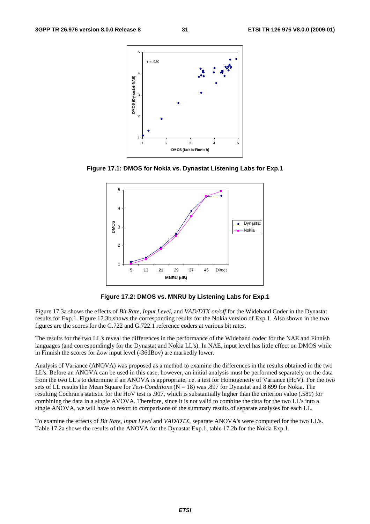

**Figure 17.1: DMOS for Nokia vs. Dynastat Listening Labs for Exp.1** 



**Figure 17.2: DMOS vs. MNRU by Listening Labs for Exp.1** 

Figure 17.3a shows the effects of *Bit Rate*, *Input Level*, and *VAD/DTX on/off* for the Wideband Coder in the Dynastat results for Exp.1. Figure 17.3b shows the corresponding results for the Nokia version of Exp.1. Also shown in the two figures are the scores for the G.722 and G.722.1 reference coders at various bit rates.

The results for the two LL's reveal the differences in the performance of the Wideband codec for the NAE and Finnish languages (and correspondingly for the Dynastat and Nokia LL's). In NAE, input level has little effect on DMOS while in Finnish the scores for *Low* input level (-36dBov) are markedly lower.

Analysis of Variance (ANOVA) was proposed as a method to examine the differences in the results obtained in the two LL's. Before an ANOVA can be used in this case, however, an initial analysis must be performed separately on the data from the two LL's to determine if an ANOVA is appropriate, i.e. a test for Homogeneity of Variance (HoV). For the two sets of LL results the Mean Square for *Test-Conditions* (N = 18) was .897 for Dynastat and 8.699 for Nokia. The resulting Cochran's statistic for the HoV test is .907, which is substantially higher than the criterion value (.581) for combining the data in a single AVOVA. Therefore, since it is not valid to combine the data for the two LL's into a single ANOVA, we will have to resort to comparisons of the summary results of separate analyses for each LL.

To examine the effects of *Bit Rate*, *Input Level* and *VAD/DTX*, separate ANOVA's were computed for the two LL's. Table 17.2a shows the results of the ANOVA for the Dynastat Exp.1, table 17.2b for the Nokia Exp.1.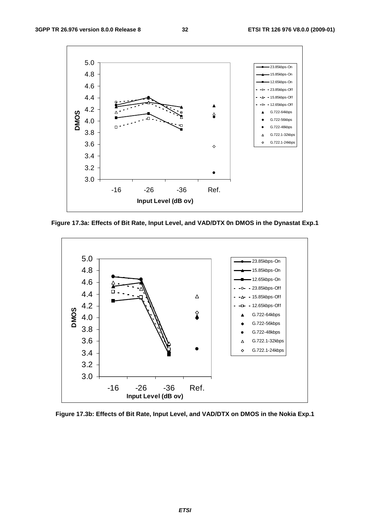

**Figure 17.3a: Effects of Bit Rate, Input Level, and VAD/DTX 0n DMOS in the Dynastat Exp.1** 



**Figure 17.3b: Effects of Bit Rate, Input Level, and VAD/DTX on DMOS in the Nokia Exp.1**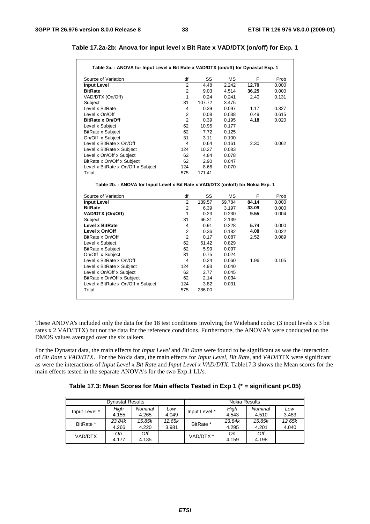#### **Table 17.2a-2b: Anova for input level x Bit Rate x VAD/DTX (on/off) for Exp. 1**

| Table 2a. - ANOVA for Input Level x Bit Rate x VAD/DTX (on/off) for Dynastat Exp. 1                                                                                                                                                                                                                                                       |                      |               |                |              |                |
|-------------------------------------------------------------------------------------------------------------------------------------------------------------------------------------------------------------------------------------------------------------------------------------------------------------------------------------------|----------------------|---------------|----------------|--------------|----------------|
| Source of Variation                                                                                                                                                                                                                                                                                                                       | df                   | SS            | <b>MS</b>      | F            | Prob           |
| <b>Input Level</b>                                                                                                                                                                                                                                                                                                                        | $\overline{2}$       | 4.48          | 2.242          | 12.70        | 0.000          |
| <b>BitRate</b>                                                                                                                                                                                                                                                                                                                            | $\overline{2}$       | 9.03          | 4.514          | 36.25        | 0.000          |
| VAD/DTX (On/Off)                                                                                                                                                                                                                                                                                                                          | $\mathbf{1}$         | 0.24          | 0.241          | 2.40         | 0.131          |
| Subject                                                                                                                                                                                                                                                                                                                                   | 31                   | 107.72        | 3.475          |              |                |
| Level x BitRate                                                                                                                                                                                                                                                                                                                           | 4                    | 0.39          | 0.097          | 1.17         | 0.327          |
| Level x On/Off                                                                                                                                                                                                                                                                                                                            | $\overline{2}$       | 0.08          | 0.038          | 0.49         | 0.615          |
| <b>BitRate x On/Off</b>                                                                                                                                                                                                                                                                                                                   | $\overline{2}$       | 0.39          | 0.195          | 4.18         | 0.020          |
| Level x Subject                                                                                                                                                                                                                                                                                                                           | 62                   | 10.95         | 0.177          |              |                |
| <b>BitRate x Subject</b>                                                                                                                                                                                                                                                                                                                  | 62                   | 7.72          | 0.125          |              |                |
| On/Off x Subject                                                                                                                                                                                                                                                                                                                          | 31                   | 3.11          | 0.100          |              |                |
| Level x BitRate x On/Off                                                                                                                                                                                                                                                                                                                  | $\overline{4}$       | 0.64          | 0.161          | 2.30         | 0.062          |
| Level x BitRate x Subject                                                                                                                                                                                                                                                                                                                 | 124                  | 10.27         | 0.083          |              |                |
| Level x On/Off x Subject                                                                                                                                                                                                                                                                                                                  | 62                   | 4.84          | 0.078          |              |                |
| BitRate x On/Off x Subject                                                                                                                                                                                                                                                                                                                | 62                   | 2.90          | 0.047          |              |                |
|                                                                                                                                                                                                                                                                                                                                           |                      |               |                |              |                |
|                                                                                                                                                                                                                                                                                                                                           | 124                  | 8.66          | 0.070          |              |                |
| Level x BitRate x On/Off x Subject<br>Total<br>Table 2b. - ANOVA for Input Level x Bit Rate x VAD/DTX (on/off) for Nokia Exp. 1                                                                                                                                                                                                           | 575                  | 171.41        |                |              |                |
|                                                                                                                                                                                                                                                                                                                                           |                      |               |                | F            |                |
| Source of Variation                                                                                                                                                                                                                                                                                                                       | df<br>$\overline{2}$ | SS            | МS             |              |                |
| <b>Input Level</b>                                                                                                                                                                                                                                                                                                                        |                      | 139.57        | 69.784         | 84.14        | Prob<br>0.000  |
|                                                                                                                                                                                                                                                                                                                                           | $\overline{2}$       | 6.39          | 3.197          | 33.09        | 0.000          |
|                                                                                                                                                                                                                                                                                                                                           | $\mathbf{1}$         | 0.23          | 0.230          | 9.55         | 0.004          |
|                                                                                                                                                                                                                                                                                                                                           | 31                   | 66.31         | 2.139          |              |                |
|                                                                                                                                                                                                                                                                                                                                           | 4                    | 0.91          | 0.228          | 5.74<br>4.08 | 0.000          |
|                                                                                                                                                                                                                                                                                                                                           | $\overline{2}$       | 0.36          | 0.182          |              |                |
|                                                                                                                                                                                                                                                                                                                                           | $\overline{2}$<br>62 | 0.17<br>51.42 | 0.087          | 2.52         |                |
|                                                                                                                                                                                                                                                                                                                                           |                      |               | 0.829          |              |                |
|                                                                                                                                                                                                                                                                                                                                           | 62                   | 5.99          | 0.097          |              | 0.022<br>0.089 |
|                                                                                                                                                                                                                                                                                                                                           | 31<br>4              | 0.75<br>0.24  | 0.024<br>0.060 | 1.96         |                |
|                                                                                                                                                                                                                                                                                                                                           | 124                  | 4.93          | 0.040          |              | 0.105          |
|                                                                                                                                                                                                                                                                                                                                           | 62                   | 2.77          | 0.045          |              |                |
|                                                                                                                                                                                                                                                                                                                                           |                      | 2.14          |                |              |                |
| <b>BitRate</b><br>VAD/DTX (On/Off)<br>Subject<br><b>Level x BitRate</b><br>Level x On/Off<br>BitRate x On/Off<br>Level x Subject<br><b>BitRate x Subject</b><br>On/Off x Subject<br>Level x BitRate x On/Off<br>Level x BitRate x Subject<br>Level x On/Off x Subject<br>BitRate x On/Off x Subject<br>Level x BitRate x On/Off x Subject | 62<br>124            | 3.82          | 0.034<br>0.031 |              |                |

These ANOVA's included only the data for the 18 test conditions involving the Wideband codec (3 input levels x 3 bit rates x 2 VAD/DTX) but not the data for the reference conditions. Furthermore, the ANOVA's were conducted on the DMOS values averaged over the six talkers.

For the Dynastat data, the main effects for *Input Level* and *Bit Rate* were found to be significant as was the interaction of *Bit Rate x VAD/DTX*. For the Nokia data, the main effects for *Input Level, Bit Rate,* and *VAD/*DTX were significant as were the interactions of *Input Level x Bit Rate* and *Input Level x VAD/DTX*. Table17.3 shows the Mean scores for the main effects tested in the separate ANOVA's for the two Exp.1 LL's.

| Table 17.3: Mean Scores for Main effects Tested in Exp 1 (* = significant p<.05) |  |  |  |  |  |  |  |  |
|----------------------------------------------------------------------------------|--|--|--|--|--|--|--|--|
|----------------------------------------------------------------------------------|--|--|--|--|--|--|--|--|

|               | <b>Dynastat Results</b> |         |        | Nokia Results |        |         |        |  |  |
|---------------|-------------------------|---------|--------|---------------|--------|---------|--------|--|--|
|               | High                    | Nominal | Low    |               | High   | Nominal | Low    |  |  |
| Input Level * | 4.155                   | 4.265   | 4.049  | Input Level * | 4.543  | 4.510   | 3.483  |  |  |
| BitRate *     | 23.84k                  | 15.85k  | 12.65k | BitRate *     | 23.84k | 15.85k  | 12.65k |  |  |
|               | 4.266                   | 4.220   | 3.981  |               | 4.295  | 4.201   | 4.040  |  |  |
| VAD/DTX       | Оn                      | Off     |        | VAD/DTX *     | Оn     | Off     |        |  |  |
|               | 4.177                   | 4.135   |        |               | 4.159  | 4.198   |        |  |  |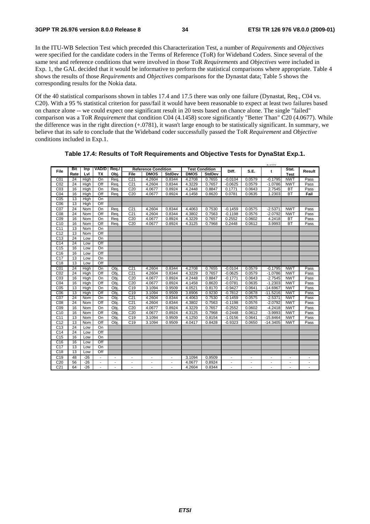$1.9666$ 

In the ITU-WB Selection Test which preceded this Characterization Test, a number of *Requirements* and *Objectives* were specified for the candidate coders in the Terms of Reference (ToR) for Wideband Coders. Since several of the same test and reference conditions that were involved in those ToR *Requirements* and *Objectives* were included in Exp. 1, the GAL decided that it would be informative to perform the statistical comparisons where appropriate. Table 4 shows the results of those *Requirements* and *Objectives* comparisons for the Dynastat data; Table 5 shows the corresponding results for the Nokia data.

Of the 40 statistical comparisons shown in tables 17.4 and 17.5 there was only one failure (Dynastat, Req., C04 vs. C20). With a 95 % statistical criterion for pass/fail it would have been reasonable to expect at least two failures based on chance alone -- we could expect one significant result in 20 tests based on chance alone. The single "failed" comparison was a ToR *Requirement* that condition C04 (4.1458) score significantly "Better Than" C20 (4.0677). While the difference was in the right direction (+.0781), it wasn't large enough to be statistically significant. In summary, we believe that its safe to conclude that the Wideband coder successfully passed the ToR *Requirement* and *Objective* conditions included in Exp.1.

| File            | Bit  | Inp   |                          | VAD/D   Req./            | <b>Reference Condition</b><br><b>Test Condition</b> |                          |                          |             | Diff.<br>S.E. | t                        | Stat.                    | Result                   |                          |                          |
|-----------------|------|-------|--------------------------|--------------------------|-----------------------------------------------------|--------------------------|--------------------------|-------------|---------------|--------------------------|--------------------------|--------------------------|--------------------------|--------------------------|
|                 | Rate | Lvl   | <b>TX</b>                | Obj.                     | File                                                | <b>DMOS</b>              | <b>StdDev</b>            | <b>DMOS</b> | <b>StdDev</b> |                          |                          |                          | <b>Test</b>              |                          |
| C01             | 24   | High  | On                       | Req.                     | C <sub>21</sub>                                     | 4.2604                   | 0.8344                   | 4.2708      | 0.7655        | $-0.0104$                | 0.0579                   | $-0.1795$                | <b>NWT</b>               | Pass                     |
| CO <sub>2</sub> | 24   | High  | Off                      | Rea.                     | C <sub>21</sub>                                     | 4.2604                   | 0.8344                   | 4.3229      | 0.7657        | $-0.0625$                | 0.0579                   | $-1.0786$                | <b>NWT</b>               | Pass                     |
| C <sub>03</sub> | 16   | High  | On                       | Req.                     | C <sub>20</sub>                                     | 4.0677                   | 0.8924                   | 4.2448      | 0.8847        | 0.1771                   | 0.0643                   | 2.7545                   | <b>BT</b>                | Pass                     |
| CO4             | 16   | High  | Off                      | Req.                     | C <sub>20</sub>                                     | 4.0677                   | 0.8924                   | 4.1458      | 0.8620        | 0.0781                   | 0.0635                   | 1.2303                   | <b>BT</b>                | Fail                     |
| C <sub>05</sub> | 13   | High  | On                       |                          |                                                     |                          |                          |             |               |                          |                          |                          |                          |                          |
| C <sub>06</sub> | 13   | High  | Off                      |                          |                                                     |                          |                          |             |               |                          |                          |                          |                          |                          |
| CO <sub>7</sub> | 24   | Nom   | On                       | Rea.                     | C <sub>21</sub>                                     | 4.2604                   | 0.8344                   | 4.4063      | 0.7530        | $-0.1459$                | 0.0575                   | $-2.5371$                | <b>NWT</b>               | Pass                     |
| C <sub>08</sub> | 24   | Nom   | Off                      | Req.                     | C <sub>21</sub>                                     | 4.2604                   | 0.8344                   | 4.3802      | 0.7563        | $-0.1198$                | 0.0576                   | $-2.0792$                | <b>NWT</b>               | Pass                     |
| C <sub>09</sub> | 16   | Nom   | On                       | Req.                     | C <sub>20</sub>                                     | 4.0677                   | 0.8924                   | 4.3229      | 0.7657        | 0.2552                   | 0.0602                   | 4.2418                   | <b>BT</b>                | Pass                     |
| C <sub>10</sub> | 16   | Nom   | Off                      | Req.                     | C <sub>20</sub>                                     | 4.0677                   | 0.8924                   | 4.3125      | 0.7968        | 0.2448                   | 0.0612                   | 3.9993                   | <b>BT</b>                | Pass                     |
| C <sub>11</sub> | 13   | Nom   | On                       |                          |                                                     |                          |                          |             |               |                          |                          |                          |                          |                          |
| C <sub>12</sub> | 13   | Nom   | Off                      |                          |                                                     |                          |                          |             |               |                          |                          |                          |                          |                          |
| C <sub>13</sub> | 24   | Low   | On                       |                          |                                                     |                          |                          |             |               |                          |                          |                          |                          |                          |
| C <sub>14</sub> | 24   | Low   | Off                      |                          |                                                     |                          |                          |             |               |                          |                          |                          |                          |                          |
| C <sub>15</sub> | 16   | Low   | On                       |                          |                                                     |                          |                          |             |               |                          |                          |                          |                          |                          |
| C <sub>16</sub> | 16   | Low   | Off                      |                          |                                                     |                          |                          |             |               |                          |                          |                          |                          |                          |
| C <sub>17</sub> | 13   | Low   | On                       |                          |                                                     |                          |                          |             |               |                          |                          |                          |                          |                          |
| C <sub>18</sub> | 13   | Low   | Off                      |                          |                                                     |                          |                          |             |               |                          |                          |                          |                          |                          |
| CO <sub>1</sub> | 24   | High  | On                       | Obi.                     | C <sub>21</sub>                                     | 4.2604                   | 0.8344                   | 4.2708      | 0.7655        | $-0.0104$                | 0.0579                   | $-0.1795$                | <b>NWT</b>               | Pass                     |
| CO <sub>2</sub> | 24   | High  | Off                      | Obj.                     | C <sub>21</sub>                                     | 4.2604                   | 0.8344                   | 4.3229      | 0.7657        | $-0.0625$                | 0.0579                   | $-1.0786$                | <b>NWT</b>               | Pass                     |
| C <sub>03</sub> | 16   | High  | On                       | Obi                      | C <sub>20</sub>                                     | 4.0677                   | 0.8924                   | 4.2448      | 0.8847        | $-0.1771$                | 0.0643                   | $-2.7545$                | <b>NWT</b>               | Pass                     |
| C <sub>04</sub> | 16   | High  | Off                      | Obi.                     | C <sub>20</sub>                                     | 4.0677                   | 0.8924                   | 4.1458      | 0.8620        | $-0.0781$                | 0.0635                   | $-1.2303$                | <b>NWT</b>               | Pass                     |
| C <sub>05</sub> | 13   | High  | On                       | Obi.                     | C <sub>19</sub>                                     | 3.1094                   | 0.9509                   | 4.0521      | 0.8170        | $-0.9427$                | 0.0641                   | $-14.6967$               | <b>NWT</b>               | Pass                     |
| C <sub>06</sub> | 13   | High  | Off                      | Obi.                     | C <sub>19</sub>                                     | 3.1094                   | 0.9509                   | 3.8906      | 0.9230        | $-0.7812$                | 0.0678                   | $-11.5216$               | <b>NWT</b>               | Pass                     |
| CO <sub>7</sub> | 24   | Nom   | On                       | Obi.                     | C <sub>21</sub>                                     | 4.2604                   | 0.8344                   | 4.4063      | 0.7530        | $-0.1459$                | 0.0575                   | $-2.5371$                | <b>NWT</b>               | Pass                     |
| C <sub>08</sub> | 24   | Nom   | Off                      | Obi.                     | C <sub>21</sub>                                     | 4.2604                   | 0.8344                   | 4.3802      | 0.7563        | $-0.1198$                | 0.0576                   | $-2.0792$                | <b>NWT</b>               | Pass                     |
| CO <sub>9</sub> | 16   | Nom   | On                       | Obi.                     | C <sub>20</sub>                                     | 4.0677                   | 0.8924                   | 4.3229      | 0.7657        | $-0.2552$                | 0.0602                   | $-4.2418$                | <b>NWT</b>               | Pass                     |
| C10             | 16   | Nom   | Off                      | Obi.                     | C <sub>20</sub>                                     | 4.0677                   | 0.8924                   | 4.3125      | 0.7968        | $-0.2448$                | 0.0612                   | $-3.9993$                | <b>NWT</b>               | Pass                     |
| C <sub>11</sub> | 13   | Nom   | On                       | Obi.                     | C <sub>19</sub>                                     | 3.1094                   | 0.9509                   | 4.1250      | 0.8154        | $-1.0156$                | 0.0641                   | $-15.8464$               | <b>NWT</b>               | Pass                     |
| C <sub>12</sub> | 13   | Nom   | Off                      | Obj.                     | C <sub>19</sub>                                     | 3.1094                   | 0.9509                   | 4.0417      | 0.8428        | $-0.9323$                | 0.0650                   | $-14.3405$               | <b>NWT</b>               | Pass                     |
| C <sub>13</sub> | 24   | Low   | On                       |                          |                                                     |                          |                          |             |               |                          |                          |                          |                          |                          |
| C <sub>14</sub> | 24   | Low   | Off                      |                          |                                                     |                          |                          |             |               |                          |                          |                          |                          |                          |
| C <sub>15</sub> | 16   | Low   | On                       |                          |                                                     |                          |                          |             |               |                          |                          |                          |                          |                          |
| C <sub>16</sub> | 16   | Low   | Off                      |                          |                                                     |                          |                          |             |               |                          |                          |                          |                          |                          |
| C <sub>17</sub> | 13   | Low   | On                       |                          |                                                     |                          |                          |             |               |                          |                          |                          |                          |                          |
| C <sub>18</sub> | 13   | Low   | Off                      |                          |                                                     |                          |                          |             |               |                          |                          |                          |                          |                          |
| C <sub>19</sub> | 48   | $-26$ | $\blacksquare$           | $\overline{\phantom{a}}$ | $\overline{\phantom{a}}$                            | $\overline{\phantom{a}}$ | $\overline{\phantom{a}}$ | 3.1094      | 0.9509        | $\overline{\phantom{a}}$ | $\overline{\phantom{a}}$ | $\overline{\phantom{a}}$ | $\overline{\phantom{a}}$ | $\overline{\phantom{a}}$ |
| C <sub>20</sub> | 56   | $-26$ | $\overline{\phantom{a}}$ | $\blacksquare$           | $\overline{a}$                                      | $\overline{\phantom{0}}$ | $\overline{\phantom{m}}$ | 4.0677      | 0.8924        | $\overline{\phantom{m}}$ | $\overline{a}$           | $\overline{\phantom{a}}$ | $\blacksquare$           | $\overline{\phantom{a}}$ |
| C <sub>21</sub> | 64   | $-26$ | $\overline{a}$           | $\overline{a}$           | $\blacksquare$                                      | $\blacksquare$           | $\overline{\phantom{a}}$ | 4.2604      | 0.8344        | $\overline{\phantom{a}}$ | $\overline{a}$           | $\overline{a}$           | $\blacksquare$           | $\blacksquare$           |

**Table 17.4: Results of ToR Requirements and Objective Tests for DynaStat Exp.1.**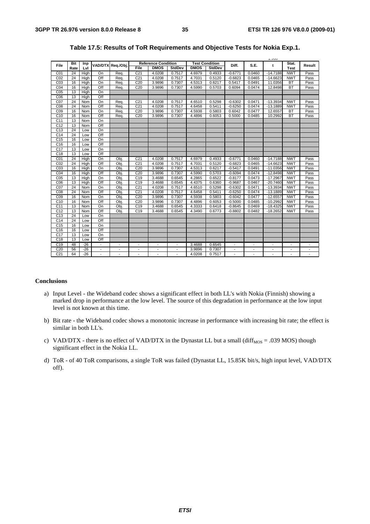|                 |            |       |                              |                          |                 |                          |                          |             |                            | 1.500                    |                          |                          |                          |                          |   |       |        |
|-----------------|------------|-------|------------------------------|--------------------------|-----------------|--------------------------|--------------------------|-------------|----------------------------|--------------------------|--------------------------|--------------------------|--------------------------|--------------------------|---|-------|--------|
| File            | <b>Bit</b> | Inp   |                              |                          |                 |                          | VAD/DTX Reg./Obj.        |             | <b>Reference Condition</b> |                          |                          | <b>Test Condition</b>    | Diff.                    | S.E.                     | t | Stat. | Result |
|                 | Rate       | Lvl   |                              |                          | File            | <b>DMOS</b>              | <b>StdDev</b>            | <b>DMOS</b> | StdDev                     |                          |                          |                          | Test                     |                          |   |       |        |
| CO <sub>1</sub> | 24         | High  | On                           | Req.                     | C <sub>21</sub> | 4.0208                   | 0.7517                   | 4.6979      | 0.4933                     | $-0.6771$                | 0.0460                   | $-14.7188$               | <b>NWT</b>               | Pass                     |   |       |        |
| CO <sub>2</sub> | 24         | High  | Off                          | Req.                     | C <sub>21</sub> | 4.0208                   | 0.7517                   | 4.7031      | 0.5120                     | $-0.6823$                | 0.0465                   | $-14.6623$               | <b>NWT</b>               | Pass                     |   |       |        |
| C <sub>03</sub> | 16         | High  | On                           | Rea.                     | C <sub>20</sub> | 3.9896                   | 0.7307                   | 4.5313      | 0.6217                     | 0.5417                   | 0.0491                   | 11.0356                  | <b>BT</b>                | Pass                     |   |       |        |
| CO <sub>4</sub> | 16         | High  | Off                          | Req.                     | C <sub>20</sub> | 3.9896                   | 0.7307                   | 4.5990      | 0.5703                     | 0.6094                   | 0.0474                   | 12.8498                  | BT                       | Pass                     |   |       |        |
| C <sub>05</sub> | 13         | High  | On                           |                          |                 |                          |                          |             |                            |                          |                          |                          |                          |                          |   |       |        |
| C06             | 13         | High  | Off                          |                          |                 |                          |                          |             |                            |                          |                          |                          |                          |                          |   |       |        |
| C07             | 24         | Nom   | On                           | Rea.                     | C <sub>21</sub> | 4.0208                   | 0.7517                   | 4.6510      | 0.5298                     | $-0.6302$                | 0.0471                   | $-13.3934$               | <b>NWT</b>               | Pass                     |   |       |        |
| C <sub>08</sub> | 24         | Nom   | Off                          | Req.                     | C <sub>21</sub> | 4.0208                   | 0.7517                   | 4.6458      | 0.5411                     | $-0.6250$                | 0.0474                   | $-13.1889$               | <b>NWT</b>               | Pass                     |   |       |        |
| CO <sub>9</sub> | 16         | Nom   | On                           | Req.                     | C <sub>20</sub> | 3.9896                   | 0.7307                   | 4.5938      | 0.5803                     | 0.6042                   | 0.0477                   | 12.6557                  | <b>BT</b>                | Pass                     |   |       |        |
| C10             | 16         | Nom   | Off                          | Req.                     | C <sub>20</sub> | 3.9896                   | 0.7307                   | 4.4896      | 0.6053                     | 0.5000                   | 0.0485                   | 10.2992                  | <b>BT</b>                | Pass                     |   |       |        |
| C <sub>11</sub> | 13         | Nom   | On                           |                          |                 |                          |                          |             |                            |                          |                          |                          |                          |                          |   |       |        |
| C <sub>12</sub> | 13         | Nom   | Off                          |                          |                 |                          |                          |             |                            |                          |                          |                          |                          |                          |   |       |        |
| C13             | 24         | Low   | On                           |                          |                 |                          |                          |             |                            |                          |                          |                          |                          |                          |   |       |        |
| C <sub>14</sub> | 24         | Low   | Off                          |                          |                 |                          |                          |             |                            |                          |                          |                          |                          |                          |   |       |        |
| C <sub>15</sub> | 16         | Low   | On                           |                          |                 |                          |                          |             |                            |                          |                          |                          |                          |                          |   |       |        |
| C16             | 16         | Low   | Off                          |                          |                 |                          |                          |             |                            |                          |                          |                          |                          |                          |   |       |        |
| C <sub>17</sub> | 13         | Low   | On                           |                          |                 |                          |                          |             |                            |                          |                          |                          |                          |                          |   |       |        |
| C <sub>18</sub> | 13         | Low   | Off                          |                          |                 |                          |                          |             |                            |                          |                          |                          |                          |                          |   |       |        |
| CO <sub>1</sub> | 24         | High  | On                           | Obj                      | C <sub>21</sub> | 4.0208                   | 0.7517                   | 4.6979      | 0.4933                     | $-0.6771$                | 0.0460                   | $-14.7188$               | <b>NWT</b>               | Pass                     |   |       |        |
| CO <sub>2</sub> | 24         | High  | Off                          | Obi                      | C <sub>21</sub> | 4.0208                   | 0.7517                   | 4.7031      | 0.5120                     | $-0.6823$                | 0.0465                   | $-14.6623$               | <b>NWT</b>               | Pass                     |   |       |        |
| C <sub>03</sub> | 16         | High  | On                           | Obj                      | C <sub>20</sub> | 3.9896                   | 0.7307                   | 4.5313      | 0.6217                     | $-0.5417$                | 0.0491                   | $-11.0356$               | <b>NWT</b>               | Pass                     |   |       |        |
| CO <sub>4</sub> | 16         | High  | Off                          | Obj                      | C <sub>20</sub> | 3.9896                   | 0.7307                   | 4.5990      | 0.5703                     | $-0.6094$                | 0.0474                   | $-12.8498$               | <b>NWT</b>               | Pass                     |   |       |        |
| C <sub>05</sub> | 13         | High  | On                           | Obj                      | C <sub>19</sub> | 3.4688                   | 0.6545                   | 4.2865      | 0.6522                     | $-0.8177$                | 0.0473                   | $-17.2967$               | <b>NWT</b>               | Pass                     |   |       |        |
| C06             | 13         | High  | Off                          | Obi                      | C <sub>19</sub> | 3.4688                   | 0.6545                   | 4.4375      | 0.6360                     | $-0.9687$                | 0.0467                   | $-20.7460$               | <b>NWT</b>               | Pass                     |   |       |        |
| CO <sub>7</sub> | 24         | Nom   | On                           | Obj.                     | C <sub>21</sub> | 4.0208                   | 0.7517                   | 4.6510      | 0.5298                     | $-0.6302$                | 0.0471                   | $-13.3934$               | <b>NWT</b>               | Pass                     |   |       |        |
| C <sub>08</sub> | 24         | Nom   | Off                          | Obj.                     | C <sub>21</sub> | 4.0208                   | 0.7517                   | 4.6458      | 0.5411                     | $-0.6250$                | 0.0474                   | $-13.1889$               | <b>NWT</b>               | Pass                     |   |       |        |
| C <sub>09</sub> | 16         | Nom   | On                           | Obj                      | C <sub>20</sub> | 3.9896                   | 0.7307                   | 4.5938      | 0.5803                     | $-0.6042$                | 0.0477                   | $-12.6557$               | <b>NWT</b>               | Pass                     |   |       |        |
| C10             | 16         | Nom   | Off                          | Obj                      | C <sub>20</sub> | 3.9896                   | 0.7307                   | 4.4896      | 0.6053                     | $-0.5000$                | 0.0485                   | $-10.2992$               | <b>NWT</b>               | Pass                     |   |       |        |
| C <sub>11</sub> | 13         | Nom   | On                           | Obj                      | C <sub>19</sub> | 3.4688                   | 0.6545                   | 4.3333      | 0.6418                     | $-0.8645$                | 0.0469                   | $-18.4325$               | <b>NWT</b>               | Pass                     |   |       |        |
| C <sub>12</sub> | 13         | Nom   | Off                          | Obi                      | C <sub>19</sub> | 3.4688                   | 0.6545                   | 4.3490      | 0.6773                     | $-0.8802$                | 0.0482                   | $-18.2652$               | <b>NWT</b>               | Pass                     |   |       |        |
| C <sub>13</sub> | 24         | Low   | On                           |                          |                 |                          |                          |             |                            |                          |                          |                          |                          |                          |   |       |        |
| C <sub>14</sub> | 24         | Low   | Off                          |                          |                 |                          |                          |             |                            |                          |                          |                          |                          |                          |   |       |        |
| C <sub>15</sub> | 16         | Low   | On                           |                          |                 |                          |                          |             |                            |                          |                          |                          |                          |                          |   |       |        |
| C16             | 16         | Low   | Off                          |                          |                 |                          |                          |             |                            |                          |                          |                          |                          |                          |   |       |        |
| C <sub>17</sub> | 13         | Low   | On                           |                          |                 |                          |                          |             |                            |                          |                          |                          |                          |                          |   |       |        |
| C18             | 13         | Low   | Off                          |                          |                 |                          |                          |             |                            |                          |                          |                          |                          |                          |   |       |        |
| C <sub>19</sub> | 48         | $-26$ | $\qquad \qquad \blacksquare$ |                          |                 | $\overline{\phantom{a}}$ |                          | 3.4688      | 0.6545                     |                          |                          | $\overline{\phantom{a}}$ |                          |                          |   |       |        |
| C <sub>20</sub> | 56         | $-26$ | $\overline{\phantom{a}}$     | $\overline{\phantom{a}}$ | $\overline{a}$  | $\overline{a}$           | $\overline{\phantom{a}}$ | 3.9896      | 0.7307                     | $\overline{\phantom{a}}$ | $\overline{\phantom{a}}$ | $\overline{\phantom{a}}$ | $\overline{\phantom{a}}$ | $\overline{\phantom{a}}$ |   |       |        |
| C <sub>21</sub> | 64         | $-26$ |                              |                          |                 | $\overline{\phantom{0}}$ |                          | 4.0208      | 0.7517                     |                          |                          | $\overline{\phantom{a}}$ |                          | $\overline{\phantom{a}}$ |   |       |        |

#### **Table 17.5: Results of ToR Requirements and Objective Tests for Nokia Exp.1.**

#### **Conclusions**

- a) Input Level the Wideband codec shows a significant effect in both LL's with Nokia (Finnish) showing a marked drop in performance at the low level. The source of this degradation in performance at the low input level is not known at this time.
- b) Bit rate the Wideband codec shows a monotonic increase in performance with increasing bit rate; the effect is similar in both LL's.
- c) VAD/DTX there is no effect of VAD/DTX in the Dynastat LL but a small (diff<sub>MOS</sub> = .039 MOS) though significant effect in the Nokia LL.
- d) ToR of 40 ToR comparisons, a single ToR was failed (Dynastat LL, 15.85K bit/s, high input level, VAD/DTX off).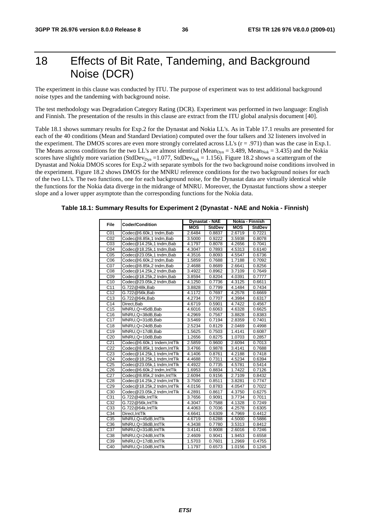# 18 Effects of Bit Rate, Tandeming, and Background Noise (DCR)

The experiment in this clause was conducted by ITU. The purpose of experiment was to test additional background noise types and the tandeming with background noise.

The test methodology was Degradation Category Rating (DCR). Experiment was performed in two language: English and Finnish. The presentation of the results in this clause are extract from the ITU global analysis document [40].

Table 18.1 shows summary results for Exp.2 for the Dynastat and Nokia LL's. As in Table 17.1 results are presented for each of the 40 conditions (Mean and Standard Deviation) computed over the four talkers and 32 listeners involved in the experiment. The DMOS scores are even more strongly correlated across LL's  $(r = .971)$  than was the case in Exp.1. The Means across conditions for the two LL's are almost identical (Mean<sub>Dyn</sub> = 3.489, Mean<sub>Nok</sub> = 3.435) and the Nokia scores have slightly more variation (StdDev<sub>Dyn</sub> = 1.077, StdDev<sub>Nok</sub> = 1.156). Figure 18.2 shows a scattergram of the Dynastat and Nokia DMOS scores for Exp.2 with separate symbols for the two background noise conditions involved in the experiment. Figure 18.2 shows DMOS for the MNRU reference conditions for the two background noises for each of the two LL's. The two functions, one for each background noise, for the Dynastat data are virtually identical while the functions for the Nokia data diverge in the midrange of MNRU. Moreover, the Dynastat functions show a steeper slope and a lower upper asymptote than the corresponding functions for the Nokia data.

#### **Table 18.1: Summary Results for Experiment 2 (Dynastat - NAE and Nokia - Finnish)**

| File              | <b>Coder/Condition</b>     |            | <b>Dynastat - NAE</b> | Nokia - Finnish |               |  |
|-------------------|----------------------------|------------|-----------------------|-----------------|---------------|--|
|                   |                            | <b>MOS</b> | <b>StdDev</b>         | <b>MOS</b>      | <b>StdDev</b> |  |
| CO <sub>1</sub>   | Codec@6.60k,1 tndm,Bab     | 2.6484     | 0.8837                | 2.6719          | 0.7221        |  |
| CO <sub>2</sub>   | Codec@8.85k,1 tndm,Bab     | 3.5000     | 0.9222                | 3.5938          | 0.8078        |  |
| CO <sub>3</sub>   | Codec@14.25k,1 tndm,Bab    | 4.1797     | 0.8078                | 4.2656          | 0.7041        |  |
| CO <sub>4</sub>   | Codec@18.25k,1 tndm,Bab    | 4.3047     | 0.7893                | 4.5313          | 0.6140        |  |
| CO <sub>5</sub>   | Codec@23.05k,1 tndm,Bab    | 4.3516     | 0.8093                | 4.5547          | 0.6736        |  |
| C <sub>06</sub>   | Codec@6.60k,2 tndm,Bab     | 1.5859     | 0.7688                | 1.7188          | 0.7092        |  |
| CO7               | Codec@8.85k,2 tndm,Bab     | 2.4688     | 0.8689                | 2.6641          | 0.8256        |  |
| CO8               | Codec@14.25k,2 tndm,Bab    | 3.4922     | 0.8962                | 3.7109          | 0.7649        |  |
| C <sub>09</sub>   | Codec@18.25k,2 tndm,Bab    | 3.8594     | 0.8204                | 4.0391          | 0.7777        |  |
| C10               | Codec@23.05k,2 tndm,Bab    | 4.1250     | 0.7736                | 4.3125          | 0.6611        |  |
| C <sub>11</sub>   | G.722@48k,Bab              | 3.8828     | 0.7799                | 4.1484          | 0.7434        |  |
| $\overline{C}$ 12 | G.722@56k,Bab              | 4.1172     | 0.7697                | 4.2578          | 0.6669        |  |
| C13               | G.722@64k.Bab              | 4.2734     | 0.7707                | 4.3984          | 0.6317        |  |
| C <sub>14</sub>   | Direct.Bab                 | 4.6719     | 0.5901                | 4.7422          | 0.4567        |  |
| C <sub>15</sub>   | MNRU, Q=45dB, Bab          | 4.6016     | 0.6063                | 4.6328          | 0.6625        |  |
| C16               | MNRU, Q=38dB, Bab          | 4.2969     | 0.7567                | 3.8828          | 0.8383        |  |
| C <sub>17</sub>   | MNRU, Q=31dB, Bab          | 3.5469     | 0.7194                | 2.8359          | 0.7401        |  |
| C <sub>18</sub>   | MNRU, Q=24dB, Bab          | 2.5234     | 0.8129                | 2.0469          | 0.4998        |  |
| C19               | MNRU, Q=17dB, Bab          | 1.5625     | 0.7503                | 1.4141          | 0.6087        |  |
| C20               | MNRU, Q=10dB, Bab          | 1.2656     | 0.8275                | 1.0703          | 0.2857        |  |
| C <sub>21</sub>   | Codec@6.60k,1 tndem,IntTlk | 2.5859     | 0.9600                | 2.6094          | 0.7013        |  |
| C <sub>22</sub>   | Codec@8.85k,1 tndem,IntTlk | 3.4766     | 0.9878                | 3.4141          | 0.7688        |  |
| C <sub>23</sub>   | Codec@14.25k.1 tndm.IntTlk | 4.1406     | 0.8761                | 4.2188          | 0.7418        |  |
| C <sub>24</sub>   | Codec@18.25k,1 tndm,IntTlk | 4.4688     | 0.7311                | 4.5234          | 0.6394        |  |
| C <sub>25</sub>   | Codec@23.05k,1 tndm,IntTlk | 4.4922     | 0.7735                | 4.5781          | 0.5414        |  |
| C <sub>26</sub>   | Codec@6.60k,2 tndm,IntTlk  | 1.6953     | 0.8834                | 1.7422          | 0.7126        |  |
| C <sub>27</sub>   | Codec@8.85k,2 tndm,IntTlk  | 2.6094     | 0.9156                | 2.7109          | 0.8432        |  |
| C <sub>28</sub>   | Codec@14.25k,2 tndm,IntTlk | 3.7500     | 0.8511                | 3.8281          | 0.7747        |  |
| C <sub>29</sub>   | Codec@18.25k,2 tndm,IntTlk | 4.0156     | 0.8783                | 4.0547          | 0.7022        |  |
| C <sub>30</sub>   | Codec@23.05k,2 tndm,IntTlk | 4.2891     | 0.8617                | 4.3750          | 0.6275        |  |
| C31               | G.722@48k,IntTlk           | 3.7656     | 0.9091                | 3.7734          | 0.7011        |  |
| C <sub>32</sub>   | G.722@56k,IntTlk           | 4.3047     | 0.7588                | 4.1328          | 0.7249        |  |
| C <sub>33</sub>   | G.722@64k,IntTlk           | 4.4063     | 0.7036                | 4.2578          | 0.6305        |  |
| C34               | Direct, IntTlk             | 4.6641     | 0.6309                | 4.7969          | 0.4412        |  |
| C <sub>35</sub>   | MNRU, Q=45dB, IntTlk       | 4.6719     | 0.6288                | 4.5000          | 0.5886        |  |
| C36               | MNRU, Q=38dB, IntTlk       | 4.3438     | 0.7780                | 3.5313          | 0.8412        |  |
| C37               | MNRU, Q=31dB, IntTlk       | 3.4141     | 0.9008                | 2.6016          | 0.7246        |  |
| C38               | MNRU, Q=24dB, IntTlk       | 2.4609     | 0.9041                | 1.9453          | 0.6558        |  |
| C39               | MNRU, Q=17dB, IntTlk       | 1.5703     | 0.7601                | 1.2969          | 0.4755        |  |
| C40               | MNRU, Q=10dB, IntTlk       | 1.1797     | 0.6573                | 1.0156          | 0.1245        |  |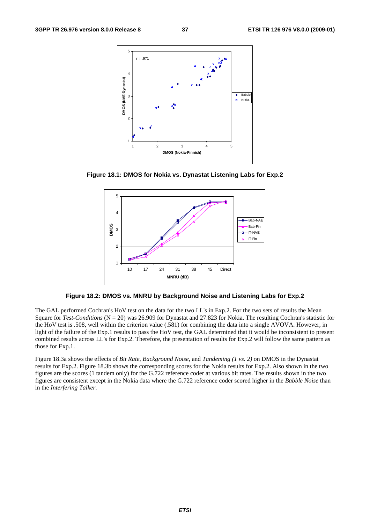

**Figure 18.1: DMOS for Nokia vs. Dynastat Listening Labs for Exp.2** 



**Figure 18.2: DMOS vs. MNRU by Background Noise and Listening Labs for Exp.2** 

The GAL performed Cochran's HoV test on the data for the two LL's in Exp.2. For the two sets of results the Mean Square for *Test-Conditions* (N = 20) was 26.909 for Dynastat and 27.823 for Nokia. The resulting Cochran's statistic for the HoV test is .508, well within the criterion value (.581) for combining the data into a single AVOVA. However, in light of the failure of the Exp.1 results to pass the HoV test, the GAL determined that it would be inconsistent to present combined results across LL's for Exp.2. Therefore, the presentation of results for Exp.2 will follow the same pattern as those for Exp.1.

Figure 18.3a shows the effects of *Bit Rate*, *Background Noise*, and *Tandeming (1 vs. 2)* on DMOS in the Dynastat results for Exp.2. Figure 18.3b shows the corresponding scores for the Nokia results for Exp.2. Also shown in the two figures are the scores (1 tandem only) for the G.722 reference coder at various bit rates. The results shown in the two figures are consistent except in the Nokia data where the G.722 reference coder scored higher in the *Babble Noise* than in the *Interfering Talker*.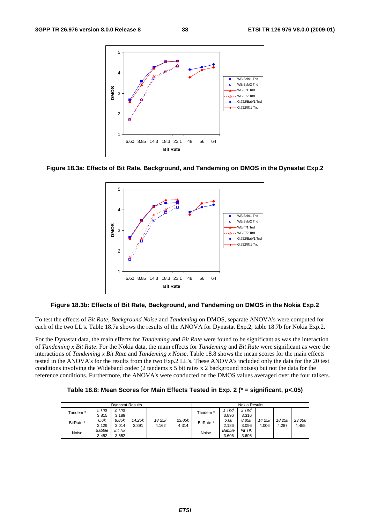





#### **Figure 18.3b: Effects of Bit Rate, Background, and Tandeming on DMOS in the Nokia Exp.2**

To test the effects of *Bit Rate*, *Background Noise* and *Tandeming* on DMOS, separate ANOVA's were computed for each of the two LL's. Table 18.7a shows the results of the ANOVA for Dynastat Exp.2, table 18.7b for Nokia Exp.2.

For the Dynastat data, the main effects for *Tandeming* and *Bit Rate* were found to be significant as was the interaction of *Tandeming x Bit Rate*. For the Nokia data, the main effects for *Tandeming* and *Bit Rate* were significant as were the interactions of *Tandeming x Bit Rate* and *Tandeming x Noise*. Table 18.8 shows the mean scores for the main effects tested in the ANOVA's for the results from the two Exp.2 LL's. These ANOVA's included only the data for the 20 test conditions involving the Wideband codec (2 tandems x 5 bit rates x 2 background noises) but not the data for the reference conditions. Furthermore, the ANOVA's were conducted on the DMOS values averaged over the four talkers.

| Table 18.8: Mean Scores for Main Effects Tested in Exp. 2 (* = significant, p<.05) |  |  |  |  |  |  |  |  |  |
|------------------------------------------------------------------------------------|--|--|--|--|--|--|--|--|--|
|------------------------------------------------------------------------------------|--|--|--|--|--|--|--|--|--|

|                     |        | <b>Dynastat Results</b>             |        |        |        | Nokia Results |               |                                     |        |        |        |
|---------------------|--------|-------------------------------------|--------|--------|--------|---------------|---------------|-------------------------------------|--------|--------|--------|
| Tandem <sup>*</sup> | Tnd    | 2 Tnd                               |        |        |        |               | Tnd           | 2 Tnd                               |        |        |        |
|                     | 3.815  | 3.189                               |        |        |        | Tandem *      | 3.896         | 3.316                               |        |        |        |
| BitRate *           | 6.6k   | 8.85k                               | 14.25k | 18.25k | 23.05k | BitRate *     | 6.6k          | 8.85k                               | 14.25k | 18.25k | 23.05k |
|                     | 2.129  | 3.014                               | 3.891  | 4.162  | 4.314  |               | 2.186         | 3.096                               | 4.006  | 4.287  | 4.455  |
|                     | Babble | $Int$ $T$ <sup><math>K</math></sup> |        |        |        | Noise         | <b>Babble</b> | $Int$ $T$ <sup><math>K</math></sup> |        |        |        |
| Noise               | 3.452  | 3.552                               |        |        |        |               | 3.606         | 3.605                               |        |        |        |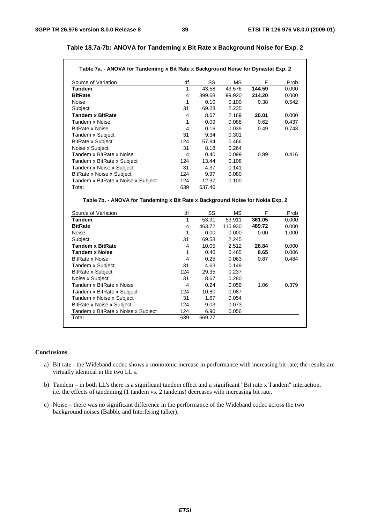| Source of Variation                                                                                                                                                                                                                                                                                                      | df                      | SS           | МS             | F      | Prob           |
|--------------------------------------------------------------------------------------------------------------------------------------------------------------------------------------------------------------------------------------------------------------------------------------------------------------------------|-------------------------|--------------|----------------|--------|----------------|
| <b>Tandem</b>                                                                                                                                                                                                                                                                                                            | $\mathbf{1}$            | 43.58        | 43.576         | 144.59 | 0.000          |
| <b>BitRate</b>                                                                                                                                                                                                                                                                                                           | 4                       | 399.68       | 99.920         | 214.20 | 0.000          |
| Noise                                                                                                                                                                                                                                                                                                                    | 1                       | 0.10         | 0.100          | 0.38   | 0.542          |
| Subject                                                                                                                                                                                                                                                                                                                  | 31                      | 69.28        | 2.235          |        |                |
| <b>Tandem x BitRate</b>                                                                                                                                                                                                                                                                                                  | $\overline{4}$          | 8.67         | 2.169          | 20.01  | 0.000          |
| Tandem x Noise                                                                                                                                                                                                                                                                                                           | 1                       | 0.09         | 0.088          | 0.62   | 0.437          |
| <b>BitRate x Noise</b>                                                                                                                                                                                                                                                                                                   | 4                       | 0.16         | 0.039          | 0.49   | 0.743          |
| Tandem x Subject                                                                                                                                                                                                                                                                                                         | 31                      | 9.34         | 0.301          |        |                |
| <b>BitRate x Subject</b>                                                                                                                                                                                                                                                                                                 | 124                     | 57.84        | 0.466          |        |                |
| Noise x Subject                                                                                                                                                                                                                                                                                                          | 31                      | 8.18         | 0.264          |        |                |
| Tandem x BitRate x Noise                                                                                                                                                                                                                                                                                                 | 4                       | 0.40         | 0.099          | 0.99   | 0.416          |
| Tandem x BitRate x Subject                                                                                                                                                                                                                                                                                               | 124                     | 13.44        | 0.108          |        |                |
| Tandem x Noise x Subject                                                                                                                                                                                                                                                                                                 | 31                      | 4.37         | 0.141          |        |                |
| BitRate x Noise x Subject                                                                                                                                                                                                                                                                                                | 124                     | 9.97         | 0.080          |        |                |
|                                                                                                                                                                                                                                                                                                                          |                         |              |                |        |                |
|                                                                                                                                                                                                                                                                                                                          | 124<br>639              | 12.37        | 0.100          |        |                |
| Tandem x BitRate x Noise x Subject<br>Total                                                                                                                                                                                                                                                                              |                         | 637.46       |                |        |                |
| Table 7b. - ANOVA for Tandeming x Bit Rate x Background Noise for Nokia Exp. 2                                                                                                                                                                                                                                           |                         |              |                |        |                |
|                                                                                                                                                                                                                                                                                                                          | df                      | SS           | <b>MS</b>      | F      | Prob           |
|                                                                                                                                                                                                                                                                                                                          | $\mathbf{1}$            | 53.91        | 53.911         | 361.05 | 0.000          |
|                                                                                                                                                                                                                                                                                                                          | 4                       | 463.72       | 115.930        | 489.72 | 0.000          |
|                                                                                                                                                                                                                                                                                                                          | 1                       | 0.00         | 0.000          | 0.00   |                |
|                                                                                                                                                                                                                                                                                                                          | 31                      | 69.58        | 2.245          |        | 1.000          |
|                                                                                                                                                                                                                                                                                                                          | 4                       | 10.05        | 2.512          | 28.84  | 0.000          |
|                                                                                                                                                                                                                                                                                                                          | 1                       | 0.46         | 0.465          | 8.65   |                |
|                                                                                                                                                                                                                                                                                                                          | $\overline{\mathbf{4}}$ | 0.25         | 0.063          | 0.87   | 0.006<br>0.484 |
|                                                                                                                                                                                                                                                                                                                          | 31                      | 4.63         | 0.149          |        |                |
|                                                                                                                                                                                                                                                                                                                          | 124                     | 29.35        | 0.237          |        |                |
|                                                                                                                                                                                                                                                                                                                          | 31                      | 8.67         | 0.280          |        |                |
|                                                                                                                                                                                                                                                                                                                          | 4                       | 0.24         | 0.059          | 1.06   |                |
|                                                                                                                                                                                                                                                                                                                          | 124                     | 10.80        | 0.087          |        |                |
| Source of Variation<br><b>Tandem</b><br><b>BitRate</b><br><b>Noise</b><br>Subject<br><b>Tandem x BitRate</b><br><b>Tandem x Noise</b><br><b>BitRate x Noise</b><br>Tandem x Subject<br><b>BitRate x Subject</b><br>Noise x Subject<br>Tandem x BitRate x Noise<br>Tandem x BitRate x Subject<br>Tandem x Noise x Subject | 31                      | 1.67         | 0.054          |        | 0.379          |
| BitRate x Noise x Subject<br>Tandem x BitRate x Noise x Subject                                                                                                                                                                                                                                                          | 124<br>124              | 9.03<br>6.90 | 0.073<br>0.056 |        |                |

### **Table 18.7a-7b: ANOVA for Tandeming x Bit Rate x Background Noise for Exp. 2**

#### **Conclusions**

- a) Bit rate the Wideband codec shows a monotonic increase in performance with increasing bit rate; the results are virtually identical in the two LL's.
- b) Tandem in both LL's there is a significant tandem effect and a significant "Bit rate x Tandem" interaction, i.e. the effects of tandeming (1 tandem vs. 2 tandems) decreases with increasing bit rate.
- c) Noise there was no significant difference in the performance of the Wideband codec across the two background noises (Babble and Interfering talker).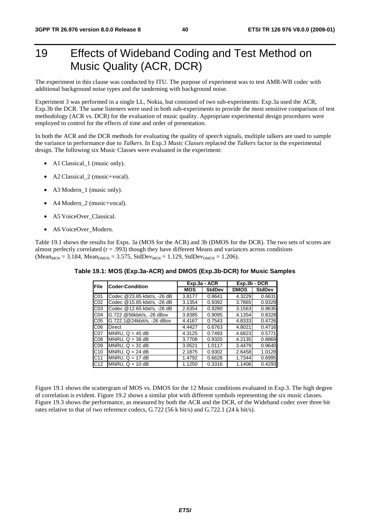# 19 Effects of Wideband Coding and Test Method on Music Quality (ACR, DCR)

The experiment in this clause was conducted by ITU. The purpose of experiment was to test AMR-WB codec with additional background noise types and the tandeming with background noise.

Experiment 3 was performed in a single LL, Nokia, but consisted of two sub-experiments: Exp.3a used the ACR, Exp.3b the DCR. The same listeners were used in both sub-experiments to provide the most sensitive comparison of test methodology (ACR vs. DCR) for the evaluation of music quality. Appropriate experimental design procedures were employed to control for the effects of time and order of presentation.

In both the ACR and the DCR methods for evaluating the quality of *speech* signals, multiple talkers are used to sample the variance in performance due to *Talkers*. In Exp.3 *Music Classes* replaced the *Talkers* factor in the experimental design. The following six Music Classes were evaluated in the experiment:

- A1 Classical\_1 (music only).
- A2 Classical 2 (music+vocal).
- A3 Modern\_1 (music only).
- A4 Modern\_2 (music+vocal).
- A5 VoiceOver\_Classical.
- A6 VoiceOver\_Modern.

Table 19.1 shows the results for Exps. 3a (MOS for the ACR) and 3b (DMOS for the DCR). The two sets of scores are almost perfectly correlated  $(r = .993)$  though they have different Means and variances across conditions  $(Mean_{MOS} = 3.184, Mean_{DMOS} = 3.575, StdDev_{MOS} = 1.129, StdDev_{DMOS} = 1.206).$ 

| File            | <b>Coder-Condition</b>      |            | Exp.3a - ACR  | Exp.3b - DCR |               |
|-----------------|-----------------------------|------------|---------------|--------------|---------------|
|                 |                             | <b>MOS</b> | <b>StdDev</b> | <b>DMOS</b>  | <b>StdDev</b> |
| C01             | Codec @23.85 kbit/s, -26 dB | 3.8177     | 0.8641        | 4.3229       | 0.6631        |
| CO <sub>2</sub> | Codec @15.85 kbit/s, -26 dB | 3.1354     | 0.9392        | 3.7865       | 0.9329        |
| CO <sub>3</sub> | Codec @12.65 kbit/s. -26 dB | 2.6354     | 0.9280        | 3.1563       | 0.9635        |
| CO <sub>4</sub> | G.722 @56kbit/s, -26 dBov   | 3.8385     | 0.9095        | 4.1354       | 0.8328        |
| C <sub>05</sub> | G.722.1@24kbit/s, -26 dBov  | 4.4167     | 0.7543        | 4.8333       | 0.4726        |
| C <sub>06</sub> | <b>Direct</b>               | 4.4427     | 0.6763        | 4.8021       | 0.4716        |
| C07             | $MNRU$ . Q = 45 dB          | 4.3125     | 0.7493        | 4.6823       | 0.5771        |
| CO8             | $MNRU$ , $Q = 38$ dB        | 3.7708     | 0.9320        | 4.2135       | 0.8869        |
| CO9             | $MNRU$ , $Q = 31$ dB        | 3.0521     | 1.0117        | 3.4479       | 0.9640        |
| C <sub>10</sub> | MNRU, $Q = 24 dB$           | 2.1875     | 0.9302        | 2.6458       | 1.0128        |
| C <sub>11</sub> | MNRU, $Q = 17 dB$           | 1.4792     | 0.6628        | 1.7344       | 0.6995        |
| C <sub>12</sub> | MNRU, $Q = 10$ dB           | 1.1250     | 0.3316        | 1.1406       | 0.4293        |

**Table 19.1: MOS (Exp.3a-ACR) and DMOS (Exp.3b-DCR) for Music Samples** 

Figure 19.1 shows the scattergram of MOS vs. DMOS for the 12 Music conditions evaluated in Exp.3. The high degree of correlation is evident. Figure 19.2 shows a similar plot with different symbols representing the six music classes. Figure 19.3 shows the performance, as measured by both the ACR and the DCR, of the Wideband codec over three bit rates relative to that of two reference codecs, G.722 (56 k bit/s) and G.722.1 (24 k bit/s).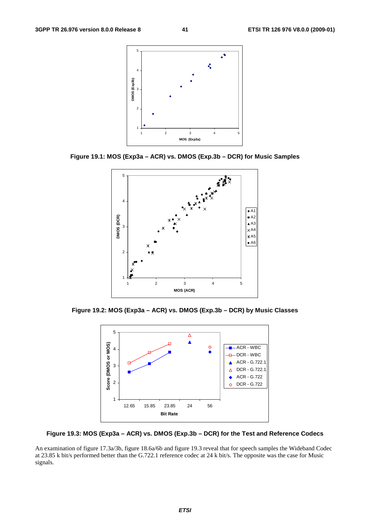

**Figure 19.1: MOS (Exp3a – ACR) vs. DMOS (Exp.3b – DCR) for Music Samples** 



**Figure 19.2: MOS (Exp3a – ACR) vs. DMOS (Exp.3b – DCR) by Music Classes** 



**Figure 19.3: MOS (Exp3a – ACR) vs. DMOS (Exp.3b – DCR) for the Test and Reference Codecs** 

An examination of figure 17.3a/3b, figure 18.6a/6b and figure 19.3 reveal that for speech samples the Wideband Codec at 23.85 k bit/s performed better than the G.722.1 reference codec at 24 k bit/s. The opposite was the case for Music signals.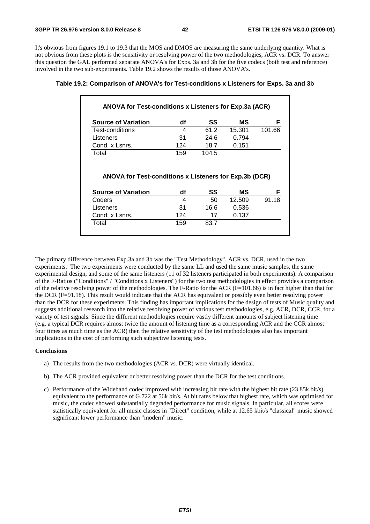It's obvious from figures 19.1 to 19.3 that the MOS and DMOS are measuring the same underlying quantity. What is not obvious from these plots is the sensitivity or resolving power of the two methodologies, ACR vs. DCR. To answer this question the GAL performed separate ANOVA's for Exps. 3a and 3b for the five codecs (both test and reference) involved in the two sub-experiments. Table 19.2 shows the results of those ANOVA's.

| <b>Source of Variation</b>                             | df  | SS    | МS     | F          |
|--------------------------------------------------------|-----|-------|--------|------------|
| Test-conditions                                        | 4   | 61.2  | 15.301 | 101.66     |
| Listeners                                              | 31  | 24.6  | 0.794  |            |
| Cond. x Lsnrs.                                         | 124 | 18.7  | 0.151  |            |
| Total                                                  | 159 | 104.5 |        |            |
| ANOVA for Test-conditions x Listeners for Exp.3b (DCR) |     |       |        |            |
|                                                        | df  | SS    | МS     |            |
| <b>Source of Variation</b><br>Coders                   | 4   | 50    | 12.509 |            |
| Listeners                                              | 31  | 16.6  | 0.536  | F<br>91.18 |
| Cond. x Lsnrs.                                         | 124 | 17    | 0.137  |            |

#### **Table 19.2: Comparison of ANOVA's for Test-conditions x Listeners for Exps. 3a and 3b**

The primary difference between Exp.3a and 3b was the "Test Methodology", ACR vs. DCR, used in the two experiments. The two experiments were conducted by the same LL and used the same music samples, the same experimental design, and some of the same listeners (11 of 32 listeners participated in both experiments). A comparison of the F-Ratios ("Conditions" / "Conditions x Listeners") for the two test methodologies in effect provides a comparison of the relative resolving power of the methodologies. The F-Ratio for the ACR (F=101.66) is in fact higher than that for the DCR (F=91.18). This result would indicate that the ACR has equivalent or possibly even better resolving power than the DCR for these experiments. This finding has important implications for the design of tests of Music quality and suggests additional research into the relative resolving power of various test methodologies, e.g. ACR, DCR, CCR, for a variety of test signals. Since the different methodologies require vastly different amounts of subject listening time (e.g. a typical DCR requires almost twice the amount of listening time as a corresponding ACR and the CCR almost four times as much time as the ACR) then the relative sensitivity of the test methodologies also has important implications in the cost of performing such subjective listening tests.

#### **Conclusions**

- a) The results from the two methodologies (ACR vs. DCR) were virtually identical.
- b) The ACR provided equivalent or better resolving power than the DCR for the test conditions.
- c) Performance of the Wideband codec improved with increasing bit rate with the highest bit rate (23.85k bit/s) equivalent to the performance of G.722 at 56k bit/s. At bit rates below that highest rate, which was optimised for music, the codec showed substantially degraded performance for music signals. In particular, all scores were statistically equivalent for all music classes in "Direct" condition, while at 12.65 kbit/s "classical" music showed significant lower performance than "modern" music.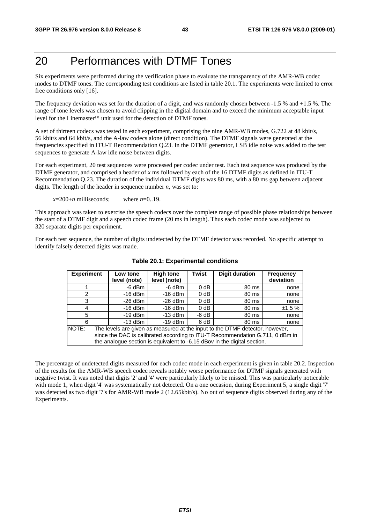# 20 Performances with DTMF Tones

Six experiments were performed during the verification phase to evaluate the transparency of the AMR-WB codec modes to DTMF tones. The corresponding test conditions are listed in table 20.1. The experiments were limited to error free conditions only [16].

The frequency deviation was set for the duration of a digit, and was randomly chosen between -1.5 % and +1.5 %. The range of tone levels was chosen to avoid clipping in the digital domain and to exceed the minimum acceptable input level for the Linemaster™ unit used for the detection of DTMF tones.<br>A set of thirteen codoes was toted in each experiment, comprising the

A set of thirteen codecs was tested in each experiment, comprising the nine AMR-WB modes, G.722 at 48 kbit/s, 56 kbit/s and 64 kbit/s, and the A-law codecs alone (direct condition). The DTMF signals were generated at the frequencies specified in ITU-T Recommendation Q.23. In the DTMF generator, LSB idle noise was added to the test sequences to generate A-law idle noise between digits.

For each experiment, 20 test sequences were processed per codec under test. Each test sequence was produced by the DTMF generator, and comprised a header of *x* ms followed by each of the 16 DTMF digits as defined in ITU-T Recommendation Q.23. The duration of the individual DTMF digits was 80 ms, with a 80 ms gap between adjacent digits. The length of the header in sequence number *n*, was set to:

 $x=200+n$  milliseconds: where  $n=0.19$ .

This approach was taken to exercise the speech codecs over the complete range of possible phase relationships between the start of a DTMF digit and a speech codec frame (20 ms in length). Thus each codec mode was subjected to 320 separate digits per experiment.

For each test sequence, the number of digits undetected by the DTMF detector was recorded. No specific attempt to identify falsely detected digits was made.

| <b>Experiment</b> | Low tone<br>level (note)                                                                                                                                                                                                                  | <b>High tone</b><br>level (note) | <b>Twist</b> | <b>Digit duration</b> | <b>Frequency</b><br>deviation |  |  |  |  |  |
|-------------------|-------------------------------------------------------------------------------------------------------------------------------------------------------------------------------------------------------------------------------------------|----------------------------------|--------------|-----------------------|-------------------------------|--|--|--|--|--|
|                   | -6 dBm                                                                                                                                                                                                                                    | -6 dBm                           | $0$ dB       | 80 ms                 | none                          |  |  |  |  |  |
| 2                 | $-16$ dBm                                                                                                                                                                                                                                 | $-16$ dBm                        | $0$ dB       | 80 ms                 | none                          |  |  |  |  |  |
| 3                 | $-26$ dBm                                                                                                                                                                                                                                 | $-26$ dBm                        | $0$ dB       | 80 ms                 | none                          |  |  |  |  |  |
| 4                 | $-16$ dBm                                                                                                                                                                                                                                 | $-16$ dBm                        | $0$ dB       | 80 ms                 | ±1.5%                         |  |  |  |  |  |
| 5                 | $-13$ dBm<br>$-19$ dBm<br>$-6 dB$<br>80 ms                                                                                                                                                                                                |                                  |              |                       |                               |  |  |  |  |  |
| 6                 | $-13$ dBm                                                                                                                                                                                                                                 | $-19$ dBm                        | 6 dB         | 80 ms                 | none                          |  |  |  |  |  |
| NOTE:             | The levels are given as measured at the input to the DTMF detector, however,<br>since the DAC is calibrated according to ITU-T Recommendation G.711, 0 dBm in<br>the analogue section is equivalent to -6.15 dBov in the digital section. |                                  |              |                       |                               |  |  |  |  |  |

**Table 20.1: Experimental conditions** 

The percentage of undetected digits measured for each codec mode in each experiment is given in table 20.2. Inspection of the results for the AMR-WB speech codec reveals notably worse performance for DTMF signals generated with negative twist. It was noted that digits '2' and '4' were particularly likely to be missed. This was particularly noticeable with mode 1, when digit '4' was systematically not detected. On a one occasion, during Experiment 5, a single digit '7' was detected as two digit '7's for AMR-WB mode 2 (12.65kbit/s). No out of sequence digits observed during any of the Experiments.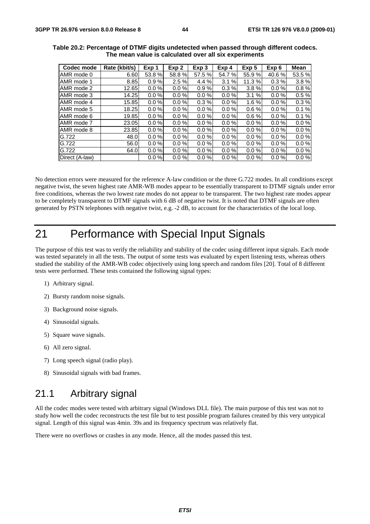| Codec mode     | Rate (kbit/s) | Exp 1    | Exp 2    | Exp <sub>3</sub> | Exp 4    | Exp 5    | Exp <sub>6</sub> | <b>Mean</b> |
|----------------|---------------|----------|----------|------------------|----------|----------|------------------|-------------|
| AMR mode 0     | 6.60          | 53.8 %   | 58.8%    | 57.5 %           | 54.7 %   | 55.9 %   | 40.6 %           | 53.5 %      |
| AMR mode 1     | 8.85          | 0.9%     | 2.5%     | 4.4%             | 3.1%     | 11.3%    | 0.3%             | 3.8%        |
| AMR mode 2     | 12.65         | $0.0 \%$ | $0.0 \%$ | 0.9%             | 0.3%     | 3.8%     | 0.0 %            | 0.8%        |
| AMR mode 3     | 14.25         | $0.0 \%$ | $0.0 \%$ | $0.0 \%$         | $0.0 \%$ | 3.1%     | 0.0%             | 0.5%        |
| AMR mode 4     | 15.85         | $0.0 \%$ | $0.0 \%$ | 0.3%             | $0.0 \%$ | 1.6%     | $0.0 \%$         | 0.3%        |
| AMR mode 5     | 18.25         | $0.0 \%$ | $0.0 \%$ | $0.0 \%$         | 0.0 %    | 0.6%     | 0.0 %            | 0.1%        |
| AMR mode 6     | 19.85         | $0.0 \%$ | $0.0 \%$ | $0.0 \%$         | $0.0 \%$ | 0.6%     | $0.0 \%$         | 0.1%        |
| AMR mode 7     | 23.05         | $0.0 \%$ | $0.0 \%$ | $0.0 \%$         | 0.0 %    | $0.0 \%$ | $0.0 \%$         | 0.0%        |
| AMR mode 8     | 23.85         | $0.0 \%$ | $0.0 \%$ | $0.0 \%$         | $0.0\%$  | $0.0 \%$ | 0.0 %            | $0.0 \%$    |
| G.722          | 48.0          | $0.0 \%$ | $0.0 \%$ | $0.0 \%$         | $0.0 \%$ | $0.0 \%$ | $0.0 \%$         | 0.0%        |
| G.722          | 56.0          | $0.0 \%$ | $0.0 \%$ | $0.0 \%$         | $0.0 \%$ | $0.0 \%$ | $0.0 \%$         | $0.0 \%$    |
| G.722          | 64.0          | $0.0 \%$ | $0.0 \%$ | $0.0 \%$         | $0.0 \%$ | $0.0 \%$ | $0.0 \%$         | $0.0 \%$    |
| Direct (A-law) |               | $0.0 \%$ | $0.0 \%$ | $0.0 \%$         | $0.0 \%$ | $0.0 \%$ | 0.0 %            | $0.0 \%$    |

**Table 20.2: Percentage of DTMF digits undetected when passed through different codecs. The mean value is calculated over all six experiments** 

No detection errors were measured for the reference A-law condition or the three G.722 modes. In all conditions except negative twist, the seven highest rate AMR-WB modes appear to be essentially transparent to DTMF signals under error free conditions, whereas the two lowest rate modes do not appear to be transparent. The two highest rate modes appear to be completely transparent to DTMF signals with 6 dB of negative twist. It is noted that DTMF signals are often generated by PSTN telephones with negative twist, e.g. -2 dB, to account for the characteristics of the local loop.

## 21 Performance with Special Input Signals

The purpose of this test was to verify the reliability and stability of the codec using different input signals. Each mode was tested separately in all the tests. The output of some tests was evaluated by expert listening tests, whereas others studied the stability of the AMR-WB codec objectively using long speech and random files [20]. Total of 8 different tests were performed. These tests contained the following signal types:

- 1) Arbitrary signal.
- 2) Bursty random noise signals.
- 3) Background noise signals.
- 4) Sinusoidal signals.
- 5) Square wave signals.
- 6) All zero signal.
- 7) Long speech signal (radio play).
- 8) Sinusoidal signals with bad frames.

### 21.1 Arbitrary signal

All the codec modes were tested with arbitrary signal (Windows DLL file). The main purpose of this test was not to study how well the codec reconstructs the test file but to test possible program failures created by this very untypical signal. Length of this signal was 4min. 39s and its frequency spectrum was relatively flat.

There were no overflows or crashes in any mode. Hence, all the modes passed this test.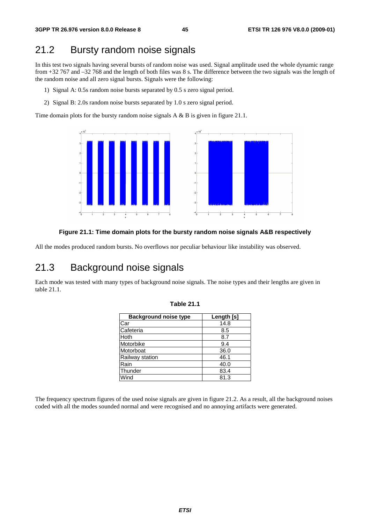### 21.2 Bursty random noise signals

In this test two signals having several bursts of random noise was used. Signal amplitude used the whole dynamic range from +32 767 and –32 768 and the length of both files was 8 s. The difference between the two signals was the length of the random noise and all zero signal bursts. Signals were the following:

- 1) Signal A: 0.5s random noise bursts separated by 0.5 s zero signal period.
- 2) Signal B: 2.0s random noise bursts separated by 1.0 s zero signal period.

Time domain plots for the bursty random noise signals A & B is given in figure 21.1.



#### **Figure 21.1: Time domain plots for the bursty random noise signals A&B respectively**

All the modes produced random bursts. No overflows nor peculiar behaviour like instability was observed.

### 21.3 Background noise signals

Each mode was tested with many types of background noise signals. The noise types and their lengths are given in table 21.1.

| <b>Background noise type</b> | Length [s] |
|------------------------------|------------|
| Car                          | 14.8       |
| Cafeteria                    | 8.5        |
| <b>Hoth</b>                  | 8.7        |
| Motorbike                    | 9.4        |
| Motorboat                    | 36.0       |
| Railway station              | 46.1       |
| Rain                         | 40.0       |
| Thunder                      | 83.4       |
| Wind                         | 81.3       |

|  |  | Table 21.1 |  |  |
|--|--|------------|--|--|
|--|--|------------|--|--|

The frequency spectrum figures of the used noise signals are given in figure 21.2. As a result, all the background noises coded with all the modes sounded normal and were recognised and no annoying artifacts were generated.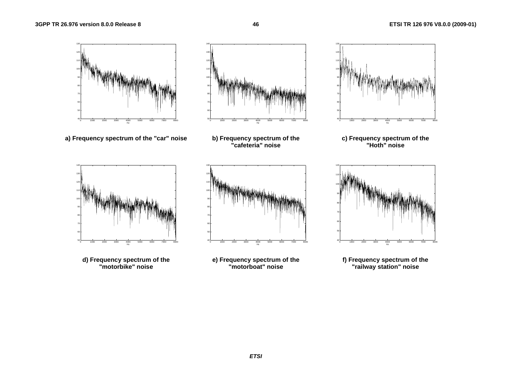405060

140

5060

8090

100110



**d) Frequency spectrum of the "motorbike" noise** 



**f) Frequency spectrum of the "railway station" noise**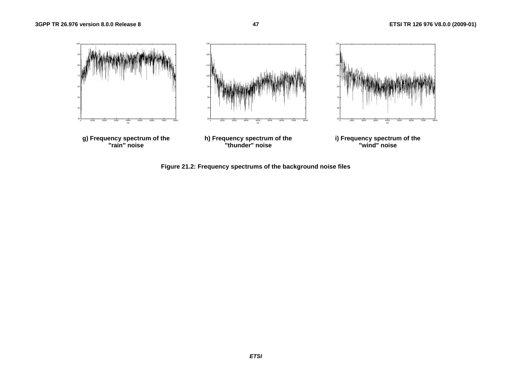

**Figure 21.2: Frequency spectrums of the background noise files**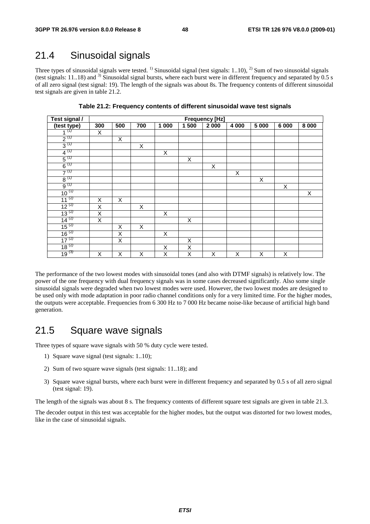### 21.4 Sinusoidal signals

Three types of sinusoidal signals were tested.<sup>1)</sup> Sinusoidal signal (test signals: 1..10), <sup>2)</sup> Sum of two sinusoidal signals (test signals:  $11..18$ ) and  $3$ ) Sinusoidal signal bursts, where each burst were in different frequency and separated by 0.5 s of all zero signal (test signal: 19). The length of the signals was about 8s. The frequency contents of different sinusoidal test signals are given in table 21.2.

| Test signal /                        | <b>Frequency [Hz]</b>   |     |     |       |                |                         |         |                |         |         |
|--------------------------------------|-------------------------|-----|-----|-------|----------------|-------------------------|---------|----------------|---------|---------|
| $\frac{\text{(test type)}}{1^{(1)}}$ | 300                     | 500 | 700 | 1 000 | 1500           | 2 0 0 0                 | 4 0 0 0 | 5 000          | 6 0 0 0 | 8 0 0 0 |
|                                      | X                       |     |     |       |                |                         |         |                |         |         |
| $2^{(1)}$                            |                         | X   |     |       |                |                         |         |                |         |         |
| $3^{(1)}$                            |                         |     | X   |       |                |                         |         |                |         |         |
| $4^{(1)}$                            |                         |     |     | X     |                |                         |         |                |         |         |
| $5^{(1)}$                            |                         |     |     |       | X              |                         |         |                |         |         |
| $6^{(1)}$                            |                         |     |     |       |                | $\overline{\mathsf{x}}$ |         |                |         |         |
| $7^{(1)}$                            |                         |     |     |       |                |                         | X       |                |         |         |
| $rac{8}{9}^{(1)}$                    |                         |     |     |       |                |                         |         | $\overline{X}$ |         |         |
|                                      |                         |     |     |       |                |                         |         |                | X       |         |
| $10^{(1)}$                           |                         |     |     |       |                |                         |         |                |         | X       |
| $11^{(2)}$                           | X                       | Χ   |     |       |                |                         |         |                |         |         |
| $12^{(2)}$                           | $\overline{\mathsf{x}}$ |     | X   |       |                |                         |         |                |         |         |
| $\frac{13}{2}^{(2)}$                 | X                       |     |     | Χ     |                |                         |         |                |         |         |
| $14^{(2)}$                           | $\overline{\mathsf{x}}$ |     |     |       | X              |                         |         |                |         |         |
| $\frac{15^{(2)}}{2}$                 |                         | X   | X   |       |                |                         |         |                |         |         |
| $\frac{16}{2}$ <sup>(2)</sup>        |                         | X   |     | X     |                |                         |         |                |         |         |
| $17^{(2)}$                           |                         | X   |     |       | X              |                         |         |                |         |         |
| $18^{(2)}$                           |                         |     |     | X     | $\overline{X}$ |                         |         |                |         |         |
| $19^{(3)}$                           | X                       | X   | X   | X     | X              | X                       | X       | X              | X       |         |

**Table 21.2: Frequency contents of different sinusoidal wave test signals** 

The performance of the two lowest modes with sinusoidal tones (and also with DTMF signals) is relatively low. The power of the one frequency with dual frequency signals was in some cases decreased significantly. Also some single sinusoidal signals were degraded when two lowest modes were used. However, the two lowest modes are designed to be used only with mode adaptation in poor radio channel conditions only for a very limited time. For the higher modes, the outputs were acceptable. Frequencies from 6 300 Hz to 7 000 Hz became noise-like because of artificial high band generation.

### 21.5 Square wave signals

Three types of square wave signals with 50 % duty cycle were tested.

- 1) Square wave signal (test signals: 1..10);
- 2) Sum of two square wave signals (test signals: 11..18); and
- 3) Square wave signal bursts, where each burst were in different frequency and separated by 0.5 s of all zero signal (test signal: 19).

The length of the signals was about 8 s. The frequency contents of different square test signals are given in table 21.3.

The decoder output in this test was acceptable for the higher modes, but the output was distorted for two lowest modes, like in the case of sinusoidal signals.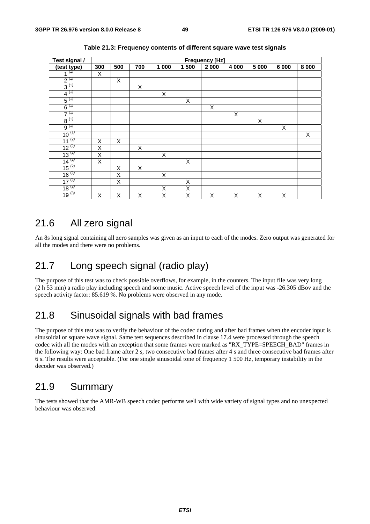| Test signal /                                  |                         |     |     |       |                         | <b>Frequency [Hz]</b> |         |         |         |         |
|------------------------------------------------|-------------------------|-----|-----|-------|-------------------------|-----------------------|---------|---------|---------|---------|
| $\frac{\text{(test type)}}{1^{\frac{(1)}{2}}}$ | 300                     | 500 | 700 | 1 000 | 1 500                   | 2 000                 | 4 0 0 0 | 5 0 0 0 | 6 0 0 0 | 8 0 0 0 |
|                                                | X                       |     |     |       |                         |                       |         |         |         |         |
| $2^{(1)}$                                      |                         | Χ   |     |       |                         |                       |         |         |         |         |
| $3^{(1)}$                                      |                         |     | X   |       |                         |                       |         |         |         |         |
| $4^{(1)}$                                      |                         |     |     | X     |                         |                       |         |         |         |         |
| $5^{(1)}$                                      |                         |     |     |       | $\mathsf X$             |                       |         |         |         |         |
| $6^{(1)}$                                      |                         |     |     |       |                         | X                     |         |         |         |         |
| $7^{(1)}$                                      |                         |     |     |       |                         |                       | X       |         |         |         |
| $8^{(1)}$                                      |                         |     |     |       |                         |                       |         | X       |         |         |
| $9^{(1)}$                                      |                         |     |     |       |                         |                       |         |         | X       |         |
| $10^{(1)}$                                     |                         |     |     |       |                         |                       |         |         |         | X       |
| $11^{(2)}$                                     | X                       | Χ   |     |       |                         |                       |         |         |         |         |
| $\frac{12}{13}$ (2)                            | $\overline{X}$          |     | X   |       |                         |                       |         |         |         |         |
|                                                | $\overline{\mathsf{x}}$ |     |     | Χ     |                         |                       |         |         |         |         |
| $14^{(2)}$                                     | $\overline{\mathsf{X}}$ |     |     |       | Χ                       |                       |         |         |         |         |
| $15^{(2)}$                                     |                         | X   | X   |       |                         |                       |         |         |         |         |
| $16^{(2)}$                                     |                         | X   |     | X     |                         |                       |         |         |         |         |
| $17^{(2)}$                                     |                         | X   |     |       | X                       |                       |         |         |         |         |
| $18^{(2)}$                                     |                         |     |     | X     | Χ                       |                       |         |         |         |         |
| $19^{(3)}$                                     | X                       | X   | X   | Χ     | $\overline{\mathsf{x}}$ | Χ                     | X       | X       | Χ       |         |

**Table 21.3: Frequency contents of different square wave test signals** 

### 21.6 All zero signal

An 8s long signal containing all zero samples was given as an input to each of the modes. Zero output was generated for all the modes and there were no problems.

### 21.7 Long speech signal (radio play)

The purpose of this test was to check possible overflows, for example, in the counters. The input file was very long (2 h 53 min) a radio play including speech and some music. Active speech level of the input was -26.305 dBov and the speech activity factor: 85.619 %. No problems were observed in any mode.

### 21.8 Sinusoidal signals with bad frames

The purpose of this test was to verify the behaviour of the codec during and after bad frames when the encoder input is sinusoidal or square wave signal. Same test sequences described in clause 17.4 were processed through the speech codec with all the modes with an exception that some frames were marked as "RX\_TYPE=SPEECH\_BAD" frames in the following way: One bad frame after 2 s, two consecutive bad frames after 4 s and three consecutive bad frames after 6 s. The results were acceptable. (For one single sinusoidal tone of frequency 1 500 Hz, temporary instability in the decoder was observed.)

### 21.9 Summary

The tests showed that the AMR-WB speech codec performs well with wide variety of signal types and no unexpected behaviour was observed.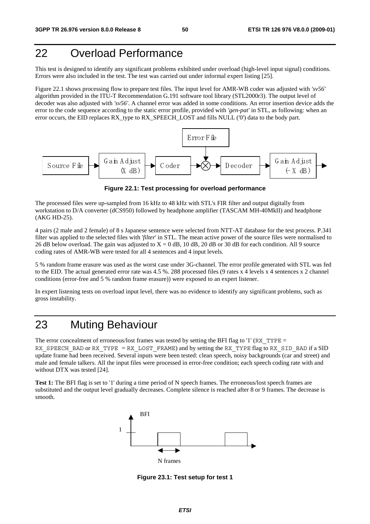# 22 Overload Performance

This test is designed to identify any significant problems exhibited under overload (high-level input signal) conditions. Errors were also included in the test. The test was carried out under informal expert listing [25].

Figure 22.1 shows processing flow to prepare test files. The input level for AMR-WB coder was adjusted with *'sv56'* algorithm provided in the ITU-T Recommendation G.191 software tool library (STL2000r3). The output level of decoder was also adjusted with *'sv56'*. A channel error was added in some conditions. An error insertion device adds the error to the code sequence according to the static error profile, provided with *'gen-pat'* in STL, as following: when an error occurs, the EID replaces RX\_type to RX\_SPEECH\_LOST and fills NULL ('0') data to the body part.



**Figure 22.1: Test processing for overload performance** 

The processed files were up-sampled from 16 kHz to 48 kHz with STL's FIR filter and output digitally from workstation to D/A converter (dCS950) followed by headphone amplifier (TASCAM MH-40MkII) and headphone (AKG HD-25).

4 pairs (2 male and 2 female) of 8 s Japanese sentence were selected from NTT-AT database for the test process. P.341 filter was applied to the selected files with '*filter*' in STL. The mean active power of the source files were normalised to 26 dB below overload. The gain was adjusted to  $X = 0$  dB, 10 dB, 20 dB or 30 dB for each condition. All 9 source coding rates of AMR-WB were tested for all 4 sentences and 4 input levels.

5 % random frame erasure was used as the worst case under 3G-channel. The error profile generated with STL was fed to the EID. The actual generated error rate was 4.5 %. 288 processed files (9 rates x 4 levels x 4 sentences x 2 channel conditions (error-free and 5 % random frame erasure)) were exposed to an expert listener.

In expert listening tests on overload input level, there was no evidence to identify any significant problems, such as gross instability.

# 23 Muting Behaviour

The error concealment of erroneous/lost frames was tested by setting the BFI flag to '1' (RX\_TYPE = RX SPEECH\_BAD or RX\_TYPE = RX\_LOST\_FRAME) and by setting the RX\_TYPE flag to RX\_SID\_BAD if a SID update frame had been received. Several inputs were been tested: clean speech, noisy backgrounds (car and street) and male and female talkers. All the input files were processed in error-free condition; each speech coding rate with and without DTX was tested [24].

**Test 1:** The BFI flag is set to '1' during a time period of N speech frames. The erroneous/lost speech frames are substituted and the output level gradually decreases. Complete silence is reached after 8 or 9 frames. The decrease is smooth.



**Figure 23.1: Test setup for test 1**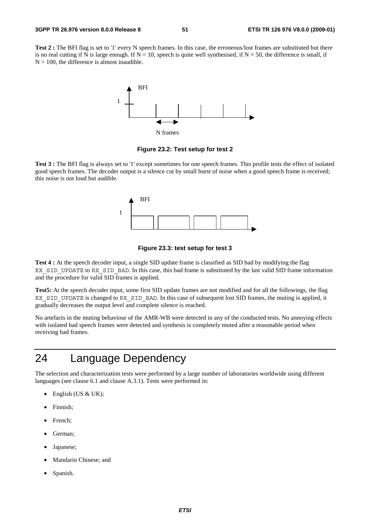Test 2 : The BFI flag is set to '1' every N speech frames. In this case, the erroneous/lost frames are substituted but there is no real cutting if N is large enough. If  $N = 10$ , speech is quite well synthesised, if  $N = 50$ , the difference is small, if  $N > 100$ , the difference is almost inaudible.



**Figure 23.2: Test setup for test 2** 

**Test 3 :** The BFI flag is always set to '1' except sometimes for one speech frames. This profile tests the effect of isolated good speech frames. The decoder output is a silence cut by small burst of noise when a good speech frame is received; this noise is not loud but audible.



**Figure 23.3: test setup for test 3** 

**Test 4 :** At the speech decoder input, a single SID update frame is classified as SID bad by modifying the flag RX\_SID\_UPDATE to RX\_SID\_BAD. In this case, this bad frame is substituted by the last valid SID frame information and the procedure for valid SID frames is applied.

**Test5:** At the speech decoder input, some first SID update frames are not modified and for all the followings, the flag RX SID UPDATE is changed to RX SID BAD. In this case of subsequent lost SID frames, the muting is applied, it gradually decreases the output level and complete silence is reached.

No artefacts in the muting behaviour of the AMR-WB were detected in any of the conducted tests. No annoying effects with isolated bad speech frames were detected and synthesis is completely muted after a reasonable period when receiving bad frames.

# 24 Language Dependency

The selection and characterization tests were performed by a large number of laboratories worldwide using different languages (see clause 6.1 and clause A.3.1). Tests were performed in:

- English (US & UK);
- Finnish;
- French:
- German;
- Japanese;
- Mandarin Chinese; and
- Spanish.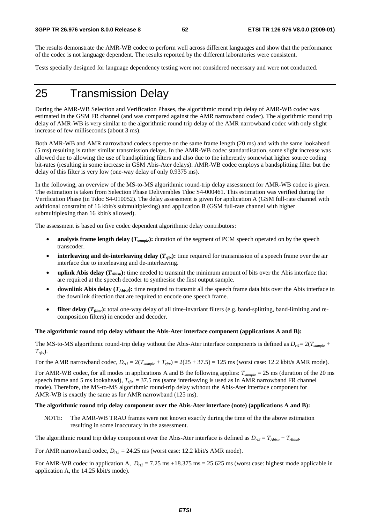The results demonstrate the AMR-WB codec to perform well across different languages and show that the performance of the codec is not language dependent. The results reported by the different laboratories were consistent.

Tests specially designed for language dependency testing were not considered necessary and were not conducted.

# 25 Transmission Delay

During the AMR-WB Selection and Verification Phases, the algorithmic round trip delay of AMR-WB codec was estimated in the GSM FR channel (and was compared against the AMR narrowband codec). The algorithmic round trip delay of AMR-WB is very similar to the algorithmic round trip delay of the AMR narrowband codec with only slight increase of few milliseconds (about 3 ms).

Both AMR-WB and AMR narrowband codecs operate on the same frame length (20 ms) and with the same lookahead (5 ms) resulting is rather similar transmission delays. In the AMR-WB codec standardisation, some slight increase was allowed due to allowing the use of bandsplitting filters and also due to the inherently somewhat higher source coding bit-rates (resulting in some increase in GSM Abis-Ater delays). AMR-WB codec employs a bandsplitting filter but the delay of this filter is very low (one-way delay of only 0.9375 ms).

In the following, an overview of the MS-to-MS algorithmic round-trip delay assessment for AMR-WB codec is given. The estimation is taken from Selection Phase Deliverables Tdoc S4-000461. This estimation was verified during the Verification Phase (in Tdoc S4-010052). The delay assessment is given for application A (GSM full-rate channel with additional constraint of 16 kbit/s submultiplexing) and application B (GSM full-rate channel with higher submultiplexing than 16 kbit/s allowed).

The assessment is based on five codec dependent algorithmic delay contributors:

- analysis frame length delay ( $T_{sample}$ ): duration of the segment of PCM speech operated on by the speech transcoder.
- **interleaving and de-interleaving delay**  $(T_{rfix})$ **: time required for transmission of a speech frame over the air** interface due to interleaving and de-interleaving.
- **uplink Abis delay (***TAbisu***):** time needed to transmit the minimum amount of bits over the Abis interface that are required at the speech decoder to synthesise the first output sample.
- **downlink Abis delay** ( $T_{Abisd}$ ): time required to transmit all the speech frame data bits over the Abis interface in the downlink direction that are required to encode one speech frame.
- **filter delay**  $(T_{filter})$ : total one-way delay of all time-invariant filters (e.g. band-splitting, band-limiting and recomposition filters) in encoder and decoder.

#### **The algorithmic round trip delay without the Abis-Ater interface component (applications A and B):**

The MS-to-MS algorithmic round-trip delay without the Abis-Ater interface components is defined as  $D_{rt}=2(T_{sample}+T_{sample}+T_{sample})$ *Trftx*).

For the AMR narrowband codec,  $D_{rt1} = 2(T_{sample} + T_{rftx}) = 2(25 + 37.5) = 125$  ms (worst case: 12.2 kbit/s AMR mode).

For AMR-WB codec, for all modes in applications A and B the following applies:  $T_{sample} = 25$  ms (duration of the 20 ms speech frame and 5 ms lookahead),  $T_{\text{rfix}} = 37.5$  ms (same interleaving is used as in AMR narrowband FR channel mode). Therefore, the MS-to-MS algorithmic round-trip delay without the Abis-Ater interface component for AMR-WB is exactly the same as for AMR narrowband (125 ms).

#### **The algorithmic round trip delay component over the Abis-Ater interface (note) (applications A and B):**

NOTE: The AMR-WB TRAU frames were not known exactly during the time of the the above estimation resulting in some inaccuracy in the assessment.

The algorithmic round trip delay component over the Abis-Ater interface is defined as  $D_{r2} = T_{Abisu} + T_{Abisd}$ .

For AMR narrowband codec,  $D_{r2} = 24.25$  ms (worst case: 12.2 kbit/s AMR mode).

For AMR-WB codec in application A,  $D_{r2} = 7.25$  ms +18.375 ms = 25.625 ms (worst case: highest mode applicable in application A, the 14.25 kbit/s mode).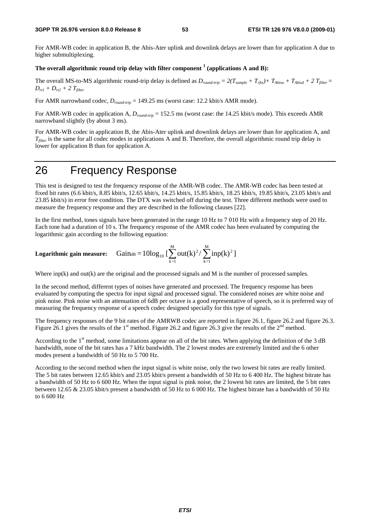For AMR-WB codec in application B, the Abis-Ater uplink and downlink delays are lower than for application A due to higher submultiplexing.

### The overall algorithmic round trip delay with filter component  $^1$  (applications A and B):

The overall MS-to-MS algorithmic round-trip delay is defined as  $D_{round-trip} = 2(T_{sample} + T_{rfix}) + T_{Abisu} + T_{Abisd} + 2 T_{filter}$  $D_{rt1} + D_{rt2} + 2 T_{filter}$ 

For AMR narrowband codec,  $D_{round-trip} = 149.25$  ms (worst case: 12.2 kbit/s AMR mode).

For AMR-WB codec in application A, *Dround-trip* = 152.5 ms (worst case: the 14.25 kbit/s mode). This exceeds AMR narrowband slightly (by about 3 ms).

For AMR-WB codec in application B, the Abis-Ater uplink and downlink delays are lower than for application A, and *T<sub>filter</sub>* is the same for all codec modes in applications A and B. Therefore, the overall algorithmic round trip delay is lower for application B than for application A.

### 26 Frequency Response

This test is designed to test the frequency response of the AMR-WB codec. The AMR-WB codec has been tested at fixed bit rates (6.6 kbit/s, 8.85 kbit/s, 12.65 kbit/s, 14.25 kbit/s, 15.85 kbit/s, 18.25 kbit/s, 19.85 kbit/s, 23.05 kbit/s and 23.85 kbit/s) in error free condition. The DTX was switched off during the test. Three different methods were used to measure the frequency response and they are described in the following clauses [22].

In the first method, tones signals have been generated in the range 10 Hz to 7 010 Hz with a frequency step of 20 Hz. Each tone had a duration of 10 s. The frequency response of the AMR codec has been evaluated by computing the logarithmic gain according to the following equation:

Logarithmic gain measure: 
$$
\text{Gain}_{dB} = 10\log_{10} \left[\sum_{k=1}^{M} \text{out}(k)^2 / \sum_{k=1}^{M} \text{inp}(k)^2\right]
$$

Where  $inp(k)$  and  $out(k)$  are the original and the processed signals and M is the number of processed samples.

In the second method, different types of noises have generated and processed. The frequency response has been evaluated by computing the spectra for input signal and processed signal. The considered noises are white noise and pink noise. Pink noise with an attenuation of 6dB per octave is a good representative of speech, so it is preferred way of measuring the frequency response of a speech codec designed specially for this type of signals.

The frequency responses of the 9 bit rates of the AMRWB codec are reported in figure 26.1, figure 26.2 and figure 26.3. Figure 26.1 gives the results of the 1<sup>st</sup> method. Figure 26.2 and figure 26.3 give the results of the 2<sup>nd</sup> method.

According to the 1<sup>st</sup> method, some limitations appear on all of the bit rates. When applying the definition of the 3 dB bandwidth, none of the bit rates has a 7 kHz bandwidth. The 2 lowest modes are extremely limited and the 6 other modes present a bandwidth of 50 Hz to 5 700 Hz.

According to the second method when the input signal is white noise, only the two lowest bit rates are really limited. The 5 bit rates between 12.65 kbit/s and 23.05 kbit/s present a bandwidth of 50 Hz to 6 400 Hz. The highest bitrate has a bandwidth of 50 Hz to 6 600 Hz. When the input signal is pink noise, the 2 lowest bit rates are limited, the 5 bit rates between 12.65 & 23.05 kbit/s present a bandwidth of 50 Hz to 6 000 Hz. The highest bitrate has a bandwidth of 50 Hz to 6 600 Hz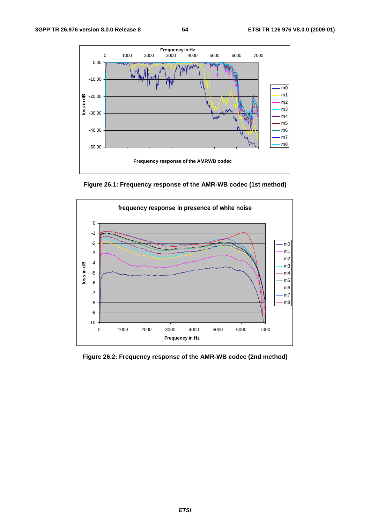

**Figure 26.1: Frequency response of the AMR-WB codec (1st method)** 



**Figure 26.2: Frequency response of the AMR-WB codec (2nd method)**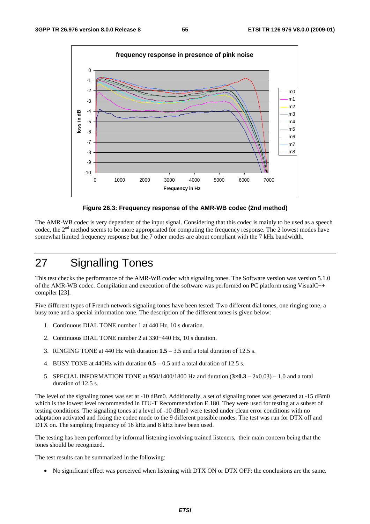

**Figure 26.3: Frequency response of the AMR-WB codec (2nd method)** 

The AMR-WB codec is very dependent of the input signal. Considering that this codec is mainly to be used as a speech codec, the 2<sup>nd</sup> method seems to be more appropriated for computing the frequency response. The 2 lowest modes have somewhat limited frequency response but the 7 other modes are about compliant with the 7 kHz bandwidth.

# 27 Signalling Tones

This test checks the performance of the AMR-WB codec with signaling tones. The Software version was version 5.1.0 of the AMR-WB codec. Compilation and execution of the software was performed on PC platform using VisualC++ compiler [23].

Five different types of French network signaling tones have been tested: Two different dial tones, one ringing tone, a busy tone and a special information tone. The description of the different tones is given below:

- 1. Continuous DIAL TONE number 1 at 440 Hz, 10 s duration.
- 2. Continuous DIAL TONE number 2 at 330+440 Hz, 10 s duration.
- 3. RINGING TONE at 440 Hz with duration **1.5** 3.5 and a total duration of 12.5 s.
- 4. BUSY TONE at 440Hz with duration **0.5**  0.5 and a total duration of 12.5 s.
- 5. SPECIAL INFORMATION TONE at 950/1400/1800 Hz and duration (**3×0.3** 2x0.03) 1.0 and a total duration of 12.5 s.

The level of the signaling tones was set at -10 dBm0. Additionally, a set of signaling tones was generated at -15 dBm0 which is the lowest level recommended in ITU-T Recommendation E.180. They were used for testing at a subset of testing conditions. The signaling tones at a level of -10 dBm0 were tested under clean error conditions with no adaptation activated and fixing the codec mode to the 9 different possible modes. The test was run for DTX off and DTX on. The sampling frequency of 16 kHz and 8 kHz have been used.

The testing has been performed by informal listening involving trained listeners, their main concern being that the tones should be recognized.

The test results can be summarized in the following:

• No significant effect was perceived when listening with DTX ON or DTX OFF: the conclusions are the same.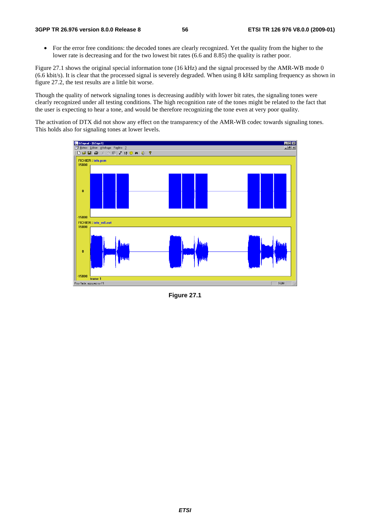• For the error free conditions: the decoded tones are clearly recognized. Yet the quality from the higher to the lower rate is decreasing and for the two lowest bit rates (6.6 and 8.85) the quality is rather poor.

Figure 27.1 shows the original special information tone (16 kHz) and the signal processed by the AMR-WB mode 0 (6.6 kbit/s). It is clear that the processed signal is severely degraded. When using 8 kHz sampling frequency as shown in figure 27.2, the test results are a little bit worse.

Though the quality of network signaling tones is decreasing audibly with lower bit rates, the signaling tones were clearly recognized under all testing conditions. The high recognition rate of the tones might be related to the fact that the user is expecting to hear a tone, and would be therefore recognizing the tone even at very poor quality.

The activation of DTX did not show any effect on the transparency of the AMR-WB codec towards signaling tones. This holds also for signaling tones at lower levels.



**Figure 27.1**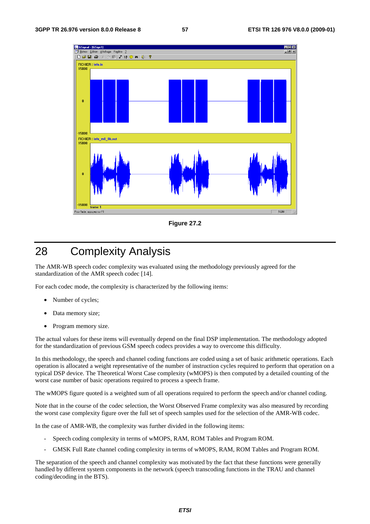

**Figure 27.2** 

# 28 Complexity Analysis

The AMR-WB speech codec complexity was evaluated using the methodology previously agreed for the standardization of the AMR speech codec [14].

For each codec mode, the complexity is characterized by the following items:

- Number of cycles;
- Data memory size;
- Program memory size.

The actual values for these items will eventually depend on the final DSP implementation. The methodology adopted for the standardization of previous GSM speech codecs provides a way to overcome this difficulty.

In this methodology, the speech and channel coding functions are coded using a set of basic arithmetic operations. Each operation is allocated a weight representative of the number of instruction cycles required to perform that operation on a typical DSP device. The Theoretical Worst Case complexity (wMOPS) is then computed by a detailed counting of the worst case number of basic operations required to process a speech frame.

The wMOPS figure quoted is a weighted sum of all operations required to perform the speech and/or channel coding.

Note that in the course of the codec selection, the Worst Observed Frame complexity was also measured by recording the worst case complexity figure over the full set of speech samples used for the selection of the AMR-WB codec.

In the case of AMR-WB, the complexity was further divided in the following items:

- Speech coding complexity in terms of wMOPS, RAM, ROM Tables and Program ROM.
- GMSK Full Rate channel coding complexity in terms of wMOPS, RAM, ROM Tables and Program ROM.

The separation of the speech and channel complexity was motivated by the fact that these functions were generally handled by different system components in the network (speech transcoding functions in the TRAU and channel coding/decoding in the BTS).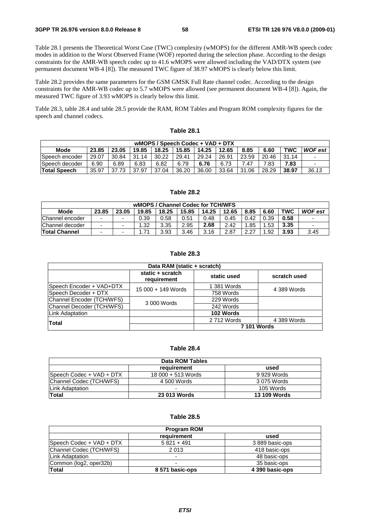Table 28.1 presents the Theoretical Worst Case (TWC) complexity (wMOPS) for the different AMR-WB speech codec modes in addition to the Worst Observed Frame (WOF) reported during the selection phase. According to the design constraints for the AMR-WB speech codec up to 41.6 wMOPS were allowed including the VAD/DTX system (see permanent document WB-4 [8]). The measured TWC figure of 38.97 wMOPS is clearly below this limit.

Table 28.2 provides the same parameters for the GSM GMSK Full Rate channel codec. According to the design constraints for the AMR-WB codec up to 5.7 wMOPS were allowed (see permanent document WB-4 [8]). Again, the measured TWC figure of 3.93 wMOPS is clearly below this limit.

Table 28.3, table 28.4 and table 28.5 provide the RAM, ROM Tables and Program ROM complexity figures for the speech and channel codecs.

| wMOPS / Speech Codec + VAD + DTX |       |       |       |       |       |       |       |       |       |       |                |
|----------------------------------|-------|-------|-------|-------|-------|-------|-------|-------|-------|-------|----------------|
| Mode                             | 23.85 | 23.05 | 19.85 | 18.25 | 15.85 | 14.25 | 12.65 | 8.85  | 6.60  | TWC   | <b>WOF</b> est |
| Speech encoder                   | 29.07 | 30.84 | 31.14 | 30.22 | 29.41 | 29.24 | 26.91 | 23.59 | 20.46 | 31.14 |                |
| Speech decoder                   | 6.90  | 6.89  | 6.83  | 6.82  | 6.79  | 6.76  | 6.73  | .47   | 7.83  | 7.83  |                |
| <b>Total Speech</b>              | 35.97 | 37.73 | 37.97 | 37.04 | 36.20 | 36.00 | 33.64 | 31.06 | 28.29 | 38.97 | 36.13          |

**Table 28.1** 

### **Table 28.2**

| wMOPS / Channel Codec for TCH/WFS |                          |       |       |       |       |       |       |      |      |            |                          |
|-----------------------------------|--------------------------|-------|-------|-------|-------|-------|-------|------|------|------------|--------------------------|
| <b>Mode</b>                       | 23.85                    | 23.05 | 19.85 | 18.25 | 15.85 | 14.25 | 12.65 | 8.85 | 6.60 | <b>TWC</b> | <b>WOF est</b>           |
| Channel encoder                   | ۰                        | -     | 0.39  | 0.58  | 0.51  | 0.48  | 0.45  | 0.42 | 0.39 | 0.58       | $\overline{\phantom{0}}$ |
| Channel decoder                   | ۰                        |       | .32   | 3.35  | 2.95  | 2.68  | 2.42  | .85  | 1.53 | 3.35       | $\overline{\phantom{0}}$ |
| <b>Total Channel</b>              | $\overline{\phantom{0}}$ |       |       | 3.93  | 3.46  | 3.16  | 2.87  | 2.27 | .92  | 3.93       | 3.45                     |

#### **Table 28.3**

| Data RAM (static + scratch) |                                 |             |                    |  |
|-----------------------------|---------------------------------|-------------|--------------------|--|
|                             | static + scratch<br>requirement | static used | scratch used       |  |
| Speech Encoder + VAD+DTX    | 15 000 + 149 Words              | 1 381 Words | 4 389 Words        |  |
| Speech Decoder + DTX        |                                 | 758 Words   |                    |  |
| Channel Encoder (TCH/WFS)   | 3 000 Words                     | 229 Words   |                    |  |
| Channel Decoder (TCH/WFS)   |                                 | 242 Words   |                    |  |
| Link Adaptation             |                                 | 102 Words   |                    |  |
| Total                       |                                 | 2 712 Words | 4 389 Words        |  |
|                             |                                 |             | <b>7 101 Words</b> |  |

### **Table 28.4**

| Data ROM Tables          |                     |                     |  |  |
|--------------------------|---------------------|---------------------|--|--|
|                          | requirement         | used                |  |  |
| Speech Codec + VAD + DTX | 18 000 + 513 Words  | 9 929 Words         |  |  |
| Channel Codec (TCH/WFS)  | 4 500 Words         | 3 075 Words         |  |  |
| Link Adaptation          | -                   | 105 Words           |  |  |
| Total                    | <b>23 013 Words</b> | <b>13 109 Words</b> |  |  |

#### **Table 28.5**

|                          | <b>Program ROM</b> |                 |
|--------------------------|--------------------|-----------------|
|                          | reauirement        | used            |
| Speech Codec + VAD + DTX | $5821 + 491$       | 3 889 basic-ops |
| Channel Codec (TCH/WFS)  | 2013               | 418 basic-ops   |
| Link Adaptation          | -                  | 48 basic-ops    |
| Common (log2, oper32b)   |                    | 35 basic-ops    |
| Total                    | 8 571 basic-ops    | 4 390 basic-ops |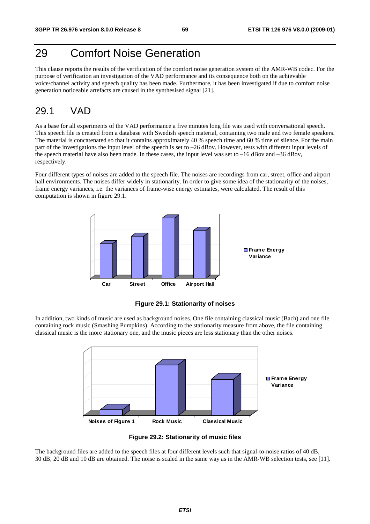# 29 Comfort Noise Generation

This clause reports the results of the verification of the comfort noise generation system of the AMR-WB codec. For the purpose of verification an investigation of the VAD performance and its consequence both on the achievable voice/channel activity and speech quality has been made. Furthermore, it has been investigated if due to comfort noise generation noticeable artefacts are caused in the synthesised signal [21].

### 29.1 VAD

As a base for all experiments of the VAD performance a five minutes long file was used with conversational speech. This speech file is created from a database with Swedish speech material, containing two male and two female speakers. The material is concatenated so that it contains approximately 40 % speech time and 60 % time of silence. For the main part of the investigations the input level of the speech is set to –26 dBov. However, tests with different input levels of the speech material have also been made. In these cases, the input level was set to –16 dBov and –36 dBov, respectively.

Four different types of noises are added to the speech file. The noises are recordings from car, street, office and airport hall environments. The noises differ widely in stationarity. In order to give some idea of the stationarity of the noises, frame energy variances, i.e. the variances of frame-wise energy estimates, were calculated. The result of this computation is shown in figure 29.1.



**Figure 29.1: Stationarity of noises** 

In addition, two kinds of music are used as background noises. One file containing classical music (Bach) and one file containing rock music (Smashing Pumpkins). According to the stationarity measure from above, the file containing classical music is the more stationary one, and the music pieces are less stationary than the other noises.



**Figure 29.2: Stationarity of music files** 

The background files are added to the speech files at four different levels such that signal-to-noise ratios of 40 dB, 30 dB, 20 dB and 10 dB are obtained. The noise is scaled in the same way as in the AMR-WB selection tests, see [11].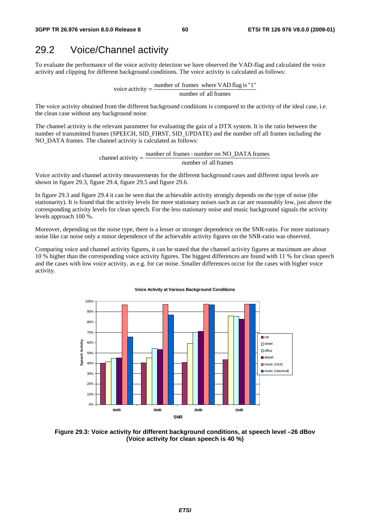### 29.2 Voice/Channel activity

To evaluate the performance of the voice activity detection we have observed the VAD-flag and calculated the voice activity and clipping for different background conditions. The voice activity is calculated as follows:

> number of all frames voice activity  $=$  number of frames where VAD flag is "1"

The voice activity obtained from the different background conditions is compared to the activity of the ideal case, i.e. the clean case without any background noise.

The channel activity is the relevant parameter for evaluating the gain of a DTX system. It is the ratio between the number of transmitted frames (SPEECH, SID\_FIRST, SID\_UPDATE) and the number off all frames including the NO\_DATA frames. The channel activity is calculated as follows:

> number of all frames channel activity  $=$   $\frac{\text{number of frames - number on NO\_DATA} }{n}$  frames

Voice activity and channel activity measurements for the different background cases and different input levels are shown in figure 29.3, figure 29.4, figure 29.5 and figure 29.6.

In figure 29.3 and figure 29.4 it can be seen that the achievable activity strongly depends on the type of noise (the stationarity). It is found that the activity levels for more stationary noises such as car are reasonably low, just above the corresponding activity levels for clean speech. For the less stationary noise and music background signals the activity levels approach 100 %.

Moreover, depending on the noise type, there is a lesser or stronger dependence on the SNR-ratio. For more stationary noise like car noise only a minor dependence of the achievable activity figures on the SNR-ratio was observed.

Comparing voice and channel activity figures, it can be stated that the channel activity figures at maximum are about 10 % higher than the corresponding voice activity figures. The biggest differences are found with 11 % for clean speech and the cases with low voice activity, as e.g. for car noise. Smaller differences occur for the cases with higher voice activity.



#### **Voice Activity at Various Background Conditions**

**Figure 29.3: Voice activity for different background conditions, at speech level –26 dBov (Voice activity for clean speech is 40 %)**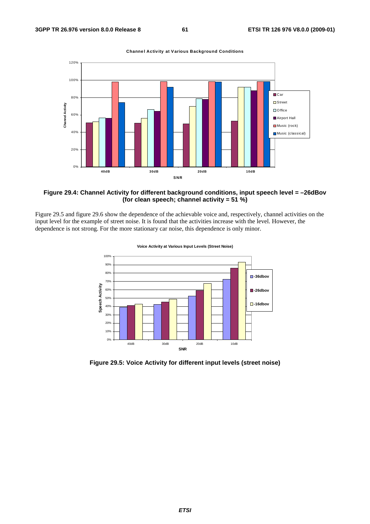

**Channel Activity at Various Background Conditions**



Figure 29.5 and figure 29.6 show the dependence of the achievable voice and, respectively, channel activities on the input level for the example of street noise. It is found that the activities increase with the level. However, the dependence is not strong. For the more stationary car noise, this dependence is only minor.



**Voice Activity at Various Input Levels (Street Noise)** 

**Figure 29.5: Voice Activity for different input levels (street noise)**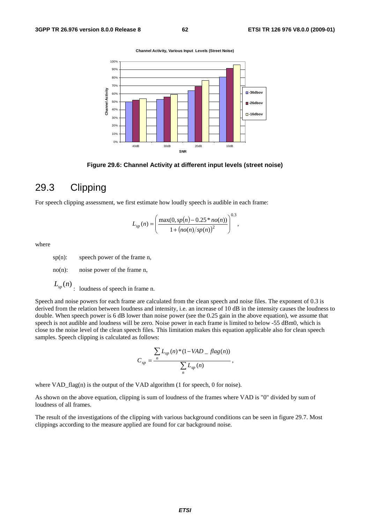**Channel Activity, Various Input Levels (Street Noise)**



**Figure 29.6: Channel Activity at different input levels (street noise)** 

### 29.3 Clipping

For speech clipping assessment, we first estimate how loudly speech is audible in each frame:

$$
L_{sp}(n) = \left(\frac{\max(0, sp(n) - 0.25 * no(n))}{1 + (no(n)/sp(n))^2}\right)^{0.3},
$$

where

sp(n): speech power of the frame n,

no(n): noise power of the frame n,

 $L_{sp}(n)$  *speech in frame n.* 

Speech and noise powers for each frame are calculated from the clean speech and noise files. The exponent of 0.3 is derived from the relation between loudness and intensity, i.e. an increase of 10 dB in the intensity causes the loudness to double. When speech power is 6 dB lower than noise power (see the 0.25 gain in the above equation), we assume that speech is not audible and loudness will be zero. Noise power in each frame is limited to below -55 dBm0, which is close to the noise level of the clean speech files. This limitation makes this equation applicable also for clean speech samples. Speech clipping is calculated as follows:

$$
C_{sp} = \frac{\sum_{np} L_{sp}(n) * (1 - VAD - flag(n))}{\sum_{n} L_{sp}(n)},
$$

where VAD\_flag(n) is the output of the VAD algorithm (1 for speech, 0 for noise).

As shown on the above equation, clipping is sum of loudness of the frames where VAD is "0" divided by sum of loudness of all frames.

The result of the investigations of the clipping with various background conditions can be seen in figure 29.7. Most clippings according to the measure applied are found for car background noise.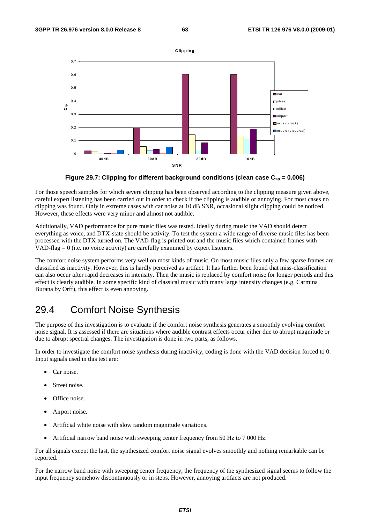

Figure 29.7: Clipping for different background conditions (clean case  $C_{\rm so} = 0.006$ )

For those speech samples for which severe clipping has been observed according to the clipping measure given above, careful expert listening has been carried out in order to check if the clipping is audible or annoying. For most cases no clipping was found. Only in extreme cases with car noise at 10 dB SNR, occasional slight clipping could be noticed. However, these effects were very minor and almost not audible.

Additionally, VAD performance for pure music files was tested. Ideally during music the VAD should detect everything as voice, and DTX-state should be activity. To test the system a wide range of diverse music files has been processed with the DTX turned on. The VAD-flag is printed out and the music files which contained frames with VAD-flag  $= 0$  (i.e. no voice activity) are carefully examined by expert listeners.

The comfort noise system performs very well on most kinds of music. On most music files only a few sparse frames are classified as inactivity. However, this is hardly perceived as artifact. It has further been found that miss-classification can also occur after rapid decreases in intensity. Then the music is replaced by comfort noise for longer periods and this effect is clearly audible. In some specific kind of classical music with many large intensity changes (e.g. Carmina Burana by Orff), this effect is even annoying.

## 29.4 Comfort Noise Synthesis

The purpose of this investigation is to evaluate if the comfort noise synthesis generates a smoothly evolving comfort noise signal. It is assessed if there are situations where audible contrast effects occur either due to abrupt magnitude or due to abrupt spectral changes. The investigation is done in two parts, as follows.

In order to investigate the comfort noise synthesis during inactivity, coding is done with the VAD decision forced to 0. Input signals used in this test are:

- Car noise.
- Street noise.
- Office noise.
- Airport noise.
- Artificial white noise with slow random magnitude variations.
- Artificial narrow band noise with sweeping center frequency from 50 Hz to 7 000 Hz.

For all signals except the last, the synthesized comfort noise signal evolves smoothly and nothing remarkable can be reported.

For the narrow band noise with sweeping center frequency, the frequency of the synthesized signal seems to follow the input frequency somehow discontinuously or in steps. However, annoying artifacts are not produced.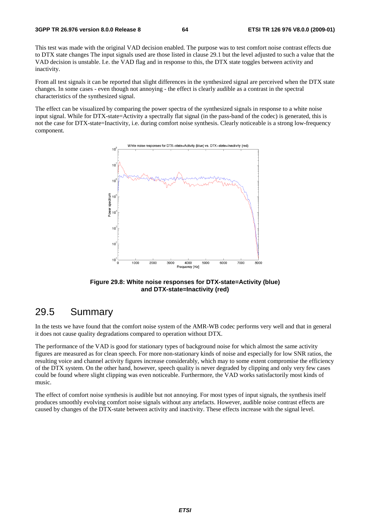#### **3GPP TR 26.976 version 8.0.0 Release 8 64 ETSI TR 126 976 V8.0.0 (2009-01)**

This test was made with the original VAD decision enabled. The purpose was to test comfort noise contrast effects due to DTX state changes The input signals used are those listed in clause 29.1 but the level adjusted to such a value that the VAD decision is unstable. I.e. the VAD flag and in response to this, the DTX state toggles between activity and inactivity.

From all test signals it can be reported that slight differences in the synthesized signal are perceived when the DTX state changes. In some cases - even though not annoying - the effect is clearly audible as a contrast in the spectral characteristics of the synthesized signal.

The effect can be visualized by comparing the power spectra of the synthesized signals in response to a white noise input signal. While for DTX-state=Activity a spectrally flat signal (in the pass-band of the codec) is generated, this is not the case for DTX-state=Inactivity, i.e. during comfort noise synthesis. Clearly noticeable is a strong low-frequency component.



**Figure 29.8: White noise responses for DTX-state=Activity (blue) and DTX-state=Inactivity (red)** 

### 29.5 Summary

In the tests we have found that the comfort noise system of the AMR-WB codec performs very well and that in general it does not cause quality degradations compared to operation without DTX.

The performance of the VAD is good for stationary types of background noise for which almost the same activity figures are measured as for clean speech. For more non-stationary kinds of noise and especially for low SNR ratios, the resulting voice and channel activity figures increase considerably, which may to some extent compromise the efficiency of the DTX system. On the other hand, however, speech quality is never degraded by clipping and only very few cases could be found where slight clipping was even noticeable. Furthermore, the VAD works satisfactorily most kinds of music.

The effect of comfort noise synthesis is audible but not annoying. For most types of input signals, the synthesis itself produces smoothly evolving comfort noise signals without any artefacts. However, audible noise contrast effects are caused by changes of the DTX-state between activity and inactivity. These effects increase with the signal level.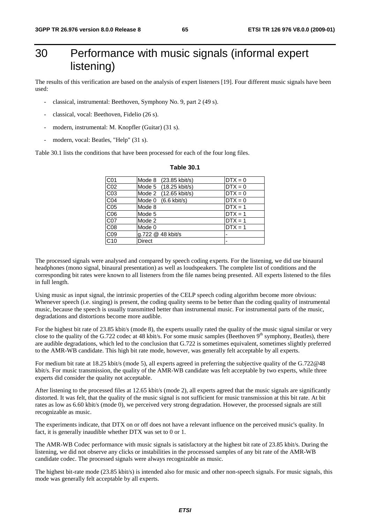# 30 Performance with music signals (informal expert listening)

The results of this verification are based on the analysis of expert listeners [19]. Four different music signals have been used:

- classical, instrumental: Beethoven, Symphony No. 9, part 2 (49 s).
- classical, vocal: Beethoven, Fidelio (26 s).
- modern, instrumental: M. Knopfler (Guitar) (31 s).
- modern, vocal: Beatles, "Help" (31 s).

Table 30.1 lists the conditions that have been processed for each of the four long files.

| C01              | Mode 8 (23.85 kbit/s) | $DTX = 0$ |
|------------------|-----------------------|-----------|
| C02              | Mode 5 (18.25 kbit/s) | $DTX = 0$ |
| C03              | Mode 2 (12.65 kbit/s) | $DTX = 0$ |
| CO <sub>4</sub>  | Mode 0 (6.6 kbit/s)   | $DTX = 0$ |
| CO <sub>5</sub>  | Mode 8                | $DTX = 1$ |
| C06              | Mode 5                | $DTX = 1$ |
| $\overline{CO7}$ | Mode 2                | $DTX = 1$ |
| C <sub>08</sub>  | Mode 0                | $DTX = 1$ |
| C <sub>09</sub>  | g.722 @ 48 kbit/s     |           |
| C <sub>10</sub>  | <b>Direct</b>         |           |

#### **Table 30.1**

The processed signals were analysed and compared by speech coding experts. For the listening, we did use binaural headphones (mono signal, binaural presentation) as well as loudspeakers. The complete list of conditions and the corresponding bit rates were known to all listeners from the file names being presented. All experts listened to the files in full length.

Using music as input signal, the intrinsic properties of the CELP speech coding algorithm become more obvious: Whenever speech (i.e. singing) is present, the coding quality seems to be better than the coding quality of instrumental music, because the speech is usually transmitted better than instrumental music. For instrumental parts of the music, degradations and distortions become more audible.

For the highest bit rate of 23.85 kbit/s (mode 8), the experts usually rated the quality of the music signal similar or very close to the quality of the G.722 codec at 48 kbit/s. For some music samples (Beethoven  $9<sup>th</sup>$  symphony, Beatles), there are audible degradations, which led to the conclusion that G.722 is sometimes equivalent, sometimes slightly preferred to the AMR-WB candidate. This high bit rate mode, however, was generally felt acceptable by all experts.

For medium bit rate at 18.25 kbit/s (mode 5), all experts agreed in preferring the subjective quality of the G.722@48 kbit/s. For music transmission, the quality of the AMR-WB candidate was felt acceptable by two experts, while three experts did consider the quality not acceptable.

After listening to the processed files at 12.65 kbit/s (mode 2), all experts agreed that the music signals are significantly distorted. It was felt, that the quality of the music signal is not sufficient for music transmission at this bit rate. At bit rates as low as 6.60 kbit/s (mode 0), we perceived very strong degradation. However, the processed signals are still recognizable as music.

The experiments indicate, that DTX on or off does not have a relevant influence on the perceived music's quality. In fact, it is generally inaudible whether DTX was set to 0 or 1.

The AMR-WB Codec performance with music signals is satisfactory at the highest bit rate of 23.85 kbit/s. During the listening, we did not observe any clicks or instabilities in the processsed samples of any bit rate of the AMR-WB candidate codec. The processed signals were always recognizable as music.

The highest bit-rate mode (23.85 kbit/s) is intended also for music and other non-speech signals. For music signals, this mode was generally felt acceptable by all experts.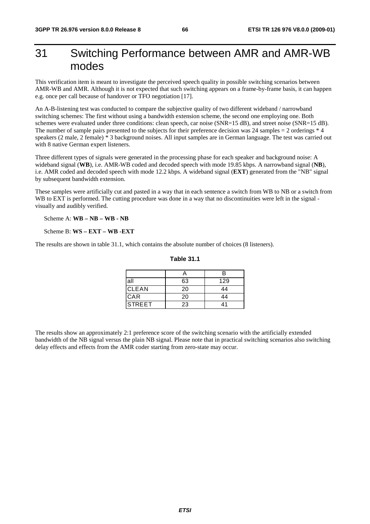# 31 Switching Performance between AMR and AMR-WB modes

This verification item is meant to investigate the perceived speech quality in possible switching scenarios between AMR-WB and AMR. Although it is not expected that such switching appears on a frame-by-frame basis, it can happen e.g. once per call because of handover or TFO negotiation [17].

An A-B-listening test was conducted to compare the subjective quality of two different wideband / narrowband switching schemes: The first without using a bandwidth extension scheme, the second one employing one. Both schemes were evaluated under three conditions: clean speech, car noise (SNR=15 dB), and street noise (SNR=15 dB). The number of sample pairs presented to the subjects for their preference decision was 24 samples = 2 orderings \* 4 speakers (2 male, 2 female) \* 3 background noises. All input samples are in German language. The test was carried out with 8 native German expert listeners.

Three different types of signals were generated in the processing phase for each speaker and background noise: A wideband signal (**WB**), i.e. AMR-WB coded and decoded speech with mode 19.85 kbps. A narrowband signal (**NB**), i.e. AMR coded and decoded speech with mode 12.2 kbps. A wideband signal (**EXT**) generated from the "NB" signal by subsequent bandwidth extension.

These samples were artificially cut and pasted in a way that in each sentence a switch from WB to NB or a switch from WB to EXT is performed. The cutting procedure was done in a way that no discontinuities were left in the signal visually and audibly verified.

Scheme A: **WB – NB – WB - NB**

Scheme B: **WS – EXT – WB -EXT**

The results are shown in table 31.1, which contains the absolute number of choices (8 listeners).

|        |    | в   |
|--------|----|-----|
| all    | 63 | 129 |
| CLEAN  | 20 | 44  |
| CAR    | 20 | 44  |
| STREET | 23 | 41  |

#### **Table 31.1**

The results show an approximately 2:1 preference score of the switching scenario with the artificially extended bandwidth of the NB signal versus the plain NB signal. Please note that in practical switching scenarios also switching delay effects and effects from the AMR coder starting from zero-state may occur.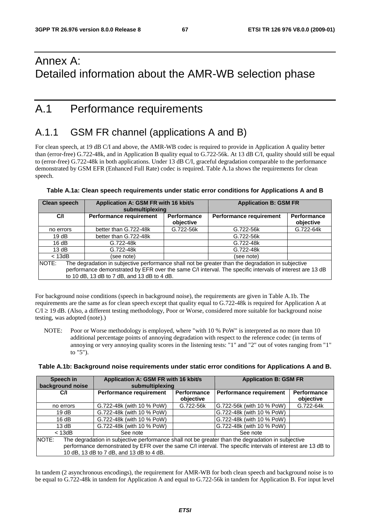# Annex A: Detailed information about the AMR-WB selection phase

# A.1 Performance requirements

# A.1.1 GSM FR channel (applications A and B)

For clean speech, at 19 dB C/I and above, the AMR-WB codec is required to provide in Application A quality better than (error-free) G.722-48k, and in Application B quality equal to G.722-56k. At 13 dB C/I, quality should still be equal to (error-free) G.722-48k in both applications. Under 13 dB C/I, graceful degradation comparable to the performance demonstrated by GSM EFR (Enhanced Full Rate) codec is required. Table A.1a shows the requirements for clean speech.

| Clean speech                                                                                                       | Application A: GSM FR with 16 kbit/s<br>submultiplexing |                          | <b>Application B: GSM FR</b>   |                          |
|--------------------------------------------------------------------------------------------------------------------|---------------------------------------------------------|--------------------------|--------------------------------|--------------------------|
| C/I                                                                                                                | <b>Performance requirement</b>                          | Performance<br>objective | <b>Performance requirement</b> | Performance<br>objective |
| no errors                                                                                                          | better than G.722-48k                                   | G.722-56k                | G.722-56k                      | G.722-64k                |
| 19dB                                                                                                               | better than G.722-48k                                   |                          | G.722-56k                      |                          |
| 16 dB                                                                                                              | G.722-48k                                               |                          | G.722-48k                      |                          |
| 13 dB                                                                                                              | G.722-48k                                               |                          | G.722-48k                      |                          |
| $<$ 13dB                                                                                                           | (see note)                                              |                          | (see note)                     |                          |
| The degradation in subjective performance shall not be greater than the degradation in subjective<br><b>INOTE:</b> |                                                         |                          |                                |                          |
| performance demonstrated by EFR over the same C/I interval. The specific intervals of interest are 13 dB           |                                                         |                          |                                |                          |
|                                                                                                                    | to 10 dB, 13 dB to 7 dB, and 13 dB to 4 dB.             |                          |                                |                          |

### **Table A.1a: Clean speech requirements under static error conditions for Applications A and B**

For background noise conditions (speech in background noise), the requirements are given in Table A.1b. The requirements are the same as for clean speech except that quality equal to G.722-48k is required for Application A at  $C/I \ge 19$  dB. (Also, a different testing methodology, Poor or Worse, considered more suitable for background noise testing, was adopted (note).)

NOTE: Poor or Worse methodology is employed, where "with 10 % PoW" is interpreted as no more than 10 additional percentage points of annoying degradation with respect to the reference codec (in terms of annoying or very annoying quality scores in the listening tests: "1" and "2" out of votes ranging from "1" to  $"5"$ ).

#### **Table A.1b: Background noise requirements under static error conditions for Applications A and B.**

| Speech in<br>background noise                                                                               | Application A: GSM FR with 16 kbit/s<br>submultiplexing |                          | <b>Application B: GSM FR</b>   |                                 |
|-------------------------------------------------------------------------------------------------------------|---------------------------------------------------------|--------------------------|--------------------------------|---------------------------------|
| CЛ                                                                                                          | Performance requirement                                 | Performance<br>objective | <b>Performance requirement</b> | <b>Performance</b><br>objective |
| no errors                                                                                                   | G.722-48k (with 10 % PoW)                               | G.722-56k                | G.722-56k (with 10 % PoW)      | G.722-64k                       |
| 19dB                                                                                                        | G.722-48k (with 10 % PoW)                               |                          | G.722-48k (with 10 % PoW)      |                                 |
| 16dB                                                                                                        | G.722-48k (with 10 % PoW)                               |                          | G.722-48k (with 10 % PoW)      |                                 |
| 13 $dB$                                                                                                     | G.722-48k (with 10 % PoW)                               |                          | G.722-48k (with 10 % PoW)      |                                 |
| $<$ 13dB                                                                                                    | See note                                                |                          | See note                       |                                 |
| NOTE:<br>The degradation in subjective performance shall not be greater than the degradation in subjective  |                                                         |                          |                                |                                 |
| performance demonstrated by EFR over the same C/I interval. The specific intervals of interest are 13 dB to |                                                         |                          |                                |                                 |
|                                                                                                             | 10 dB, 13 dB to 7 dB, and 13 dB to 4 dB.                |                          |                                |                                 |

In tandem (2 asynchronous encodings), the requirement for AMR-WB for both clean speech and background noise is to be equal to G.722-48k in tandem for Application A and equal to G.722-56k in tandem for Application B. For input level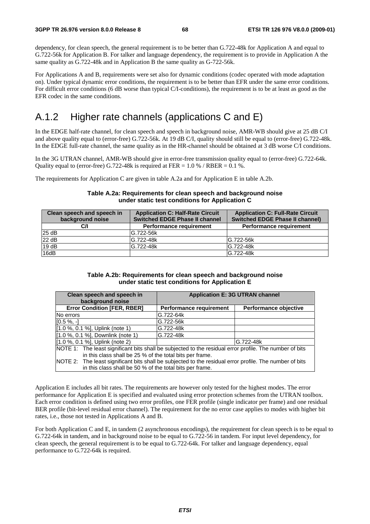dependency, for clean speech, the general requirement is to be better than G.722-48k for Application A and equal to G.722-56k for Application B. For talker and language dependency, the requirement is to provide in Application A the same quality as G.722-48k and in Application B the same quality as G-722-56k.

For Applications A and B, requirements were set also for dynamic conditions (codec operated with mode adaptation on). Under typical dynamic error conditions, the requirement is to be better than EFR under the same error conditions. For difficult error conditions (6 dB worse than typical C/I-conditions), the requirement is to be at least as good as the EFR codec in the same conditions.

## A.1.2 Higher rate channels (applications C and E)

In the EDGE half-rate channel, for clean speech and speech in background noise, AMR-WB should give at 25 dB C/I and above quality equal to (error-free) G.722-56k. At 19 dB C/I, quality should still be equal to (error-free) G.722-48k. In the EDGE full-rate channel, the same quality as in the HR-channel should be obtained at 3 dB worse C/I conditions.

In the 3G UTRAN channel, AMR-WB should give in error-free transmission quality equal to (error-free) G.722-64k. Quality equal to (error-free) G.722-48k is required at FER =  $1.0\%$  / RBER =  $0.1\%$ .

The requirements for Application C are given in table A.2a and for Application E in table A.2b.

#### **Table A.2a: Requirements for clean speech and background noise under static test conditions for Application C**

| Clean speech and speech in | <b>Application C: Half-Rate Circuit</b> | <b>Application C: Full-Rate Circuit</b> |
|----------------------------|-----------------------------------------|-----------------------------------------|
| background noise           | <b>Switched EDGE Phase II channel</b>   | <b>Switched EDGE Phase II channel)</b>  |
| CЛ                         | Performance requirement                 | Performance requirement                 |
| 25dB                       | G.722-56k                               |                                         |
| 22 dB                      | G.722-48k                               | G.722-56k                               |
| 19dB                       | G.722-48k                               | G.722-48k                               |
| 16dB                       |                                         | G.722-48k                               |

#### **Table A.2b: Requirements for clean speech and background noise under static test conditions for Application E**

| Clean speech and speech in                                                                              |                         | <b>Application E: 3G UTRAN channel</b> |
|---------------------------------------------------------------------------------------------------------|-------------------------|----------------------------------------|
| background noise                                                                                        |                         |                                        |
| <b>Error Condition [FER, RBER]</b>                                                                      | Performance requirement | Performance objective                  |
| No errors                                                                                               | G.722-64k               |                                        |
| $[0.5 \%$ , -1                                                                                          | G.722-56k               |                                        |
| [1.0 %, 0.1 %], Uplink (note 1)                                                                         | G.722-48k               |                                        |
| [1.0 %, 0.1 %], Downlink (note 1)                                                                       | G.722-48k               |                                        |
| [1.0 %, 0.1 %], Uplink (note 2)                                                                         |                         | G.722-48k                              |
| NOTE 1: The least significant bits shall be subjected to the residual error profile. The number of bits |                         |                                        |
| in this class shall be 25 % of the total bits per frame.                                                |                         |                                        |
| NOTE 2: The least significant bits shall be subjected to the residual error profile. The number of bits |                         |                                        |
| in this class shall be 50 % of the total bits per frame.                                                |                         |                                        |

Application E includes all bit rates. The requirements are however only tested for the highest modes. The error performance for Application E is specified and evaluated using error protection schemes from the UTRAN toolbox. Each error condition is defined using two error profiles, one FER profile (single indicator per frame) and one residual BER profile (bit-level residual error channel). The requirement for the no error case applies to modes with higher bit rates, i.e., those not tested in Applications A and B.

For both Application C and E, in tandem (2 asynchronous encodings), the requirement for clean speech is to be equal to G.722-64k in tandem, and in background noise to be equal to G.722-56 in tandem. For input level dependency, for clean speech, the general requirement is to be equal to G.722-64k. For talker and language dependency, equal performance to G.722-64k is required.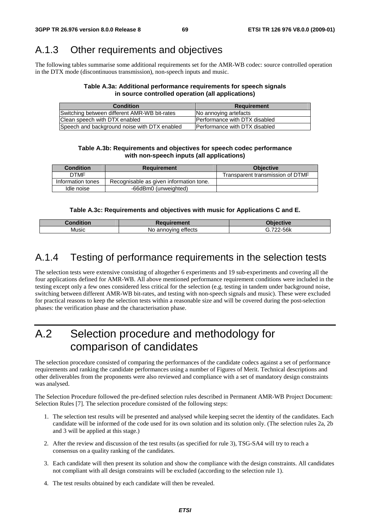### A.1.3 Other requirements and objectives

The following tables summarise some additional requirements set for the AMR-WB codec: source controlled operation in the DTX mode (discontinuous transmission), non-speech inputs and music.

#### **Table A.3a: Additional performance requirements for speech signals in source controlled operation (all applications)**

| <b>Condition</b>                             | <b>Requirement</b>                    |
|----------------------------------------------|---------------------------------------|
| Switching between different AMR-WB bit-rates | No annoving artefacts                 |
| Clean speech with DTX enabled                | <b>Performance with DTX disabled</b>  |
| Speech and background noise with DTX enabled | <b>IPerformance with DTX disabled</b> |

#### **Table A.3b: Requirements and objectives for speech codec performance with non-speech inputs (all applications)**

| <b>Condition</b>  | <b>Requirement</b>                      | <b>Objective</b>                 |
|-------------------|-----------------------------------------|----------------------------------|
| <b>DTMF</b>       |                                         | Transparent transmission of DTMF |
| Information tones | Recognisable as given information tone. |                                  |
| Idle noise        | -66dBm0 (unweighted)                    |                                  |

### **Table A.3c: Requirements and objectives with music for Applications C and E.**

| $\sim$ $\sim$ | ıent                                         | .             |
|---------------|----------------------------------------------|---------------|
| Music         | .<br>anno<br>Mr<br>. INC<br>enects<br>æ<br>. | $-56k$<br>700 |

### A.1.4 Testing of performance requirements in the selection tests

The selection tests were extensive consisting of altogether 6 experiments and 19 sub-experiments and covering all the four applications defined for AMR-WB. All above mentioned performance requirement conditions were included in the testing except only a few ones considered less critical for the selection (e.g. testing in tandem under background noise, switching between different AMR-WB bit-rates, and testing with non-speech signals and music). These were excluded for practical reasons to keep the selection tests within a reasonable size and will be covered during the post-selection phases: the verification phase and the characterisation phase.

# A.2 Selection procedure and methodology for comparison of candidates

The selection procedure consisted of comparing the performances of the candidate codecs against a set of performance requirements and ranking the candidate performances using a number of Figures of Merit. Technical descriptions and other deliverables from the proponents were also reviewed and compliance with a set of mandatory design constraints was analysed.

The Selection Procedure followed the pre-defined selection rules described in Permanent AMR-WB Project Document: Selection Rules [7]. The selection procedure consisted of the following steps:

- 1. The selection test results will be presented and analysed while keeping secret the identity of the candidates. Each candidate will be informed of the code used for its own solution and its solution only. (The selection rules 2a, 2b and 3 will be applied at this stage.)
- 2. After the review and discussion of the test results (as specified for rule 3), TSG-SA4 will try to reach a consensus on a quality ranking of the candidates.
- 3. Each candidate will then present its solution and show the compliance with the design constraints. All candidates not compliant with all design constraints will be excluded (according to the selection rule 1).
- 4. The test results obtained by each candidate will then be revealed.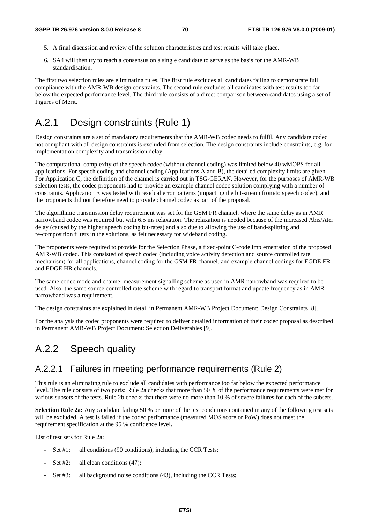- 5. A final discussion and review of the solution characteristics and test results will take place.
- 6. SA4 will then try to reach a consensus on a single candidate to serve as the basis for the AMR-WB standardisation.

The first two selection rules are eliminating rules. The first rule excludes all candidates failing to demonstrate full compliance with the AMR-WB design constraints. The second rule excludes all candidates with test results too far below the expected performance level. The third rule consists of a direct comparison between candidates using a set of Figures of Merit.

# A.2.1 Design constraints (Rule 1)

Design constraints are a set of mandatory requirements that the AMR-WB codec needs to fulfil. Any candidate codec not compliant with all design constraints is excluded from selection. The design constraints include constraints, e.g. for implementation complexity and transmission delay.

The computational complexity of the speech codec (without channel coding) was limited below 40 wMOPS for all applications. For speech coding and channel coding (Applications A and B), the detailed complexity limits are given. For Application C, the definition of the channel is carried out in TSG-GERAN. However, for the purposes of AMR-WB selection tests, the codec proponents had to provide an example channel codec solution complying with a number of constraints. Application E was tested with residual error patterns (impacting the bit-stream from/to speech codec), and the proponents did not therefore need to provide channel codec as part of the proposal.

The algorithmic transmission delay requirement was set for the GSM FR channel, where the same delay as in AMR narrowband codec was required but with 6.5 ms relaxation. The relaxation is needed because of the increased Abis/Ater delay (caused by the higher speech coding bit-rates) and also due to allowing the use of band-splitting and re-composition filters in the solutions, as felt necessary for wideband coding.

The proponents were required to provide for the Selection Phase, a fixed-point C-code implementation of the proposed AMR-WB codec. This consisted of speech codec (including voice activity detection and source controlled rate mechanism) for all applications, channel coding for the GSM FR channel, and example channel codings for EGDE FR and EDGE HR channels.

The same codec mode and channel measurement signalling scheme as used in AMR narrowband was required to be used. Also, the same source controlled rate scheme with regard to transport format and update frequency as in AMR narrowband was a requirement.

The design constraints are explained in detail in Permanent AMR-WB Project Document: Design Constraints [8].

For the analysis the codec proponents were required to deliver detailed information of their codec proposal as described in Permanent AMR-WB Project Document: Selection Deliverables [9].

# A.2.2 Speech quality

### A.2.2.1 Failures in meeting performance requirements (Rule 2)

This rule is an eliminating rule to exclude all candidates with performance too far below the expected performance level. The rule consists of two parts: Rule 2a checks that more than 50 % of the performance requirements were met for various subsets of the tests. Rule 2b checks that there were no more than 10 % of severe failures for each of the subsets.

**Selection Rule 2a:** Any candidate failing 50 % or more of the test conditions contained in any of the following test sets will be excluded. A test is failed if the codec performance (measured MOS score or PoW) does not meet the requirement specification at the 95 % confidence level.

List of test sets for Rule 2a:

- Set #1: all conditions (90 conditions), including the CCR Tests;
- Set  $#2$ : all clean conditions  $(47)$ ;
- Set #3: all background noise conditions (43), including the CCR Tests;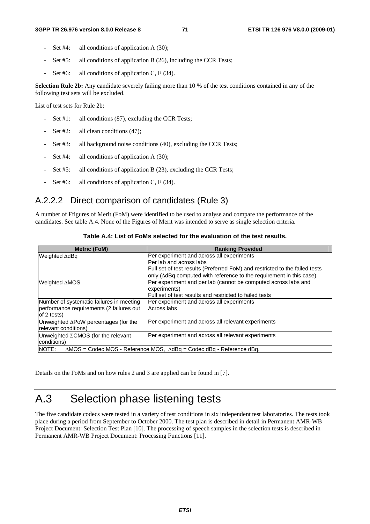- Set  $#4$ : all conditions of application A (30);
- Set  $#5$ : all conditions of application B (26), including the CCR Tests;
- Set #6: all conditions of application C,  $E(34)$ .

**Selection Rule 2b:** Any candidate severely failing more than 10 % of the test conditions contained in any of the following test sets will be excluded.

List of test sets for Rule 2b:

- Set #1: all conditions (87), excluding the CCR Tests;
- Set  $#2$ : all clean conditions (47);
- Set #3: all background noise conditions (40), excluding the CCR Tests;
- Set  $#4$ : all conditions of application A (30);
- Set #5: all conditions of application B (23), excluding the CCR Tests;
- Set #6: all conditions of application C, E (34).

### A.2.2.2 Direct comparison of candidates (Rule 3)

A number of Ffigures of Merit (FoM) were identified to be used to analyse and compare the performance of the candidates. See table A.4. None of the Figures of Merit was intended to serve as single selection criteria.

| <b>Metric (FoM)</b>                                                                                | <b>Ranking Provided</b>                                                             |  |
|----------------------------------------------------------------------------------------------------|-------------------------------------------------------------------------------------|--|
| Weighted ∆dBg                                                                                      | Per experiment and across all experiments                                           |  |
|                                                                                                    | Per lab and across labs                                                             |  |
|                                                                                                    | Full set of test results (Preferred FoM) and restricted to the failed tests         |  |
|                                                                                                    | $ $ only ( $\triangle$ dBq computed with reference to the requirement in this case) |  |
| Weighted ∆MOS                                                                                      | Per experiment and per lab (cannot be computed across labs and                      |  |
|                                                                                                    | experiments)                                                                        |  |
|                                                                                                    | Full set of test results and restricted to failed tests                             |  |
| Number of systematic failures in meeting                                                           | Per experiment and across all experiments                                           |  |
| performance requirements (2 failures out                                                           | Across labs                                                                         |  |
| of 2 tests)                                                                                        |                                                                                     |  |
| Unweighted $\Delta$ PoW percentages (for the                                                       | Per experiment and across all relevant experiments                                  |  |
| relevant conditions)                                                                               |                                                                                     |  |
| Unweighted <b><i>CCMOS</i></b> (for the relevant                                                   | Per experiment and across all relevant experiments                                  |  |
| conditions)                                                                                        |                                                                                     |  |
| NOTE:<br>$\triangle$ MOS = Codec MOS - Reference MOS, $\triangle$ dBq = Codec dBq - Reference dBq. |                                                                                     |  |

**Table A.4: List of FoMs selected for the evaluation of the test results.** 

Details on the FoMs and on how rules 2 and 3 are applied can be found in [7].

## A.3 Selection phase listening tests

The five candidate codecs were tested in a variety of test conditions in six independent test laboratories. The tests took place during a period from September to October 2000. The test plan is described in detail in Permanent AMR-WB Project Document: Selection Test Plan [10]. The processing of speech samples in the selection tests is described in Permanent AMR-WB Project Document: Processing Functions [11].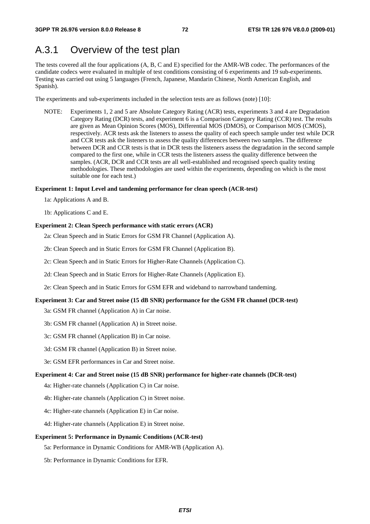## A.3.1 Overview of the test plan

The tests covered all the four applications (A, B, C and E) specified for the AMR-WB codec. The performances of the candidate codecs were evaluated in multiple of test conditions consisting of 6 experiments and 19 sub-experiments. Testing was carried out using 5 languages (French, Japanese, Mandarin Chinese, North American English, and Spanish).

The experiments and sub-experiments included in the selection tests are as follows (note) [10]:

NOTE: Experiments 1, 2 and 5 are Absolute Category Rating (ACR) tests, experiments 3 and 4 are Degradation Category Rating (DCR) tests, and experiment 6 is a Comparison Category Rating (CCR) test. The results are given as Mean Opinion Scores (MOS), Differential MOS (DMOS), or Comparison MOS (CMOS), respectively. ACR tests ask the listeners to assess the quality of each speech sample under test while DCR and CCR tests ask the listeners to assess the quality differences between two samples. The difference between DCR and CCR tests is that in DCR tests the listeners assess the degradation in the second sample compared to the first one, while in CCR tests the listeners assess the quality difference between the samples. (ACR, DCR and CCR tests are all well-established and recognised speech quality testing methodologies. These methodologies are used within the experiments, depending on which is the most suitable one for each test.)

## **Experiment 1: Input Level and tandeming performance for clean speech (ACR-test)**

1a: Applications A and B.

1b: Applications C and E.

### **Experiment 2: Clean Speech performance with static errors (ACR)**

2a: Clean Speech and in Static Errors for GSM FR Channel (Application A).

2b: Clean Speech and in Static Errors for GSM FR Channel (Application B).

2c: Clean Speech and in Static Errors for Higher-Rate Channels (Application C).

2d: Clean Speech and in Static Errors for Higher-Rate Channels (Application E).

2e: Clean Speech and in Static Errors for GSM EFR and wideband to narrowband tandeming.

### **Experiment 3: Car and Street noise (15 dB SNR) performance for the GSM FR channel (DCR-test)**

3a: GSM FR channel (Application A) in Car noise.

3b: GSM FR channel (Application A) in Street noise.

3c: GSM FR channel (Application B) in Car noise.

3d: GSM FR channel (Application B) in Street noise.

3e: GSM EFR performances in Car and Street noise.

### **Experiment 4: Car and Street noise (15 dB SNR) performance for higher-rate channels (DCR-test)**

4a: Higher-rate channels (Application C) in Car noise.

4b: Higher-rate channels (Application C) in Street noise.

4c: Higher-rate channels (Application E) in Car noise.

4d: Higher-rate channels (Application E) in Street noise.

## **Experiment 5: Performance in Dynamic Conditions (ACR-test)**

5a: Performance in Dynamic Conditions for AMR-WB (Application A).

5b: Performance in Dynamic Conditions for EFR.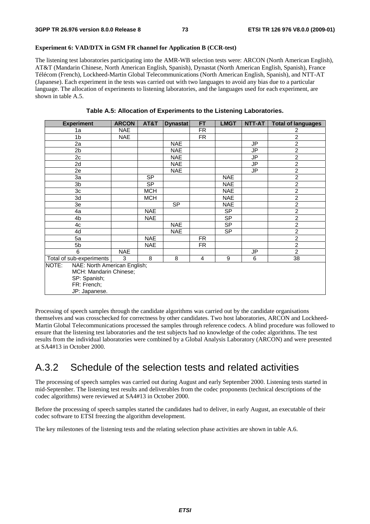## **Experiment 6: VAD/DTX in GSM FR channel for Application B (CCR-test)**

The listening test laboratories participating into the AMR-WB selection tests were: ARCON (North American English), AT&T (Mandarin Chinese, North American English, Spanish), Dynastat (North American English, Spanish), France Télécom (French), Lockheed-Martin Global Telecommunications (North American English, Spanish), and NTT-AT (Japanese). Each experiment in the tests was carried out with two languages to avoid any bias due to a particular language. The allocation of experiments to listening laboratories, and the languages used for each experiment, are shown in table A.5.

|  |  | Table A.5: Allocation of Experiments to the Listening Laboratories. |
|--|--|---------------------------------------------------------------------|
|--|--|---------------------------------------------------------------------|

| <b>Experiment</b>                     | <b>ARCON</b> | AT&T       | <b>Dynastat</b> | <b>FT</b>      | <b>LMGT</b>              | NTT-AT    | <b>Total of languages</b> |
|---------------------------------------|--------------|------------|-----------------|----------------|--------------------------|-----------|---------------------------|
| 1a                                    | <b>NAE</b>   |            |                 | FR             |                          |           | 2                         |
| 1 <sub>b</sub>                        | <b>NAE</b>   |            |                 | <b>FR</b>      |                          |           | $\overline{a}$            |
| 2a                                    |              |            | <b>NAE</b>      |                |                          | <b>JP</b> | $\overline{2}$            |
| 2 <sub>b</sub>                        |              |            | <b>NAE</b>      |                |                          | <b>JP</b> | $\overline{2}$            |
| 2c                                    |              |            | <b>NAE</b>      |                |                          | JP        | $\overline{2}$            |
| 2d                                    |              |            | <b>NAE</b>      |                |                          | <b>JP</b> | $\overline{2}$            |
| 2e                                    |              |            | <b>NAE</b>      |                |                          | JP        | $\overline{2}$            |
| 3a                                    |              | <b>SP</b>  |                 |                | <b>NAE</b>               |           | $\overline{2}$            |
| 3b                                    |              | <b>SP</b>  |                 |                | <b>NAE</b>               |           | $\overline{2}$            |
| 3c                                    |              | <b>MCH</b> |                 |                | <b>NAE</b>               |           | $\overline{2}$            |
| 3d                                    |              | <b>MCH</b> |                 |                | <b>NAE</b>               |           | $\overline{2}$            |
| 3e                                    |              |            | <b>SP</b>       |                | <b>NAE</b>               |           | $\overline{2}$            |
| 4a                                    |              | <b>NAE</b> |                 |                | <b>SP</b>                |           | $\overline{2}$            |
| 4b                                    |              | <b>NAE</b> |                 |                | $\overline{\mathsf{SP}}$ |           | $\overline{2}$            |
| 4c                                    |              |            | <b>NAE</b>      |                | <b>SP</b>                |           | $\overline{2}$            |
| 4d                                    |              |            | <b>NAE</b>      |                | <b>SP</b>                |           | $\overline{2}$            |
| 5a                                    |              | <b>NAE</b> |                 | <b>FR</b>      |                          |           | $\overline{2}$            |
| 5b                                    |              | <b>NAE</b> |                 | <b>FR</b>      |                          |           | $\overline{2}$            |
| 6                                     | <b>NAE</b>   |            |                 |                |                          | JP        | $\overline{2}$            |
| Total of sub-experiments              | 3            | 8          | 8               | $\overline{4}$ | 9                        | 6         | 38                        |
| NAE: North American English;<br>NOTE: |              |            |                 |                |                          |           |                           |
| MCH: Mandarin Chinese;                |              |            |                 |                |                          |           |                           |
| SP: Spanish;                          |              |            |                 |                |                          |           |                           |
| FR: French;                           |              |            |                 |                |                          |           |                           |
| JP: Japanese.                         |              |            |                 |                |                          |           |                           |

Processing of speech samples through the candidate algorithms was carried out by the candidate organisations themselves and was crosschecked for correctness by other candidates. Two host laboratories, ARCON and Lockheed-Martin Global Telecommunications processed the samples through reference codecs. A blind procedure was followed to ensure that the listening test laboratories and the test subjects had no knowledge of the codec algorithms. The test results from the individual laboratories were combined by a Global Analysis Laboratory (ARCON) and were presented at SA4#13 in October 2000.

## A.3.2 Schedule of the selection tests and related activities

The processing of speech samples was carried out during August and early September 2000. Listening tests started in mid-September. The listening test results and deliverables from the codec proponents (technical descriptions of the codec algorithms) were reviewed at SA4#13 in October 2000.

Before the processing of speech samples started the candidates had to deliver, in early August, an executable of their codec software to ETSI freezing the algorithm development.

The key milestones of the listening tests and the relating selection phase activities are shown in table A.6.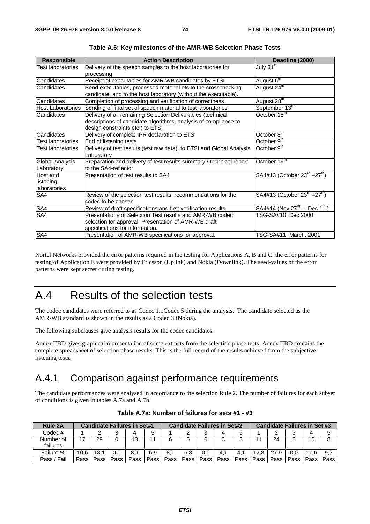| <b>Responsible</b>                    | <b>Action Description</b>                                                                                                                                          | Deadline (2000)                                        |
|---------------------------------------|--------------------------------------------------------------------------------------------------------------------------------------------------------------------|--------------------------------------------------------|
| <b>Test laboratories</b>              | Delivery of the speech samples to the host laboratories for<br>processing                                                                                          | July 31 <sup>st</sup>                                  |
| Candidates                            | Receipt of executables for AMR-WB candidates by ETSI                                                                                                               | August 6 <sup>th</sup>                                 |
| Candidates                            | Send executables, processed material etc to the crosschecking<br>candidate, and to the host laboratory (without the executable).                                   | August 24 <sup>th</sup>                                |
| Candidates                            | Completion of processing and verification of correctness                                                                                                           | August 28 <sup>th</sup>                                |
| <b>Host Laboratories</b>              | Sending of final set of speech material to test laboratories                                                                                                       | September 13th                                         |
| Candidates                            | Delivery of all remaining Selection Deliverables (technical<br>descriptions of candidate algorithms, analysis of compliance to<br>design constraints etc.) to ETSI | October 18 <sup>th</sup>                               |
| Candidates                            | Delivery of complete IPR declaration to ETSI                                                                                                                       | October 8 <sup>th</sup>                                |
| Test laboratories                     | End of listening tests                                                                                                                                             | October 9 <sup>th</sup>                                |
| Test laboratories                     | Delivery of test results (test raw data) to ETSI and Global Analysis<br>Laboratory                                                                                 | October 9 <sup>th</sup>                                |
| Global Analysis<br>Laboratory         | Preparation and delivery of test results summary / technical report<br>to the SA4-reflector                                                                        | October 16 <sup>th</sup>                               |
| Host and<br>listening<br>laboratories | Presentation of test results to SA4                                                                                                                                | SA4#13 (October $23^{rd} - 27^{th}$ )                  |
| SA4                                   | Review of the selection test results, recommendations for the<br>codec to be chosen                                                                                | SA4#13 (October $23^{rd} - 27^{th}$ )                  |
| SA4                                   | Review of draft specifications and first verification results                                                                                                      | $SA4#14$ (Nov 27 <sup>th</sup> – Dec 1 <sup>st</sup> ) |
| SA4                                   | Presentations of Selection Test results and AMR-WB codec<br>selection for approval. Presentation of AMR-WB draft<br>specifications for information.                | TSG-SA#10, Dec 2000                                    |
| SA4                                   | Presentation of AMR-WB specifications for approval.                                                                                                                | TSG-SA#11, March. 2001                                 |

**Table A.6: Key milestones of the AMR-WB Selection Phase Tests** 

Nortel Networks provided the error patterns required in the testing for Applications A, B and C. the error patterns for testing of Application E were provided by Ericsson (Uplink) and Nokia (Downlink). The seed-values of the error patterns were kept secret during testing.

## A.4 Results of the selection tests

The codec candidates were referred to as Codec 1...Codec 5 during the analysis. The candidate selected as the AMR-WB standard is shown in the results as a Codec 3 (Nokia).

The following subclauses give analysis results for the codec candidates.

Annex TBD gives graphical representation of some extracts from the selection phase tests. Annex TBD contains the complete spreadsheet of selection phase results. This is the full record of the results achieved from the subjective listening tests.

## A.4.1 Comparison against performance requirements

The candidate performances were analysed in accordance to the selection Rule 2. The number of failures for each subset of conditions is given in tables A.7a and A.7b.

| Rule 2A               | <b>Candidate Failures in Set#1</b> |      |        |      | <b>Candidate Failures in Set#2</b> |      |      |      | <b>Candidate Failures in Set #3</b> |      |      |      |      |      |      |
|-----------------------|------------------------------------|------|--------|------|------------------------------------|------|------|------|-------------------------------------|------|------|------|------|------|------|
| $Codec$ #             |                                    |      | っ<br>J |      |                                    |      | ◠    | ົ    |                                     |      |      |      | ◠    |      |      |
| Number of<br>failures | 17                                 | 29   |        | 13   | 11                                 |      |      |      | ◠                                   |      |      | 24   |      | 10   | 8    |
| Failure-%             | 10.6                               | 18.1 | 0.0    | 8.   | 6.9                                | 8.1  | 6,8  | 0.0  | 4.1                                 |      | 12.8 |      | 0.0  |      | 9,3  |
| Fail<br>Pass /        | Pass                               | Pass | Pass   | Pass | Pass                               | Pass | Pass | Pass | Pass                                | Pass | Pass | Pass | Pass | Pass | Pass |

**Table A.7a: Number of failures for sets #1 - #3**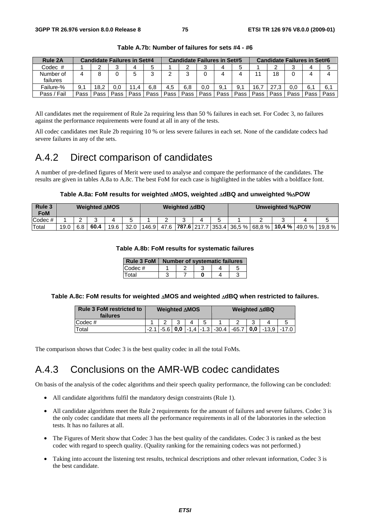| <b>Rule 2A</b>        | <b>Candidate Failures in Set#4</b> |      |      |      | <b>Candidate Failures in Set#5</b> |      |      |      | <b>Candidate Failures in Set#6</b> |      |      |      |      |      |      |
|-----------------------|------------------------------------|------|------|------|------------------------------------|------|------|------|------------------------------------|------|------|------|------|------|------|
| Codec #               |                                    |      | ◠    |      |                                    |      |      | ັ    |                                    |      |      |      |      |      |      |
| Number of<br>failures |                                    |      |      |      |                                    |      | ົ    |      |                                    |      |      | 18   |      |      |      |
| Failure-%             | 9. .                               | 18.2 | 0.0  | 11.4 | 6.8                                | 4,5  | 6.8  | 0.0  | 9.1                                | 9.1  | 16.  | 27.3 |      | 6.1  | 6.   |
| Pass / Fail           | Pass                               | Pass | Pass | Pass | Pass                               | Pass | Pass | Pass | Pass                               | Pass | Pass | Pass | Pass | Pass | Pass |

**Table A.7b: Number of failures for sets #4 - #6** 

All candidates met the requirement of Rule 2a requiring less than 50 % failures in each set. For Codec 3, no failures against the performance requirements were found at all in any of the tests.

All codec candidates met Rule 2b requiring 10 % or less severe failures in each set. None of the candidate codecs had severe failures in any of the sets.

## A.4.2 Direct comparison of candidates

A number of pre-defined figures of Merit were used to analyse and compare the performance of the candidates. The results are given in tables A.8a to A.8c. The best FoM for each case is highlighted in the tables with a boldface font.

## **Table A.8a: FoM results for weighted** Δ**MOS, weighted** Δ**dBQ and unweighted %**Δ**POW**

| Rule 3<br><b>FoM</b> | <b>Weighted AMOS</b> |     |      | Weighted AdBQ |      |  | Unweighted %APOW |  |  |  |  |                                                            |  |  |          |
|----------------------|----------------------|-----|------|---------------|------|--|------------------|--|--|--|--|------------------------------------------------------------|--|--|----------|
| Codec#               |                      |     |      |               |      |  |                  |  |  |  |  |                                                            |  |  |          |
| Total                | 19.0                 | 6.8 | 60.4 | 19.6          | 32.0 |  |                  |  |  |  |  | 146.9 47.6 787.6 217.7 353.4 36.5 % 68.8 % 10.4 % 49.0 % 1 |  |  | $19.8\%$ |

## **Table A.8b: FoM results for systematic failures**

| Rule 3 FoM | <b>Number of systematic failures</b> |  |  |  |  |  |  |  |
|------------|--------------------------------------|--|--|--|--|--|--|--|
| Codec#     |                                      |  |  |  |  |  |  |  |
| Total      |                                      |  |  |  |  |  |  |  |

## **Table A.8c: FoM results for weighted** Δ**MOS and weighted** Δ**dBQ when restricted to failures.**

| <b>Rule 3 FoM restricted to</b><br>failures | <b>Weighted ∆MOS</b> |  |  |                | <b>Weighted ∆dBQ</b> |  |  |  |  |                                                                                       |
|---------------------------------------------|----------------------|--|--|----------------|----------------------|--|--|--|--|---------------------------------------------------------------------------------------|
| $\mathsf{Codec}\ \text{\#}$                 |                      |  |  | $\overline{A}$ |                      |  |  |  |  |                                                                                       |
| Total                                       |                      |  |  |                |                      |  |  |  |  | 2.1   -5.6   <b>0,0</b>   -1,4   -1.3   -30.4   -65.7   <b>0,0</b>   -13,9   -17.0  - |

The comparison shows that Codec 3 is the best quality codec in all the total FoMs.

## A.4.3 Conclusions on the AMR-WB codec candidates

On basis of the analysis of the codec algorithms and their speech quality performance, the following can be concluded:

- All candidate algorithms fulfil the mandatory design constraints (Rule 1).
- All candidate algorithms meet the Rule 2 requirements for the amount of failures and severe failures. Codec 3 is the only codec candidate that meets all the performance requirements in all of the laboratories in the selection tests. It has no failures at all.
- The Figures of Merit show that Codec 3 has the best quality of the candidates. Codec 3 is ranked as the best codec with regard to speech quality. (Quality ranking for the remaining codecs was not performed.)
- Taking into account the listening test results, technical descriptions and other relevant information, Codec 3 is the best candidate.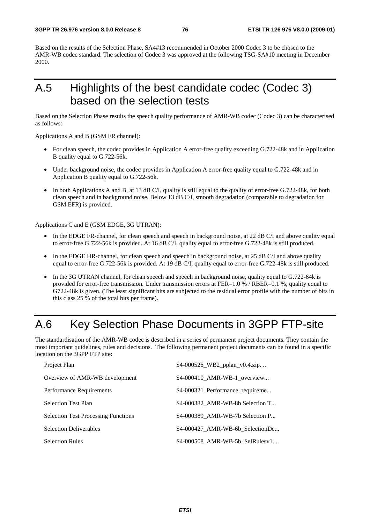Based on the results of the Selection Phase, SA4#13 recommended in October 2000 Codec 3 to be chosen to the AMR-WB codec standard. The selection of Codec 3 was approved at the following TSG-SA#10 meeting in December 2000.

## A.5 Highlights of the best candidate codec (Codec 3) based on the selection tests

Based on the Selection Phase results the speech quality performance of AMR-WB codec (Codec 3) can be characterised as follows:

Applications A and B (GSM FR channel):

- For clean speech, the codec provides in Application A error-free quality exceeding G.722-48k and in Application B quality equal to G.722-56k.
- Under background noise, the codec provides in Application A error-free quality equal to G.722-48k and in Application B quality equal to G.722-56k.
- In both Applications A and B, at 13 dB C/I, quality is still equal to the quality of error-free G.722-48k, for both clean speech and in background noise. Below 13 dB C/I, smooth degradation (comparable to degradation for GSM EFR) is provided.

Applications C and E (GSM EDGE, 3G UTRAN):

- In the EDGE FR-channel, for clean speech and speech in background noise, at 22 dB C/I and above quality equal to error-free G.722-56k is provided. At 16 dB C/I, quality equal to error-free G.722-48k is still produced.
- In the EDGE HR-channel, for clean speech and speech in background noise, at 25 dB C/I and above quality equal to error-free G.722-56k is provided. At 19 dB C/I, quality equal to error-free G.722-48k is still produced.
- In the 3G UTRAN channel, for clean speech and speech in background noise, quality equal to G.722-64k is provided for error-free transmission. Under transmission errors at FER=1.0 % / RBER=0.1 %, quality equal to G722-48k is given. (The least significant bits are subjected to the residual error profile with the number of bits in this class 25 % of the total bits per frame).

# A.6 Key Selection Phase Documents in 3GPP FTP-site

The standardisation of the AMR-WB codec is described in a series of permanent project documents. They contain the most important quidelines, rules and decisions. The following permanent project documents can be found in a specific location on the 3GPP FTP site:

| Project Plan                               | S4-000526_WB2_pplan_v0.4.zip    |
|--------------------------------------------|---------------------------------|
| Overview of AMR-WB development             | S4-000410 AMR-WB-1 overview     |
| Performance Requirements                   | S4-000321_Performance_requireme |
| <b>Selection Test Plan</b>                 | S4-000382 AMR-WB-8b Selection T |
| <b>Selection Test Processing Functions</b> | S4-000389 AMR-WB-7b Selection P |
| <b>Selection Deliverables</b>              | S4-000427_AMR-WB-6b_SelectionDe |
| <b>Selection Rules</b>                     | S4-000508 AMR-WB-5b SelRulesv1  |
|                                            |                                 |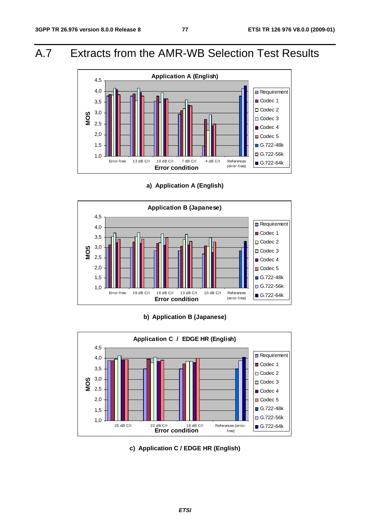## A.7 Extracts from the AMR-WB Selection Test Results



**a) Application A (English)** 



## **b) Application B (Japanese)**



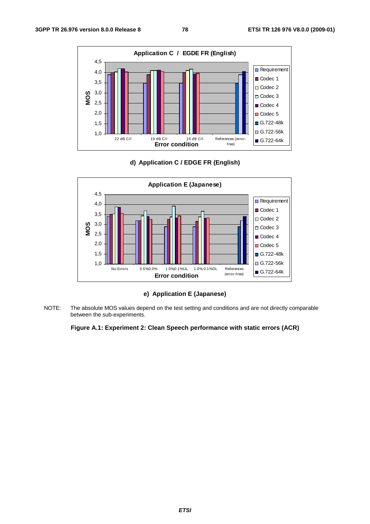





**e) Application E (Japanese)** 

NOTE: The absolute MOS values depend on the test setting and conditions and are not directly comparable between the sub-experiments.

## **Figure A.1: Experiment 2: Clean Speech performance with static errors (ACR)**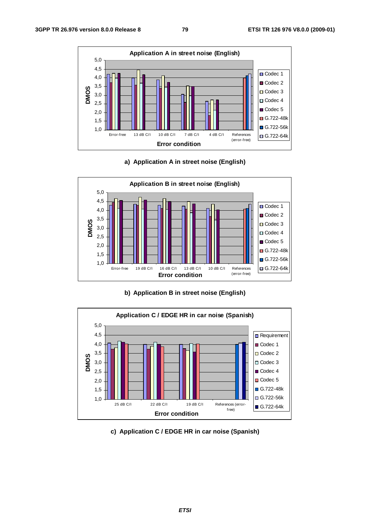





**b) Application B in street noise (English)** 



**c) Application C / EDGE HR in car noise (Spanish)**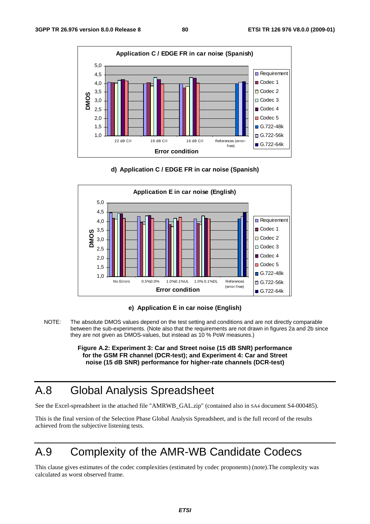





**e) Application E in car noise (English)** 

NOTE: The absolute DMOS values depend on the test setting and conditions and are not directly comparable between the sub-experiments. (Note also that the requirements are not drawn in figures 2a and 2b since they are not given as DMOS-values, but instead as 10 % PoW measures.)

> **Figure A.2: Experiment 3: Car and Street noise (15 dB SNR) performance for the GSM FR channel (DCR-test); and Experiment 4: Car and Street noise (15 dB SNR) performance for higher-rate channels (DCR-test)**

# A.8 Global Analysis Spreadsheet

See the Excel-spreadsheet in the attached file "AMRWB\_GAL.zip" (contained also in SA4 document S4-000485).

This is the final version of the Selection Phase Global Analysis Spreadsheet, and is the full record of the results achieved from the subjective listening tests.

# A.9 Complexity of the AMR-WB Candidate Codecs

This clause gives estimates of the codec complexities (estimated by codec proponents) (note).The complexity was calculated as worst observed frame.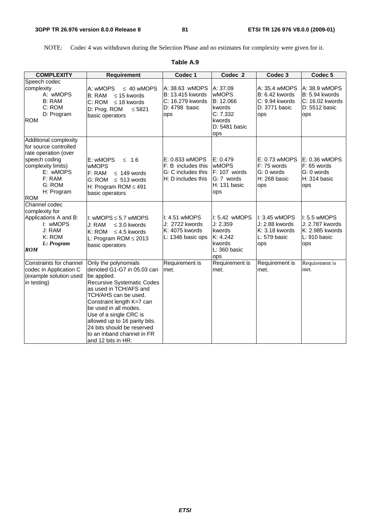NOTE: Codec 4 was withdrawn during the Selection Phase and no estimates for complexity were given for it.

| <b>COMPLEXITY</b>                                                                                                                                                         | <b>Requirement</b>                                                                                                                                                                                                                                                                                                                                          | Codec 1                                                                          | Codec <sub>2</sub>                                                                            | Codec 3                                                                          | Codec <sub>5</sub>                                                          |
|---------------------------------------------------------------------------------------------------------------------------------------------------------------------------|-------------------------------------------------------------------------------------------------------------------------------------------------------------------------------------------------------------------------------------------------------------------------------------------------------------------------------------------------------------|----------------------------------------------------------------------------------|-----------------------------------------------------------------------------------------------|----------------------------------------------------------------------------------|-----------------------------------------------------------------------------|
| Speech codec<br>complexity<br>A: wMOPS<br>B: RAM<br>C: ROM<br>D: Program<br><b>ROM</b>                                                                                    | A: wMOPS<br>$\leq 40$ wMOPS<br><b>B: RAM</b><br>$\leq$ 15 kwords<br>C: ROM<br>$\leq$ 18 kwords<br>D: Prog. ROM<br>$≤ 5821$<br>basic operators                                                                                                                                                                                                               | A: 38.63 wMOPS<br>B: 13.415 kwords<br>C: 16.279 kwords<br>D: 4798 basic<br>ops   | A: 37.09<br><b>wMOPS</b><br>B: 12.066<br>kwords<br>C: 7.332<br>kwords<br>D: 5481 basic<br>ops | A: 35.4 wMOPS<br><b>B: 6.42 kwords</b><br>C: 9.94 kwords<br>D: 3771 basic<br>ops | A: 38.9 wMOPS<br>B: 5.94 kwords<br>C: 16.02 kwords<br>D: 5512 basic<br>ops  |
| Additional complexity<br>for source controlled<br>rate operation (over<br>speech coding<br>complexity limits)<br>E: wMOPS<br>F: RAM<br>G: ROM<br>H: Program<br><b>ROM</b> | E: wMOPS<br>$\leq$ 1.6<br><b>wMOPS</b><br>F: RAM<br>$\leq$ 149 words<br>G: ROM $\leq$ 513 words<br>H: Program ROM $\leq 491$<br>basic operators                                                                                                                                                                                                             | E: 0.833 wMOPS<br>F: B includes this<br>G: C includes this<br>H: D includes this | E: 0.479<br><b>WMOPS</b><br>$F: 107$ words<br>G: 7 words<br>$H: 131$ basic<br>ops             | E: 0.73 wMOPS<br>F: 75 words<br>G: 0 words<br>H: 268 basic<br>ops                | E: 0.36 wMOPS<br>F: 65 words<br>G: 0 words<br>H: 314 basic<br>ops           |
| Channel codec<br>complexity for<br>Applications A and B:<br>I: wMOPS<br>J: RAM<br>K: ROM<br>L: Program<br><b>ROM</b>                                                      | I: wMOPS $\leq$ 5.7 wMOPS<br>J: RAM<br>$\leq$ 3.0 kwords<br>K: ROM<br>$\leq$ 4.5 kwords<br>L: Program ROM $\leq$ 2013<br>basic operators                                                                                                                                                                                                                    | I: 4.51 wMOPS<br>J: 2722 kwords<br>K: 4075 kwords<br>L: 1346 basic ops           | I: 5.42 wMOPS<br>J: 2.359<br>kwords<br>K: 4.242<br>kwords<br>$L: 360$ basic<br>ops            | I: 3.45 wMOPS<br>J: 2.88 kwords<br>K: 3.18 kwords<br>L: 579 basic<br>ops         | I: 5.5 wMOPS<br>J: 2.787 kwords<br>K: 2.985 kwords<br>$L: 910$ basic<br>ops |
| Constraints for channel<br>codec in Application C<br>(example solution used<br>in testing)                                                                                | Only the polynomials<br>denoted G1-G7 in 05.03 can<br>be applied.<br><b>Recursive Systematic Codes</b><br>as used in TCH/AFS and<br>TCH/AHS can be used.<br>Constraint length K=7 can<br>be used in all modes.<br>Use of a single CRC is<br>allowed up to 16 parity bits.<br>24 bits should be reserved<br>to an inband channel in FR<br>and 12 bits in HR. | Requirement is<br>met.                                                           | Requirement is<br>met.                                                                        | Requirement is<br>met.                                                           | Requirement is<br>met.                                                      |

## **Table A.9**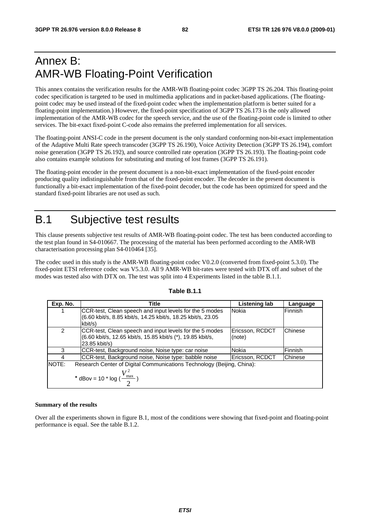# Annex B: AMR-WB Floating-Point Verification

This annex contains the verification results for the AMR-WB floating-point codec 3GPP TS 26.204. This floating-point codec specification is targeted to be used in multimedia applications and in packet-based applications. (The floatingpoint codec may be used instead of the fixed-point codec when the implementation platform is better suited for a floating-point implementation.) However, the fixed-point specification of 3GPP TS 26.173 is the only allowed implementation of the AMR-WB codec for the speech service, and the use of the floating-point code is limited to other services. The bit-exact fixed-point C-code also remains the preferred implementation for all services.

The floating-point ANSI-C code in the present document is the only standard conforming non-bit-exact implementation of the Adaptive Multi Rate speech transcoder (3GPP TS 26.190), Voice Activity Detection (3GPP TS 26.194), comfort noise generation (3GPP TS 26.192), and source controlled rate operation (3GPP TS 26.193). The floating-point code also contains example solutions for substituting and muting of lost frames (3GPP TS 26.191).

The floating-point encoder in the present document is a non-bit-exact implementation of the fixed-point encoder producing quality indistinguishable from that of the fixed-point encoder. The decoder in the present document is functionally a bit-exact implementation of the fixed-point decoder, but the code has been optimized for speed and the standard fixed-point libraries are not used as such.

## B.1 Subjective test results

This clause presents subjective test results of AMR-WB floating-point codec. The test has been conducted according to the test plan found in S4-010667. The processing of the material has been performed according to the AMR-WB characterisation processing plan S4-010464 [35].

The codec used in this study is the AMR-WB floating-point codec V0.2.0 (converted from fixed-point 5.3.0). The fixed-point ETSI reference codec was V5.3.0. All 9 AMR-WB bit-rates were tested with DTX off and subset of the modes was tested also with DTX on. The test was split into 4 Experiments listed in the table B.1.1.

| Exp. No.      | <b>Title</b>                                                                                                                            | Listening lab             | Language |
|---------------|-----------------------------------------------------------------------------------------------------------------------------------------|---------------------------|----------|
|               | CCR-test, Clean speech and input levels for the 5 modes<br>(6.60 kbit/s, 8.85 kbit/s, 14.25 kbit/s, 18.25 kbit/s, 23.05<br>kbit/s)      | Nokia                     | Finnish  |
| $\mathcal{P}$ | CCR-test, Clean speech and input levels for the 5 modes<br>(6.60 kbit/s, 12.65 kbit/s, 15.85 kbit/s (*), 19.85 kbit/s,<br>23.85 kbit/s) | Ericsson, RCDCT<br>(note) | Chinese  |
| 3             | CCR-test, Background noise, Noise type: car noise                                                                                       | Nokia                     | Finnish  |
| 4             | CCR-test, Background noise, Noise type: babble noise                                                                                    | Ericsson, RCDCT           | Chinese  |
| <b>INOTE:</b> | Research Center of Digital Communications Technology (Beijing, China):<br>* dBov = 10 * log ( $\frac{V_{\text{max}}^2}{2}$ )            |                           |          |

## **Table B.1.1**

## **Summary of the results**

Over all the experiments shown in figure B.1, most of the conditions were showing that fixed-point and floating-point performance is equal. See the table B.1.2.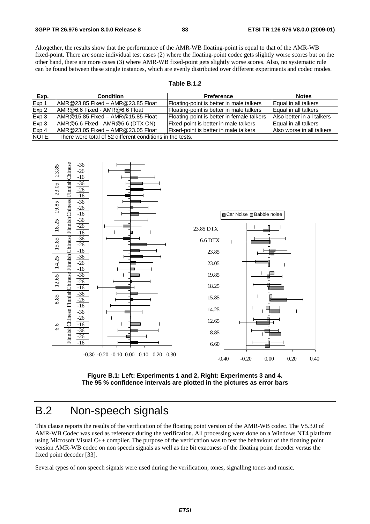Altogether, the results show that the performance of the AMR-WB floating-point is equal to that of the AMR-WB fixed-point. There are some individual test cases (2) where the floating-point codec gets slightly worse scores but on the other hand, there are more cases (3) where AMR-WB fixed-point gets slightly worse scores. Also, no systematic rule can be found between these single instances, which are evenly distributed over different experiments and codec modes.

## **Table B.1.2**

| Exp.  | <b>Condition</b>                                          | <b>Preference</b>                          | <b>Notes</b>               |
|-------|-----------------------------------------------------------|--------------------------------------------|----------------------------|
| Exp 1 | IAMR@23.85 Fixed - AMR@23.85 Float                        | Floating-point is better in male talkers   | Equal in all talkers       |
| Exp 2 | LAMR@6.6 Fixed - AMR@6.6 Float                            | Floating-point is better in male talkers   | Equal in all talkers       |
| Exp 3 | $AMR@15.85$ Fixed - AMR @15.85 Float                      | Floating-point is better in female talkers | Also better in all talkers |
| Exp 3 | $AMR@6.6$ Fixed - AMR@6.6 (DTX ON)                        | Fixed-point is better in male talkers      | Equal in all talkers       |
| Exp 4 | $AMR@23.05$ Fixed - AMR@23.05 Float                       | Fixed-point is better in male talkers      | Also worse in all talkers  |
| NOTE: | There were total of 52 different conditions in the tests. |                                            |                            |



**Figure B.1: Left: Experiments 1 and 2, Right: Experiments 3 and 4. The 95 % confidence intervals are plotted in the pictures as error bars** 

## B.2 Non-speech signals

This clause reports the results of the verification of the floating point version of the AMR-WB codec. The V5.3.0 of AMR-WB Codec was used as reference during the verification. All processing were done on a Windows NT4 platform using Microsoft Visual C++ compiler. The purpose of the verification was to test the behaviour of the floating point version AMR-WB codec on non speech signals as well as the bit exactness of the floating point decoder versus the fixed point decoder [33].

Several types of non speech signals were used during the verification, tones, signalling tones and music.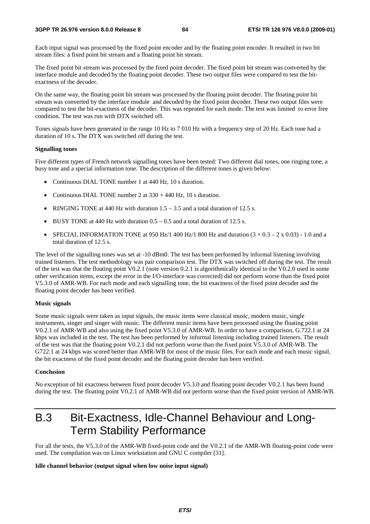Each input signal was processed by the fixed point encoder and by the floating point encoder. It resulted in two bit stream files: a fixed point bit stream and a floating point bit stream.

The fixed point bit stream was processed by the fixed point decoder. The fixed point bit stream was converted by the interface module and decoded by the floating point decoder. These two output files were compared to test the bitexactness of the decoder.

On the same way, the floating point bit stream was processed by the floating point decoder. The floating point bit stream was converted by the interface module and decoded by the fixed point decoder. These two output files were compared to test the bit-exactness of the decoder. This was repeated for each mode. The test was limited to error free condition. The test was run with DTX switched off.

Tones signals have been generated in the range 10 Hz to 7 010 Hz with a frequency step of 20 Hz. Each tone had a duration of 10 s. The DTX was switched off during the test.

## **Signalling tones**

Five different types of French network signalling tones have been tested: Two different dial tones, one ringing tone, a busy tone and a special information tone. The description of the different tones is given below:

- Continuous DIAL TONE number 1 at 440 Hz, 10 s duration.
- Continuous DIAL TONE number 2 at  $330 + 440$  Hz, 10 s duration.
- RINGING TONE at 440 Hz with duration  $1.5 3.5$  and a total duration of 12.5 s.
- BUSY TONE at 440 Hz with duration  $0.5 0.5$  and a total duration of 12.5 s.
- SPECIAL INFORMATION TONE at 950 Hz/1 400 Hz/1 800 Hz and duration  $(3 \times 0.3 2 \times 0.03)$  1.0 and a total duration of 12.5 s.

The level of the signalling tones was set at -10 dBm0. The test has been performed by informal listening involving trained listeners. The test methodology was pair comparison test. The DTX was switched off during the test. The result of the test was that the floating point V0.2.1 (note version 0.2.1 is algorithmically identical to the V0.2.0 used in some other verification items, except the error in the I/O-interface was corrected) did not perform worse than the fixed point V5.3.0 of AMR-WB. For each mode and each signalling tone, the bit exactness of the fixed point decoder and the floating point decoder has been verified.

#### **Music signals**

Some music signals were taken as input signals, the music items were classical music, modern music, single instruments, singer and singer with music. The different music items have been processed using the floating point V0.2.1 of AMR-WB and also using the fixed point V5.3.0 of AMR-WB. In order to have a comparison, G.722.1 at 24 kbps was included in the test. The test has been performed by informal listening including trained listeners. The result of the test was that the floating point V0.2.1 did not perform worse than the fixed point V5.3.0 of AMR-WB. The G722.1 at 24 kbps was scored better than AMR-WB for most of the music files. For each mode and each music signal, the bit exactness of the fixed point decoder and the floating point decoder has been verified.

### **Conclusion**

No exception of bit exactness between fixed point decoder V5.3.0 and floating point decoder V0.2.1 has been found during the test. The floating point V0.2.1 of AMR-WB did not perform worse than the fixed point version of AMR-WB.

## B.3 Bit-Exactness, Idle-Channel Behaviour and Long-Term Stability Performance

For all the tests, the V5.3.0 of the AMR-WB fixed-point code and the V0.2.1 of the AMR-WB floating-point code were used. The compilation was on Linux workstation and GNU C compiler [31].

## **Idle channel behavior (output signal when low noise input signal)**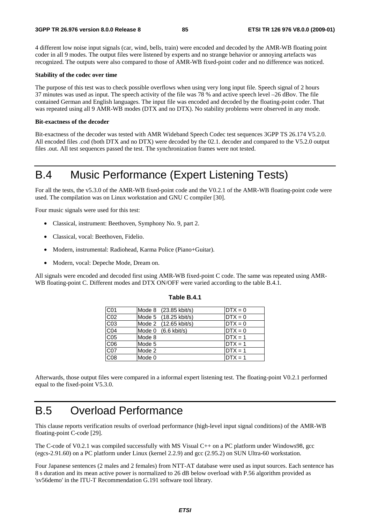4 different low noise input signals (car, wind, bells, train) were encoded and decoded by the AMR-WB floating point coder in all 9 modes. The output files were listened by experts and no strange behavior or annoying artefacts was recognized. The outputs were also compared to those of AMR-WB fixed-point coder and no difference was noticed.

## **Stability of the codec over time**

The purpose of this test was to check possible overflows when using very long input file. Speech signal of 2 hours 37 minutes was used as input. The speech activity of the file was 78 % and active speech level –26 dBov. The file contained German and English languages. The input file was encoded and decoded by the floating-point coder. That was repeated using all 9 AMR-WB modes (DTX and no DTX). No stability problems were observed in any mode.

## **Bit-exactness of the decoder**

Bit-exactness of the decoder was tested with AMR Wideband Speech Codec test sequences 3GPP TS 26.174 V5.2.0. All encoded files .cod (both DTX and no DTX) were decoded by the 02.1. decoder and compared to the V5.2.0 output files .out. All test sequences passed the test. The synchronization frames were not tested.

## B.4 Music Performance (Expert Listening Tests)

For all the tests, the v5.3.0 of the AMR-WB fixed-point code and the V0.2.1 of the AMR-WB floating-point code were used. The compilation was on Linux workstation and GNU C compiler [30].

Four music signals were used for this test:

- Classical, instrument: Beethoven, Symphony No. 9, part 2.
- Classical, vocal: Beethoven, Fidelio.
- Modern, instrumental: Radiohead, Karma Police (Piano+Guitar).
- Modern, vocal: Depeche Mode, Dream on.

All signals were encoded and decoded first using AMR-WB fixed-point C code. The same was repeated using AMR-WB floating-point C. Different modes and DTX ON/OFF were varied according to the table B.4.1.

| C01             | Mode 8 (23.85 kbit/s)           | $DTX = 0$ |
|-----------------|---------------------------------|-----------|
| CO <sub>2</sub> | Mode 5 (18.25 kbit/s)           | $DTX = 0$ |
| CO <sub>3</sub> | Mode 2 (12.65 kbit/s)           | $DTX = 0$ |
| CO <sub>4</sub> | Mode $0$ $(6.6 \text{ kbit/s})$ | $DTX = 0$ |
| CO <sub>5</sub> | Mode 8                          | $DTX = 1$ |
| C06             | Mode 5                          | $DTX = 1$ |
| C07             | Mode 2                          | $DTX = 1$ |
| C08             | Mode 0                          | $DTX = 1$ |

## **Table B.4.1**

Afterwards, those output files were compared in a informal expert listening test. The floating-point V0.2.1 performed equal to the fixed-point V5.3.0.

## B.5 Overload Performance

This clause reports verification results of overload performance (high-level input signal conditions) of the AMR-WB floating-point C-code [29].

The C-code of V0.2.1 was compiled successfully with MS Visual C++ on a PC platform under Windows98, gcc (egcs-2.91.60) on a PC platform under Linux (kernel 2.2.9) and gcc (2.95.2) on SUN Ultra-60 workstation.

Four Japanese sentences (2 males and 2 females) from NTT-AT database were used as input sources. Each sentence has 8 s duration and its mean active power is normalized to 26 dB below overload with P.56 algorithm provided as 'sv56demo' in the ITU-T Recommendation G.191 software tool library.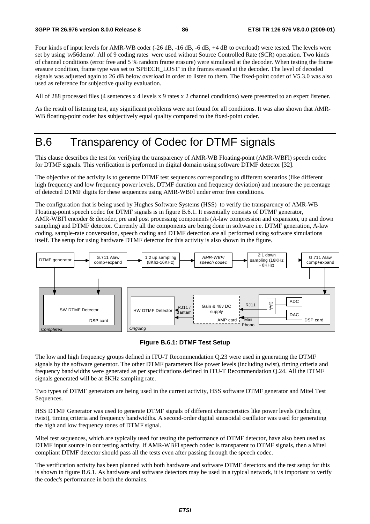Four kinds of input levels for AMR-WB coder (-26 dB, -16 dB, -6 dB, +4 dB to overload) were tested. The levels were set by using 'sv56demo'. All of 9 coding rates were used without Source Controlled Rate (SCR) operation. Two kinds of channel conditions (error free and 5 % random frame erasure) were simulated at the decoder. When testing the frame erasure condition, frame type was set to 'SPEECH\_LOST' in the frames erased at the decoder. The level of decoded signals was adjusted again to 26 dB below overload in order to listen to them. The fixed-point coder of V5.3.0 was also used as reference for subjective quality evaluation.

All of 288 processed files (4 sentences x 4 levels x 9 rates x 2 channel conditions) were presented to an expert listener.

As the result of listening test, any significant problems were not found for all conditions. It was also shown that AMR-WB floating-point coder has subjectively equal quality compared to the fixed-point coder.

## B.6 Transparency of Codec for DTMF signals

This clause describes the test for verifying the transparency of AMR-WB Floating-point (AMR-WBFl) speech codec for DTMF signals. This verification is performed in digital domain using software DTMF detector [32].

The objective of the activity is to generate DTMF test sequences corresponding to different scenarios (like different high frequency and low frequency power levels, DTMF duration and frequency deviation) and measure the percentage of detected DTMF digits for these sequences using AMR-WBFl under error free conditions.

The configuration that is being used by Hughes Software Systems (HSS) to verify the transparency of AMR-WB Floating-point speech codec for DTMF signals is in figure B.6.1. It essentially consists of DTMF generator, AMR-WBFl encoder & decoder, pre and post processing components (A-law compression and expansion, up and down sampling) and DTMF detector. Currently all the components are being done in software i.e. DTMF generation, A-law coding, sample-rate conversation, speech coding and DTMF detection are all performed using software simulations itself. The setup for using hardware DTMF detector for this activity is also shown in the figure.



**Figure B.6.1: DTMF Test Setup** 

The low and high frequency groups defined in ITU-T Recommendation Q.23 were used in generating the DTMF signals by the software generator. The other DTMF parameters like power levels (including twist), timing criteria and frequency bandwidths were generated as per specifications defined in ITU-T Recommendation Q.24. All the DTMF signals generated will be at 8KHz sampling rate.

Two types of DTMF generators are being used in the current activity, HSS software DTMF generator and Mitel Test Sequences.

HSS DTMF Generator was used to generate DTMF signals of different characteristics like power levels (including twist), timing criteria and frequency bandwidths. A second-order digital sinusoidal oscillator was used for generating the high and low frequency tones of DTMF signal.

Mitel test sequences, which are typically used for testing the performance of DTMF detector, have also been used as DTMF input source in our testing activity. If AMR-WBFl speech codec is transparent to DTMF signals, then a Mitel compliant DTMF detector should pass all the tests even after passing through the speech codec.

The verification activity has been planned with both hardware and software DTMF detectors and the test setup for this is shown in figure B.6.1. As hardware and software detectors may be used in a typical network, it is important to verify the codec's performance in both the domains.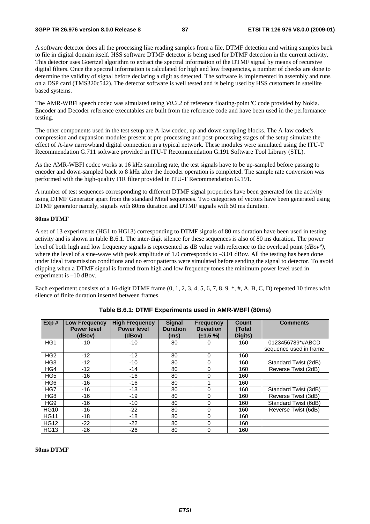A software detector does all the processing like reading samples from a file, DTMF detection and writing samples back to file in digital domain itself. HSS software DTMF detector is being used for DTMF detection in the current activity. This detector uses Goertzel algorithm to extract the spectral information of the DTMF signal by means of recursive digital filters. Once the spectral information is calculated for high and low frequencies, a number of checks are done to determine the validity of signal before declaring a digit as detected. The software is implemented in assembly and runs on a DSP card (TMS320c542). The detector software is well tested and is being used by HSS customers in satellite based systems.

The AMR-WBFl speech codec was simulated using *V0.2.2* of reference floating-point 'C code provided by Nokia. Encoder and Decoder reference executables are built from the reference code and have been used in the performance testing.

The other components used in the test setup are A-law codec, up and down sampling blocks. The A-law codec's compression and expansion modules present at pre-processing and post-processing stages of the setup simulate the effect of A-law narrowband digital connection in a typical network. These modules were simulated using the ITU-T Recommendation G.711 software provided in ITU-T Recommendation G.191 Software Tool Library (STL).

As the AMR-WBFl codec works at 16 kHz sampling rate, the test signals have to be up-sampled before passing to encoder and down-sampled back to 8 kHz after the decoder operation is completed. The sample rate conversion was performed with the high-quality FIR filter provided in ITU-T Recommendation G.191.

A number of test sequences corresponding to different DTMF signal properties have been generated for the activity using DTMF Generator apart from the standard Mitel sequences. Two categories of vectors have been generated using DTMF generator namely, signals with 80ms duration and DTMF signals with 50 ms duration.

## **80ms DTMF**

A set of 13 experiments (HG1 to HG13) corresponding to DTMF signals of 80 ms duration have been used in testing activity and is shown in table B.6.1. The inter-digit silence for these sequences is also of 80 ms duration. The power level of both high and low frequency signals is represented as dB value with reference to the overload point  $(dBox^*)$ , where the level of a sine-wave with peak amplitude of 1.0 corresponds to -3.01 dBov. All the testing has been done under ideal transmission conditions and no error patterns were simulated before sending the signal to detector. To avoid clipping when a DTMF signal is formed from high and low frequency tones the minimum power level used in experiment is –10 dBov.

Each experiment consists of a 16-digit DTMF frame  $(0, 1, 2, 3, 4, 5, 6, 7, 8, 9, *, *, A, B, C, D)$  repeated 10 times with silence of finite duration inserted between frames.

| Exp#            | <b>Low Frequency</b><br><b>Power level</b><br>(dBov) | <b>High Frequency</b><br><b>Power level</b><br>(dBov) | <b>Signal</b><br><b>Duration</b><br>(ms) | <b>Frequency</b><br><b>Deviation</b><br>$(\pm 1.5 \%)$ | <b>Count</b><br>(Total<br>Digits) | <b>Comments</b>        |
|-----------------|------------------------------------------------------|-------------------------------------------------------|------------------------------------------|--------------------------------------------------------|-----------------------------------|------------------------|
| HG <sub>1</sub> | $-10$                                                | $-10$                                                 | 80                                       | 0                                                      | 160                               | 0123456789*#ABCD       |
|                 |                                                      |                                                       |                                          |                                                        |                                   | sequence used in frame |
| HG <sub>2</sub> | -12                                                  | $-12$                                                 | 80                                       | 0                                                      | 160                               |                        |
| HG <sub>3</sub> | $-12$                                                | $-10$                                                 | 80                                       | 0                                                      | 160                               | Standard Twist (2dB)   |
| HG4             | $-12$                                                | $-14$                                                 | 80                                       | 0                                                      | 160                               | Reverse Twist (2dB)    |
| HG <sub>5</sub> | $-16$                                                | $-16$                                                 | 80                                       | $\Omega$                                               | 160                               |                        |
| HG <sub>6</sub> | $-16$                                                | $-16$                                                 | 80                                       |                                                        | 160                               |                        |
| HG7             | -16                                                  | $-13$                                                 | 80                                       | 0                                                      | 160                               | Standard Twist (3dB)   |
| HG <sub>8</sub> | $-16$                                                | $-19$                                                 | 80                                       | 0                                                      | 160                               | Reverse Twist (3dB)    |
| HG <sub>9</sub> | -16                                                  | $-10$                                                 | 80                                       | 0                                                      | 160                               | Standard Twist (6dB)   |
| <b>HG10</b>     | -16                                                  | $-22$                                                 | 80                                       | 0                                                      | 160                               | Reverse Twist (6dB)    |
| <b>HG11</b>     | -18                                                  | $-18$                                                 | 80                                       | $\Omega$                                               | 160                               |                        |
| <b>HG12</b>     | $-22$                                                | $-22$                                                 | 80                                       | $\Omega$                                               | 160                               |                        |
| <b>HG13</b>     | $-26$                                                | $-26$                                                 | 80                                       | 0                                                      | 160                               |                        |

## **Table B.6.1: DTMF Experiments used in AMR-WBFl (80ms)**

## **50ms DTMF**

-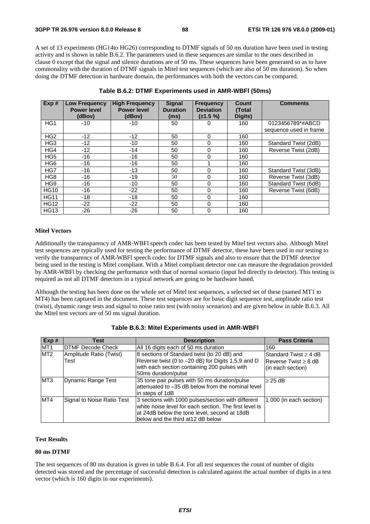A set of 13 experiments (HG14to HG26) corresponding to DTMF signals of 50 ms duration have been used in testing activity and is shown in table B.6.2. The parameters used in these sequences are similar to the ones described in clause 0 except that the signal and silence durations are of 50 ms. These sequences have been generated so as to have commonality with the duration of DTMF signals in Mitel test sequences (which are also of 50 ms duration). So when doing the DTMF detection in hardware domain, the performances with both the vectors can be compared.

| Exp#            | <b>Low Frequency</b><br><b>Power level</b> | <b>High Frequency</b><br><b>Power level</b> | <b>Signal</b><br><b>Duration</b> | <b>Frequency</b><br><b>Deviation</b> | Count<br>(Total | <b>Comments</b>        |
|-----------------|--------------------------------------------|---------------------------------------------|----------------------------------|--------------------------------------|-----------------|------------------------|
|                 | (dBov)                                     | (dBov)                                      | (ms)                             | $(\pm 1.5 \%)$                       | Digits)         |                        |
| HG <sub>1</sub> | $-10$                                      | $-10$                                       | 50                               | O                                    | 160             | 0123456789*#ABCD       |
|                 |                                            |                                             |                                  |                                      |                 | sequence used in frame |
| HG <sub>2</sub> | $-12$                                      | $-12$                                       | 50                               | 0                                    | 160             |                        |
| HG <sub>3</sub> | $-12$                                      | $-10$                                       | 50                               | 0                                    | 160             | Standard Twist (2dB)   |
| HG4             | $-12$                                      | $-14$                                       | 50                               | 0                                    | 160             | Reverse Twist (2dB)    |
| HG <sub>5</sub> | $-16$                                      | $-16$                                       | 50                               | 0                                    | 160             |                        |
| HG <sub>6</sub> | $-16$                                      | $-16$                                       | 50                               |                                      | 160             |                        |
| HG7             | $-16$                                      | $-13$                                       | 50                               | 0                                    | 160             | Standard Twist (3dB)   |
| HG <sub>8</sub> | $-16$                                      | $-19$                                       | 50                               | 0                                    | 160             | Reverse Twist (3dB)    |
| HG <sub>9</sub> | $-16$                                      | $-10$                                       | 50                               | 0                                    | 160             | Standard Twist (6dB)   |
| <b>HG10</b>     | $-16$                                      | $-22$                                       | 50                               | 0                                    | 160             | Reverse Twist (6dB)    |
| <b>HG11</b>     | $-18$                                      | $-18$                                       | 50                               | 0                                    | 160             |                        |
| <b>HG12</b>     | $-22$                                      | $-22$                                       | 50                               | 0                                    | 160             |                        |
| <b>HG13</b>     | $-26$                                      | -26                                         | 50                               | 0                                    | 160             |                        |

| Table B.6.2: DTMF Experiments used in AMR-WBFI (50ms) |  |  |
|-------------------------------------------------------|--|--|
|-------------------------------------------------------|--|--|

## **Mitel Vectors**

Additionally the transparency of AMR-WBFl speech codec has been tested by Mitel test vectors also. Although Mitel test sequences are typically used for testing the performance of DTMF detector, these have been used in our testing to verify the transparency of AMR-WBFl speech codec for DTMF signals and also to ensure that the DTMF detector being used in the testing is Mitel compliant. With a Mitel compliant detector one can measure the degradation provided by AMR-WBFl by checking the performance with that of normal scenario (input fed directly to detector). This testing is required as not all DTMF detectors in a typical network are going to be hardware based.

Although the testing has been done on the whole set of Mitel test sequences, a selected set of these (named MT1 to MT4) has been captured in the document. These test sequences are for basic digit sequence test, amplitude ratio test (twist), dynamic range tests and signal to noise ratio test (with noisy scenarios) and are given below in table B.6.3. All the Mitel test vectors are of 50 ms signal duration.

| Exp#            | Test                            | <b>Description</b>                                                                                                                                                                                 | <b>Pass Criteria</b>                                                     |
|-----------------|---------------------------------|----------------------------------------------------------------------------------------------------------------------------------------------------------------------------------------------------|--------------------------------------------------------------------------|
| MT <sub>1</sub> | <b>IDTMF Decode Check</b>       | All 16 digits each of 50 ms duration                                                                                                                                                               | 160                                                                      |
| MT <sub>2</sub> | Amplitude Ratio (Twist)<br>Test | 8 sections of Standard twist (to 20 dB) and<br>Reverse twist (0 to -20 dB) for Digits 1,5,9 and D<br>with each section containing 200 pulses with<br>50ms duration/pulse                           | Standard Twist $\geq 4$ dB<br>lReverse Twist ≥ 8 dB<br>(in each section) |
| MT <sub>3</sub> | <b>Dynamic Range Test</b>       | 35 tone pair pulses with 50 ms duration/pulse<br>lattenuated to -35 dB below from the nominal level<br>lin steps of 1dB                                                                            | $\geq$ 25 dB                                                             |
| MT4             | Signal to Noise Ratio Test      | 3 sections with 1000 pulses/section with different<br>white noise level for each section. The first level is<br>at 24dB below the tone level, second at 18dB<br>lbelow and the third at12 dB below | 1 000 (in each section)                                                  |

## **Test Results**

## **80 ms DTMF**

The test sequences of 80 ms duration is given in table B.6.4. For all test sequences the count of number of digits detected was stored and the percentage of successful detection is calculated against the actual number of digits in a test vector (which is 160 digits in our experiments).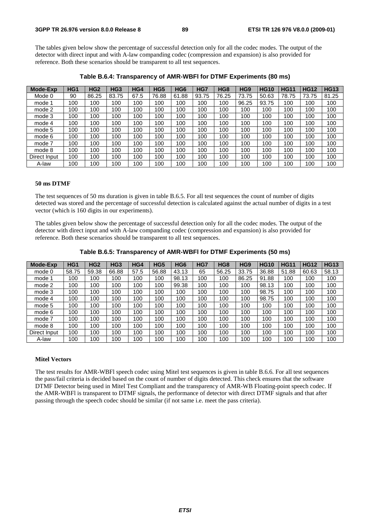The tables given below show the percentage of successful detection only for all the codec modes. The output of the detector with direct input and with A-law companding codec (compression and expansion) is also provided for reference. Both these scenarios should be transparent to all test sequences.

| <b>Mode-Exp</b> | HG <sub>1</sub> | HG <sub>2</sub> | HG <sub>3</sub> | HG4  | HG <sub>5</sub> | HG <sub>6</sub> | HG7   | HG <sub>8</sub> | HG <sub>9</sub> | <b>HG10</b> | <b>HG11</b> | <b>HG12</b> | <b>HG13</b> |
|-----------------|-----------------|-----------------|-----------------|------|-----------------|-----------------|-------|-----------------|-----------------|-------------|-------------|-------------|-------------|
| Mode 0          | 90              | 86.25           | 83.75           | 67.5 | 76.88           | 61.88           | 93.75 | 76.25           | 73.75           | 50.63       | 78.75       | 73.75       | 81.25       |
| mode 1          | 100             | 100             | 100             | 100  | 100             | 100             | 100   | 100             | 96.25           | 93.75       | 100         | 100         | 100         |
| mode 2          | 100             | 100             | 100             | 100  | 100             | 100             | 100   | 100             | 100             | 100         | 100         | 100         | 100         |
| mode 3          | 100             | 100             | 100             | 100  | 100             | 100             | 100   | 100             | 100             | 100         | 100         | 100         | 100         |
| mode 4          | 100             | 100             | 100             | 100  | 100             | 100             | 100   | 100             | 100             | 100         | 100         | 100         | 100         |
| mode 5          | 100             | 100             | 100             | 100  | 100             | 100             | 100   | 100             | 100             | 100         | 100         | 100         | 100         |
| mode 6          | 100             | 100             | 100             | 100  | 100             | 100             | 100   | 100             | 100             | 100         | 100         | 100         | 100         |
| mode 7          | 100             | 100             | 100             | 100  | 100             | 100             | 100   | 100             | 100             | 100         | 100         | 100         | 100         |
| mode 8          | 100             | 100             | 100             | 100  | 100             | 100             | 100   | 100             | 100             | 100         | 100         | 100         | 100         |
| Direct Input    | 100             | 100             | 100             | 100  | 100             | 100             | 100   | 100             | 100             | 100         | 100         | 100         | 100         |
| A-law           | 100             | 100             | 100             | 100  | 100             | 100             | 100   | 100             | 100             | 100         | 100         | 100         | 100         |

**Table B.6.4: Transparency of AMR-WBFl for DTMF Experiments (80 ms)** 

#### **50 ms DTMF**

The test sequences of 50 ms duration is given in table B.6.5. For all test sequences the count of number of digits detected was stored and the percentage of successful detection is calculated against the actual number of digits in a test vector (which is 160 digits in our experiments).

The tables given below show the percentage of successful detection only for all the codec modes. The output of the detector with direct input and with A-law companding codec (compression and expansion) is also provided for reference. Both these scenarios should be transparent to all test sequences.

| Table B.6.5: Transparency of AMR-WBFI for DTMF Experiments (50 ms) |  |  |
|--------------------------------------------------------------------|--|--|
|                                                                    |  |  |

| <b>Mode-Exp</b> | HG1   | HG <sub>2</sub> | HG <sub>3</sub> | HG4  | HG <sub>5</sub> | HG <sub>6</sub> | HG7 | HG <sub>8</sub> | HG <sub>9</sub> | <b>HG10</b> | <b>HG11</b> | <b>HG12</b> | <b>HG13</b> |
|-----------------|-------|-----------------|-----------------|------|-----------------|-----------------|-----|-----------------|-----------------|-------------|-------------|-------------|-------------|
| mode 0          | 58.75 | 59.38           | 66.88           | 57.5 | 56.88           | 43.13           | 65  | 56.25           | 33.75           | 36.88       | 51.88       | 60.63       | 58.13       |
| mode 1          | 100   | 100             | 100             | 100  | 100             | 98.13           | 100 | 100             | 86.25           | 91.88       | 100         | 100         | 100         |
| mode 2          | 100   | 100             | 100             | 100  | 100             | 99.38           | 100 | 100             | 100             | 98.13       | 100         | 100         | 100         |
| mode 3          | 100   | 100             | 100             | 100  | 100             | 100             | 100 | 100             | 100             | 98.75       | 100         | 100         | 100         |
| mode 4          | 100   | 100             | 100             | 100  | 100             | 100             | 100 | 100             | 100             | 98.75       | 100         | 100         | 100         |
| mode 5          | 100   | 100             | 100             | 100  | 100             | 100             | 100 | 100             | 100             | 100         | 100         | 100         | 100         |
| mode 6          | 100   | 100             | 100             | 100  | 100             | 100             | 100 | 100             | 100             | 100         | 100         | 100         | 100         |
| mode 7          | 100   | 100             | 100             | 100  | 100             | 100             | 100 | 100             | 100             | 100         | 100         | 100         | 100         |
| mode 8          | 100   | 100             | 100             | 100  | 100             | 100             | 100 | 100             | 100             | 100         | 100         | 100         | 100         |
| Direct Input    | 100   | 100             | 100             | 100  | 100             | 100             | 100 | 100             | 100             | 100         | 100         | 100         | 100         |
| A-law           | 100   | 100             | 100             | 100  | 100             | 100             | 100 | 100             | 100             | 100         | 100         | 100         | 100         |

## **Mitel Vectors**

The test results for AMR-WBFl speech codec using Mitel test sequences is given in table B.6.6. For all test sequences the pass/fail criteria is decided based on the count of number of digits detected. This check ensures that the software DTMF Detector being used in Mitel Test Compliant and the transparency of AMR-WB Floating-point speech codec. If the AMR-WBFl is transparent to DTMF signals, the performance of detector with direct DTMF signals and that after passing through the speech codec should be similar (if not same i.e. meet the pass criteria).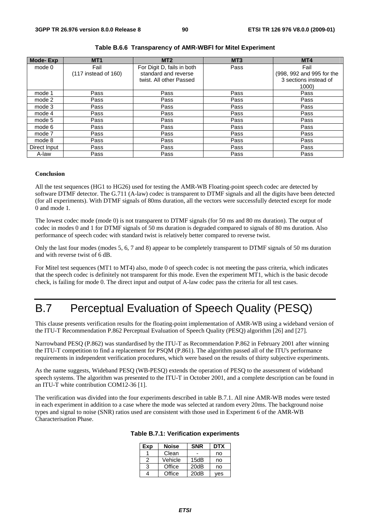| <b>Mode-Exp</b> | MT <sub>1</sub>        | MT2                        | MT <sub>3</sub> | MT4                       |
|-----------------|------------------------|----------------------------|-----------------|---------------------------|
| mode 0          | Fail                   | For Digit D, fails in both | Pass            | Fail                      |
|                 | $(117$ instead of 160) | standard and reverse       |                 | (998, 992 and 995 for the |
|                 |                        | twist. All other Passed    |                 | 3 sections instead of     |
|                 |                        |                            |                 | 1000)                     |
| mode 1          | Pass                   | Pass                       | Pass            | Pass                      |
| mode 2          | Pass                   | Pass                       | Pass            | Pass                      |
| mode 3          | Pass                   | Pass                       | Pass            | Pass                      |
| mode 4          | Pass                   | Pass                       | Pass            | Pass                      |
| mode 5          | Pass                   | Pass                       | Pass            | Pass                      |
| mode 6          | Pass                   | Pass                       | Pass            | Pass                      |
| mode 7          | Pass                   | Pass                       | Pass            | Pass                      |
| mode 8          | Pass                   | Pass                       | Pass            | Pass                      |
| Direct Input    | Pass                   | Pass                       | Pass            | Pass                      |
| A-law           | Pass                   | Pass                       | Pass            | Pass                      |

## **Table B.6.6 Transparency of AMR-WBFl for Mitel Experiment**

## **Conclusion**

All the test sequences (HG1 to HG26) used for testing the AMR-WB Floating-point speech codec are detected by software DTMF detector. The G.711 (A-law) codec is transparent to DTMF signals and all the digits have been detected (for all experiments). With DTMF signals of 80ms duration, all the vectors were successfully detected except for mode 0 and mode 1.

The lowest codec mode (mode 0) is not transparent to DTMF signals (for 50 ms and 80 ms duration). The output of codec in modes 0 and 1 for DTMF signals of 50 ms duration is degraded compared to signals of 80 ms duration. Also performance of speech codec with standard twist is relatively better compared to reverse twist.

Only the last four modes (modes 5, 6, 7 and 8) appear to be completely transparent to DTMF signals of 50 ms duration and with reverse twist of 6 dB.

For Mitel test sequences (MT1 to MT4) also, mode 0 of speech codec is not meeting the pass criteria, which indicates that the speech codec is definitely not transparent for this mode. Even the experiment MT1, which is the basic decode check, is failing for mode 0. The direct input and output of A-law codec pass the criteria for all test cases.

# B.7 Perceptual Evaluation of Speech Quality (PESQ)

This clause presents verification results for the floating-point implementation of AMR-WB using a wideband version of the ITU-T Recommendation P.862 Perceptual Evaluation of Speech Quality (PESQ) algorithm [26] and [27].

Narrowband PESQ (P.862) was standardised by the ITU-T as Recommendation P.862 in February 2001 after winning the ITU-T competition to find a replacement for PSQM (P.861). The algorithm passed all of the ITU's performance requirements in independent verification procedures, which were based on the results of thirty subjective experiments.

As the name suggests, Wideband PESQ (WB-PESQ) extends the operation of PESQ to the assessment of wideband speech systems. The algorithm was presented to the ITU-T in October 2001, and a complete description can be found in an ITU-T white contribution COM12-36 [1].

The verification was divided into the four experiments described in table B.7.1. All nine AMR-WB modes were tested in each experiment in addition to a case where the mode was selected at random every 20ms. The background noise types and signal to noise (SNR) ratios used are consistent with those used in Experiment 6 of the AMR-WB Characterisation Phase.

| Exp | <b>Noise</b> | <b>SNR</b> | <b>DTX</b> |
|-----|--------------|------------|------------|
|     | Clean        |            | no         |
| 2   | Vehicle      | 15dB       | no         |
| З   | Office       | 20dB       | no         |
|     | Office       | 20dB       | ves        |

**Table B.7.1: Verification experiments**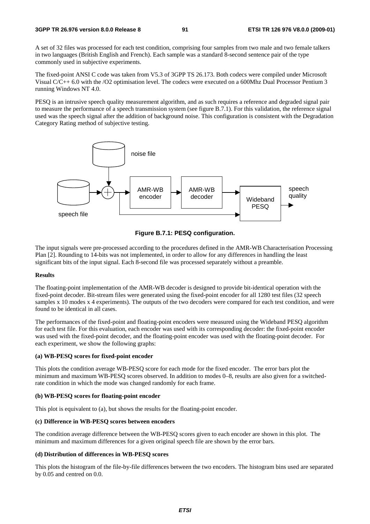A set of 32 files was processed for each test condition, comprising four samples from two male and two female talkers in two languages (British English and French). Each sample was a standard 8-second sentence pair of the type commonly used in subjective experiments.

The fixed-point ANSI C code was taken from V5.3 of 3GPP TS 26.173. Both codecs were compiled under Microsoft Visual C/C++ 6.0 with the /O2 optimisation level. The codecs were executed on a 600Mhz Dual Processor Pentium 3 running Windows NT 4.0.

PESQ is an intrusive speech quality measurement algorithm, and as such requires a reference and degraded signal pair to measure the performance of a speech transmission system (see figure B.7.1). For this validation, the reference signal used was the speech signal after the addition of background noise. This configuration is consistent with the Degradation Category Rating method of subjective testing.





The input signals were pre-processed according to the procedures defined in the AMR-WB Characterisation Processing Plan [2]. Rounding to 14-bits was not implemented, in order to allow for any differences in handling the least significant bits of the input signal. Each 8-second file was processed separately without a preamble.

## **Results**

The floating-point implementation of the AMR-WB decoder is designed to provide bit-identical operation with the fixed-point decoder. Bit-stream files were generated using the fixed-point encoder for all 1280 test files (32 speech samples x 10 modes x 4 experiments). The outputs of the two decoders were compared for each test condition, and were found to be identical in all cases.

The performances of the fixed-point and floating-point encoders were measured using the Wideband PESQ algorithm for each test file. For this evaluation, each encoder was used with its corresponding decoder: the fixed-point encoder was used with the fixed-point decoder, and the floating-point encoder was used with the floating-point decoder. For each experiment, we show the following graphs:

## **(a) WB-PESQ scores for fixed-point encoder**

This plots the condition average WB-PESQ score for each mode for the fixed encoder. The error bars plot the minimum and maximum WB-PESQ scores observed. In addition to modes 0–8, results are also given for a switchedrate condition in which the mode was changed randomly for each frame.

## **(b) WB-PESQ scores for floating-point encoder**

This plot is equivalent to (a), but shows the results for the floating-point encoder.

## **(c) Difference in WB-PESQ scores between encoders**

The condition average difference between the WB-PESQ scores given to each encoder are shown in this plot. The minimum and maximum differences for a given original speech file are shown by the error bars.

## **(d) Distribution of differences in WB-PESQ scores**

This plots the histogram of the file-by-file differences between the two encoders. The histogram bins used are separated by 0.05 and centred on 0.0.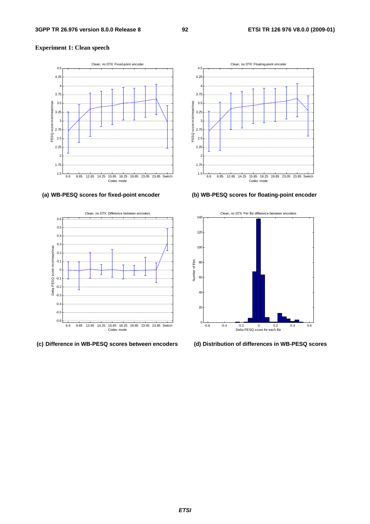## **Experiment 1: Clean speech**





**(c) Difference in WB-PESQ scores between encoders (d) Distribution of differences in WB-PESQ scores** 



## **(a) WB-PESQ scores for fixed-point encoder (b) WB-PESQ scores for floating-point encoder**

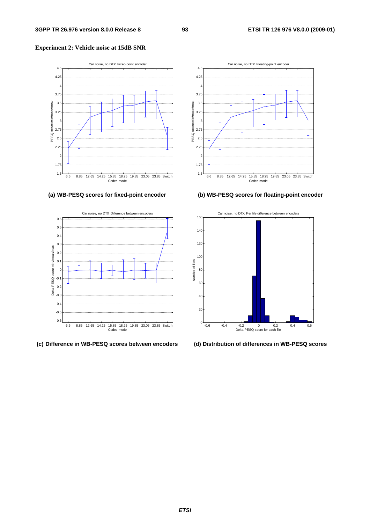## **Experiment 2: Vehicle noise at 15dB SNR**



## **(a) WB-PESQ scores for fixed-point encoder (b) WB-PESQ scores for floating-point encoder**



## **(c) Difference in WB-PESQ scores between encoders (d) Distribution of differences in WB-PESQ scores**



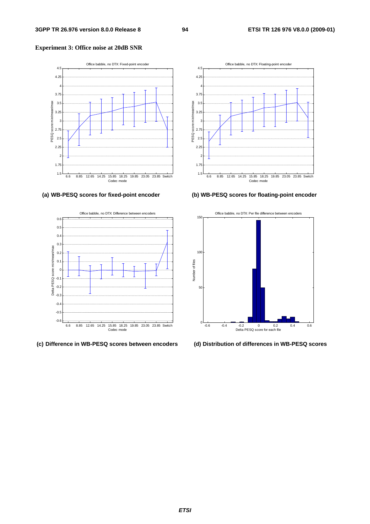## **Experiment 3: Office noise at 20dB SNR**





## **(c) Difference in WB-PESQ scores between encoders (d) Distribution of differences in WB-PESQ scores**



## **(a) WB-PESQ scores for fixed-point encoder (b) WB-PESQ scores for floating-point encoder**

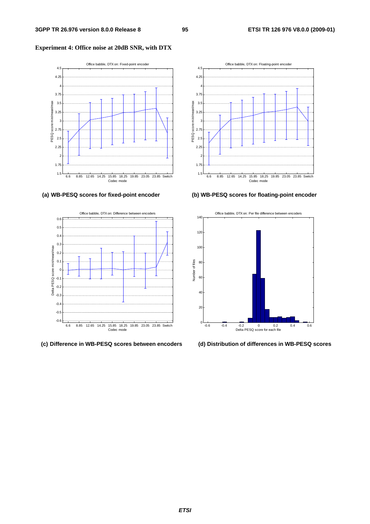## **Experiment 4: Office noise at 20dB SNR, with DTX**







## **(a) WB-PESQ scores for fixed-point encoder (b) WB-PESQ scores for floating-point encoder**



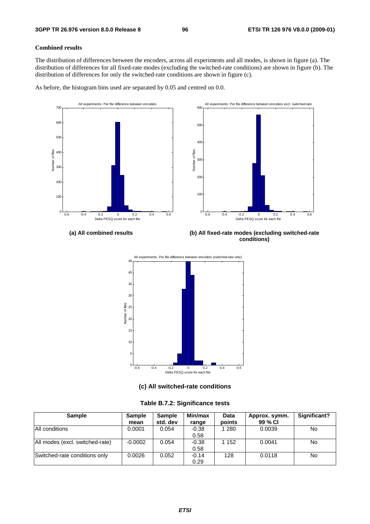## **Combined results**

The distribution of differences between the encoders, across all experiments and all modes, is shown in figure (a). The distribution of differences for all fixed-rate modes (excluding the switched-rate conditions) are shown in figure (b). The distribution of differences for only the switched-rate conditions are shown in figure (c).

As before, the histogram bins used are separated by 0.05 and centred on 0.0.





**(a) All combined results (b) All fixed-rate modes (excluding switched-rate conditions)** 



**(c) All switched-rate conditions** 

| <b>Sample</b>                   | <b>Sample</b> | <b>Sample</b> | Min/max | Data    | Approx. symm. | Significant? |
|---------------------------------|---------------|---------------|---------|---------|---------------|--------------|
|                                 | mean          | std. dev      | range   | points  | 99 % CI       |              |
| All conditions                  | 0.0001        | 0.054         | $-0.38$ | 1 2 8 0 | 0.0039        | No.          |
|                                 |               |               | 0.58    |         |               |              |
| All modes (excl. switched-rate) | $-0.0002$     | 0.054         | $-0.38$ | 1 152   | 0.0041        | No.          |
|                                 |               |               | 0.58    |         |               |              |
| Switched-rate conditions only   | 0.0026        | 0.052         | $-0.14$ | 128     | 0.0118        | No.          |
|                                 |               |               | 0.29    |         |               |              |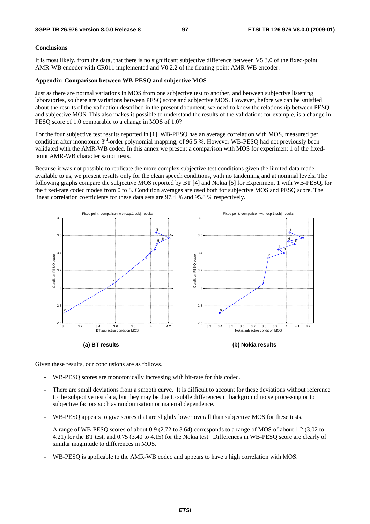## **Conclusions**

It is most likely, from the data, that there is no significant subjective difference between V5.3.0 of the fixed-point AMR-WB encoder with CR011 implemented and V0.2.2 of the floating-point AMR-WB encoder.

## **Appendix: Comparison between WB-PESQ and subjective MOS**

Just as there are normal variations in MOS from one subjective test to another, and between subjective listening laboratories, so there are variations between PESQ score and subjective MOS. However, before we can be satisfied about the results of the validation described in the present document, we need to know the relationship between PESQ and subjective MOS. This also makes it possible to understand the results of the validation: for example, is a change in PESQ score of 1.0 comparable to a change in MOS of 1.0?

For the four subjective test results reported in [1], WB-PESQ has an average correlation with MOS, measured per condition after monotonic  $3<sup>rd</sup>$ -order polynomial mapping, of 96.5 %. However WB-PESQ had not previously been validated with the AMR-WB codec. In this annex we present a comparison with MOS for experiment 1 of the fixedpoint AMR-WB characterisation tests.

Because it was not possible to replicate the more complex subjective test conditions given the limited data made available to us, we present results only for the clean speech conditions, with no tandeming and at nominal levels. The following graphs compare the subjective MOS reported by BT [4] and Nokia [5] for Experiment 1 with WB-PESQ, for the fixed-rate codec modes from 0 to 8. Condition averages are used both for subjective MOS and PESQ score. The linear correlation coefficients for these data sets are 97.4 % and 95.8 % respectively.



Given these results, our conclusions are as follows.

- WB-PESQ scores are monotonically increasing with bit-rate for this codec.
- There are small deviations from a smooth curve. It is difficult to account for these deviations without reference to the subjective test data, but they may be due to subtle differences in background noise processing or to subjective factors such as randomisation or material dependence.
- WB-PESQ appears to give scores that are slightly lower overall than subjective MOS for these tests.
- A range of WB-PESQ scores of about 0.9 (2.72 to 3.64) corresponds to a range of MOS of about 1.2 (3.02 to 4.21) for the BT test, and 0.75 (3.40 to 4.15) for the Nokia test. Differences in WB-PESQ score are clearly of similar magnitude to differences in MOS.
- WB-PESQ is applicable to the AMR-WB codec and appears to have a high correlation with MOS.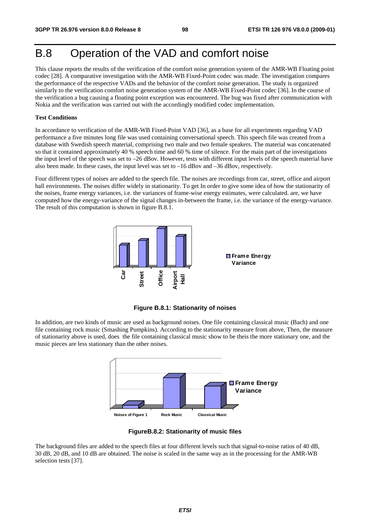# B.8 Operation of the VAD and comfort noise

This clause reports the results of the verification of the comfort noise generation system of the AMR-WB Floating point codec [28]. A comparative investigation with the AMR-WB Fixed-Point codec was made. The investigation compares the performance of the respective VADs and the behavior of the comfort noise generation. The study is organized similarly to the verification comfort noise generation system of the AMR-WB Fixed-Point codec [36]. In the course of the verification a bug causing a floating point exception was encountered. The bug was fixed after communication with Nokia and the verification was carried out with the accordingly modified codec implementation.

### **Test Conditions**

In accordance to verification of the AMR-WB Fixed-Point VAD [36], as a base for all experiments regarding VAD performance a five minutes long file was used containing conversational speech. This speech file was created from a database with Swedish speech material, comprising two male and two female speakers. The material was concatenated so that it contained approximately 40 % speech time and 60 % time of silence. For the main part of the investigations the input level of the speech was set to –26 dBov. However, tests with different input levels of the speech material have also been made. In these cases, the input level was set to –16 dBov and –36 dBov, respectively.

Four different types of noises are added to the speech file. The noises are recordings from car, street, office and airport hall environments. The noises differ widely in stationarity. To get In order to give some idea of how the stationarity of the noises, frame energy variances, i.e. the variances of frame-wise energy estimates, were calculated. are, we have computed how the energy-variance of the signal changes in-between the frame, i.e. the variance of the energy-variance. The result of this computation is shown in figure B.8.1.



**Figure B.8.1: Stationarity of noises** 

In addition, are two kinds of music are used as background noises. One file containing classical music (Bach) and one file containing rock music (Smashing Pumpkins). According to the stationarity measure from above, Then, the measure of stationarity above is used, does the file containing classical music show to be theis the more stationary one, and the music pieces are less stationary than the other noises.





The background files are added to the speech files at four different levels such that signal-to-noise ratios of 40 dB, 30 dB, 20 dB, and 10 dB are obtained. The noise is scaled in the same way as in the processing for the AMR-WB selection tests [37].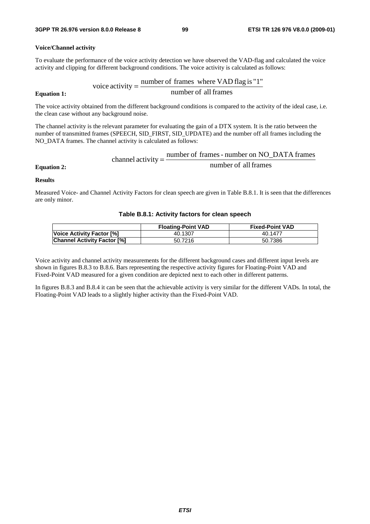### **Voice/Channel activity**

To evaluate the performance of the voice activity detection we have observed the VAD-flag and calculated the voice activity and clipping for different background conditions. The voice activity is calculated as follows:

$$
v^2 = \frac{\text{number of frames where VAD flag is "1"}}{\text{number of all frames}}
$$

**Equation 1:** 

The voice activity obtained from the different background conditions is compared to the activity of the ideal case, i.e. the clean case without any background noise.

The channel activity is the relevant parameter for evaluating the gain of a DTX system. It is the ratio between the number of transmitted frames (SPEECH, SID\_FIRST, SID\_UPDATE) and the number off all frames including the NO\_DATA frames. The channel activity is calculated as follows:

$$
Equation 2:
$$
\nchannel activity = 
$$
\frac{number\ of\ frames\ -\ number\ on\ NO\_DATA\ frames}{number\ of\ all\ frames}
$$

**Results** 

Measured Voice- and Channel Activity Factors for clean speech are given in Table B.8.1. It is seen that the differences are only minor.

### **Table B.8.1: Activity factors for clean speech**

|                                    | <b>Floating-Point VAD</b> | <b>Fixed-Point VAD</b> |
|------------------------------------|---------------------------|------------------------|
| Voice Activity Factor [%]          | 40.1307                   | 40.1477                |
| <b>Channel Activity Factor [%]</b> | 50.7216                   | 50.7386                |

Voice activity and channel activity measurements for the different background cases and different input levels are shown in figures B.8.3 to B.8.6. Bars representing the respective activity figures for Floating-Point VAD and Fixed-Point VAD measured for a given condition are depicted next to each other in different patterns.

In figures B.8.3 and B.8.4 it can be seen that the achievable activity is very similar for the different VADs. In total, the Floating-Point VAD leads to a slightly higher activity than the Fixed-Point VAD.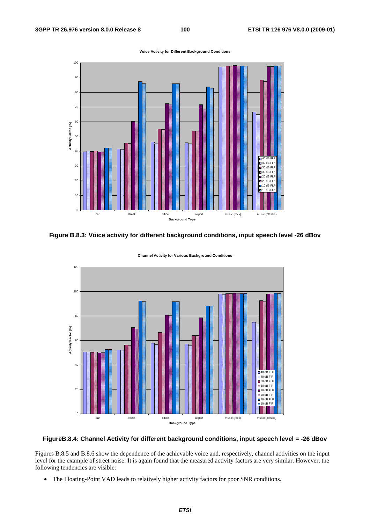**Voice Activity for Different Background Conditions**



**Figure B.8.3: Voice activity for different background conditions, input speech level -26 dBov** 



**Channel Activity for Various Background Conditions**

## **FigureB.8.4: Channel Activity for different background conditions, input speech level = -26 dBov**

Figures B.8.5 and B.8.6 show the dependence of the achievable voice and, respectively, channel activities on the input level for the example of street noise. It is again found that the measured activity factors are very similar. However, the following tendencies are visible:

• The Floating-Point VAD leads to relatively higher activity factors for poor SNR conditions.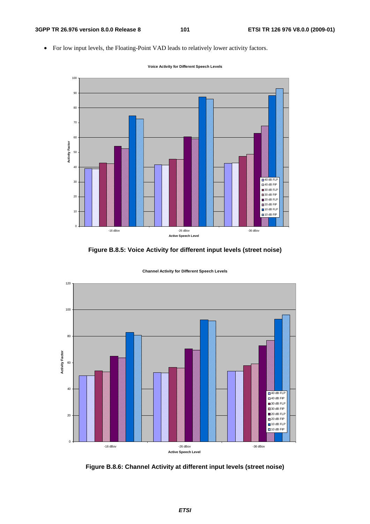• For low input levels, the Floating-Point VAD leads to relatively lower activity factors.



**Voice Activity for Different Speech Levels**

**Figure B.8.5: Voice Activity for different input levels (street noise)** 



**Channel Activity for Different Speech Levels**

**Figure B.8.6: Channel Activity at different input levels (street noise)**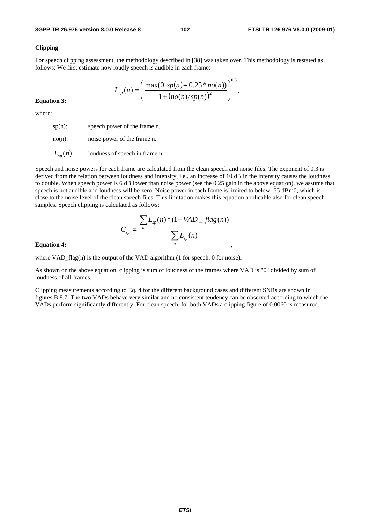## **Clipping**

For speech clipping assessment, the methodology described in [38] was taken over. This methodology is restated as follows: We first estimate how loudly speech is audible in each frame:

$$
L_{sp}(n) = \left(\frac{\max(0, sp(n) - 0.25 * no(n))}{1 + (no(n)/sp(n))^2}\right)^{0.3},
$$

**Equation 3:** 

where:

sp(n): speech power of the frame n.

no(n): noise power of the frame n.

 $L_{n}(n)$  **loudness of speech in frame n.** 

Speech and noise powers for each frame are calculated from the clean speech and noise files. The exponent of 0.3 is derived from the relation between loudness and intensity, i.e., an increase of 10 dB in the intensity causes the loudness to double. When speech power is 6 dB lower than noise power (see the 0.25 gain in the above equation), we assume that speech is not audible and loudness will be zero. Noise power in each frame is limited to below -55 dBm0, which is close to the noise level of the clean speech files. This limitation makes this equation applicable also for clean speech samples. Speech clipping is calculated as follows:

,

$$
C_{sp} = \frac{\sum_{n} L_{sp}(n) * (1 - VAD_{-}flag(n))}{\sum_{n} L_{sp}(n)}
$$

**Equation 4:**

where VAD  $flag(n)$  is the output of the VAD algorithm (1 for speech, 0 for noise).

As shown on the above equation, clipping is sum of loudness of the frames where VAD is "0" divided by sum of loudness of all frames.

Clipping measurements according to Eq. 4 for the different background cases and different SNRs are shown in figures B.8.7. The two VADs behave very similar and no consistent tendency can be observed according to which the VADs perform significantly differently. For clean speech, for both VADs a clipping figure of 0.0060 is measured.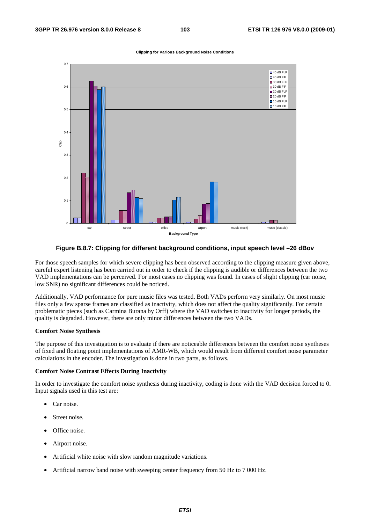

#### **Clipping for Various Background Noise Conditions**

## **Figure B.8.7: Clipping for different background conditions, input speech level –26 dBov**

For those speech samples for which severe clipping has been observed according to the clipping measure given above, careful expert listening has been carried out in order to check if the clipping is audible or differences between the two VAD implementations can be perceived. For most cases no clipping was found. In cases of slight clipping (car noise, low SNR) no significant differences could be noticed.

Additionally, VAD performance for pure music files was tested. Both VADs perform very similarly. On most music files only a few sparse frames are classified as inactivity, which does not affect the quality significantly. For certain problematic pieces (such as Carmina Burana by Orff) where the VAD switches to inactivity for longer periods, the quality is degraded. However, there are only minor differences between the two VADs.

#### **Comfort Noise Synthesis**

The purpose of this investigation is to evaluate if there are noticeable differences between the comfort noise syntheses of fixed and floating point implementations of AMR-WB, which would result from different comfort noise parameter calculations in the encoder. The investigation is done in two parts, as follows.

### **Comfort Noise Contrast Effects During Inactivity**

In order to investigate the comfort noise synthesis during inactivity, coding is done with the VAD decision forced to 0. Input signals used in this test are:

- Car noise.
- Street noise.
- Office noise.
- Airport noise.
- Artificial white noise with slow random magnitude variations.
- Artificial narrow band noise with sweeping center frequency from 50 Hz to 7 000 Hz.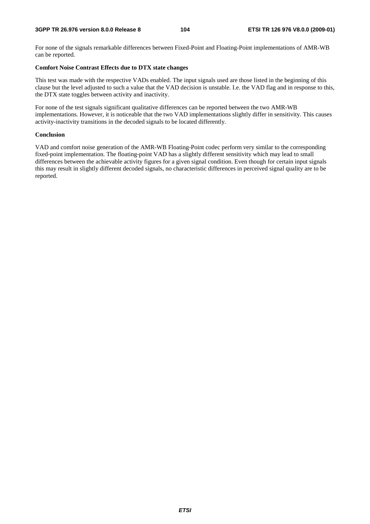For none of the signals remarkable differences between Fixed-Point and Floating-Point implementations of AMR-WB can be reported.

## **Comfort Noise Contrast Effects due to DTX state changes**

This test was made with the respective VADs enabled. The input signals used are those listed in the beginning of this clause but the level adjusted to such a value that the VAD decision is unstable. I.e. the VAD flag and in response to this, the DTX state toggles between activity and inactivity.

For none of the test signals significant qualitative differences can be reported between the two AMR-WB implementations. However, it is noticeable that the two VAD implementations slightly differ in sensitivity. This causes activity-inactivity transitions in the decoded signals to be located differently.

## **Conclusion**

VAD and comfort noise generation of the AMR-WB Floating-Point codec perform very similar to the corresponding fixed-point implementation. The floating-point VAD has a slightly different sensitivity which may lead to small differences between the achievable activity figures for a given signal condition. Even though for certain input signals this may result in slightly different decoded signals, no characteristic differences in perceived signal quality are to be reported.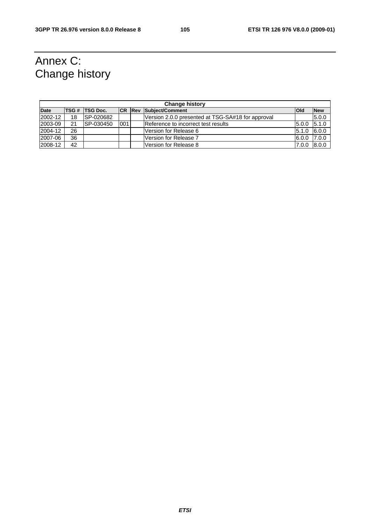# Annex C: Change history

| <b>Change history</b> |    |                       |     |  |                                                   |              |            |
|-----------------------|----|-----------------------|-----|--|---------------------------------------------------|--------------|------------|
| Date                  |    | <b>TSG # TSG Doc.</b> |     |  | <b>ICR Rev Subject/Comment</b>                    | <b>l</b> Old | <b>New</b> |
| 2002-12               | 18 | SP-020682             |     |  | Version 2.0.0 presented at TSG-SA#18 for approval |              | 5.0.0      |
| 2003-09               | 21 | SP-030450             | 001 |  | Reference to incorrect test results               | 5.0.0        | 5.1.0      |
| 2004-12               | 26 |                       |     |  | lVersion for Release 6                            | 5.1.0        | 6.0.0      |
| 2007-06               | 36 |                       |     |  | <b>Version for Release 7</b>                      | 6.0.0        | 7.0.0      |
| 2008-12               | 42 |                       |     |  | lVersion for Release 8                            | 7.0.0        | 8.0.0      |